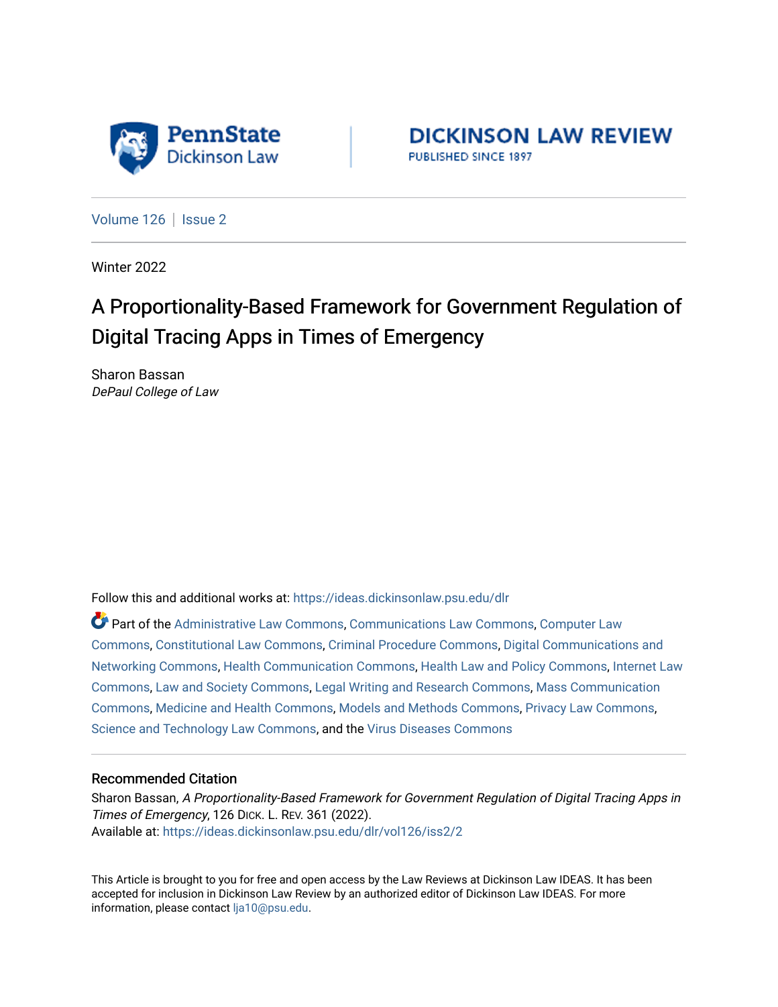

**DICKINSON LAW REVIEW** PUBLISHED SINCE 1897

[Volume 126](https://ideas.dickinsonlaw.psu.edu/dlr/vol126) | [Issue 2](https://ideas.dickinsonlaw.psu.edu/dlr/vol126/iss2)

Winter 2022

# A Proportionality-Based Framework for Government Regulation of Digital Tracing Apps in Times of Emergency

Sharon Bassan DePaul College of Law

Follow this and additional works at: [https://ideas.dickinsonlaw.psu.edu/dlr](https://ideas.dickinsonlaw.psu.edu/dlr?utm_source=ideas.dickinsonlaw.psu.edu%2Fdlr%2Fvol126%2Fiss2%2F2&utm_medium=PDF&utm_campaign=PDFCoverPages) 

Part of the [Administrative Law Commons,](http://network.bepress.com/hgg/discipline/579?utm_source=ideas.dickinsonlaw.psu.edu%2Fdlr%2Fvol126%2Fiss2%2F2&utm_medium=PDF&utm_campaign=PDFCoverPages) [Communications Law Commons,](http://network.bepress.com/hgg/discipline/587?utm_source=ideas.dickinsonlaw.psu.edu%2Fdlr%2Fvol126%2Fiss2%2F2&utm_medium=PDF&utm_campaign=PDFCoverPages) [Computer Law](http://network.bepress.com/hgg/discipline/837?utm_source=ideas.dickinsonlaw.psu.edu%2Fdlr%2Fvol126%2Fiss2%2F2&utm_medium=PDF&utm_campaign=PDFCoverPages)  [Commons](http://network.bepress.com/hgg/discipline/837?utm_source=ideas.dickinsonlaw.psu.edu%2Fdlr%2Fvol126%2Fiss2%2F2&utm_medium=PDF&utm_campaign=PDFCoverPages), [Constitutional Law Commons](http://network.bepress.com/hgg/discipline/589?utm_source=ideas.dickinsonlaw.psu.edu%2Fdlr%2Fvol126%2Fiss2%2F2&utm_medium=PDF&utm_campaign=PDFCoverPages), [Criminal Procedure Commons](http://network.bepress.com/hgg/discipline/1073?utm_source=ideas.dickinsonlaw.psu.edu%2Fdlr%2Fvol126%2Fiss2%2F2&utm_medium=PDF&utm_campaign=PDFCoverPages), [Digital Communications and](http://network.bepress.com/hgg/discipline/262?utm_source=ideas.dickinsonlaw.psu.edu%2Fdlr%2Fvol126%2Fiss2%2F2&utm_medium=PDF&utm_campaign=PDFCoverPages) [Networking Commons,](http://network.bepress.com/hgg/discipline/262?utm_source=ideas.dickinsonlaw.psu.edu%2Fdlr%2Fvol126%2Fiss2%2F2&utm_medium=PDF&utm_campaign=PDFCoverPages) [Health Communication Commons,](http://network.bepress.com/hgg/discipline/330?utm_source=ideas.dickinsonlaw.psu.edu%2Fdlr%2Fvol126%2Fiss2%2F2&utm_medium=PDF&utm_campaign=PDFCoverPages) [Health Law and Policy Commons](http://network.bepress.com/hgg/discipline/901?utm_source=ideas.dickinsonlaw.psu.edu%2Fdlr%2Fvol126%2Fiss2%2F2&utm_medium=PDF&utm_campaign=PDFCoverPages), [Internet Law](http://network.bepress.com/hgg/discipline/892?utm_source=ideas.dickinsonlaw.psu.edu%2Fdlr%2Fvol126%2Fiss2%2F2&utm_medium=PDF&utm_campaign=PDFCoverPages)  [Commons](http://network.bepress.com/hgg/discipline/892?utm_source=ideas.dickinsonlaw.psu.edu%2Fdlr%2Fvol126%2Fiss2%2F2&utm_medium=PDF&utm_campaign=PDFCoverPages), [Law and Society Commons,](http://network.bepress.com/hgg/discipline/853?utm_source=ideas.dickinsonlaw.psu.edu%2Fdlr%2Fvol126%2Fiss2%2F2&utm_medium=PDF&utm_campaign=PDFCoverPages) [Legal Writing and Research Commons,](http://network.bepress.com/hgg/discipline/614?utm_source=ideas.dickinsonlaw.psu.edu%2Fdlr%2Fvol126%2Fiss2%2F2&utm_medium=PDF&utm_campaign=PDFCoverPages) [Mass Communication](http://network.bepress.com/hgg/discipline/334?utm_source=ideas.dickinsonlaw.psu.edu%2Fdlr%2Fvol126%2Fiss2%2F2&utm_medium=PDF&utm_campaign=PDFCoverPages)  [Commons](http://network.bepress.com/hgg/discipline/334?utm_source=ideas.dickinsonlaw.psu.edu%2Fdlr%2Fvol126%2Fiss2%2F2&utm_medium=PDF&utm_campaign=PDFCoverPages), [Medicine and Health Commons](http://network.bepress.com/hgg/discipline/422?utm_source=ideas.dickinsonlaw.psu.edu%2Fdlr%2Fvol126%2Fiss2%2F2&utm_medium=PDF&utm_campaign=PDFCoverPages), [Models and Methods Commons](http://network.bepress.com/hgg/discipline/390?utm_source=ideas.dickinsonlaw.psu.edu%2Fdlr%2Fvol126%2Fiss2%2F2&utm_medium=PDF&utm_campaign=PDFCoverPages), [Privacy Law Commons](http://network.bepress.com/hgg/discipline/1234?utm_source=ideas.dickinsonlaw.psu.edu%2Fdlr%2Fvol126%2Fiss2%2F2&utm_medium=PDF&utm_campaign=PDFCoverPages), [Science and Technology Law Commons](http://network.bepress.com/hgg/discipline/875?utm_source=ideas.dickinsonlaw.psu.edu%2Fdlr%2Fvol126%2Fiss2%2F2&utm_medium=PDF&utm_campaign=PDFCoverPages), and the [Virus Diseases Commons](http://network.bepress.com/hgg/discipline/998?utm_source=ideas.dickinsonlaw.psu.edu%2Fdlr%2Fvol126%2Fiss2%2F2&utm_medium=PDF&utm_campaign=PDFCoverPages) 

## Recommended Citation

Sharon Bassan, A Proportionality-Based Framework for Government Regulation of Digital Tracing Apps in Times of Emergency, 126 DICK. L. REV. 361 (2022). Available at: [https://ideas.dickinsonlaw.psu.edu/dlr/vol126/iss2/2](https://ideas.dickinsonlaw.psu.edu/dlr/vol126/iss2/2?utm_source=ideas.dickinsonlaw.psu.edu%2Fdlr%2Fvol126%2Fiss2%2F2&utm_medium=PDF&utm_campaign=PDFCoverPages)

This Article is brought to you for free and open access by the Law Reviews at Dickinson Law IDEAS. It has been accepted for inclusion in Dickinson Law Review by an authorized editor of Dickinson Law IDEAS. For more information, please contact [lja10@psu.edu.](mailto:lja10@psu.edu)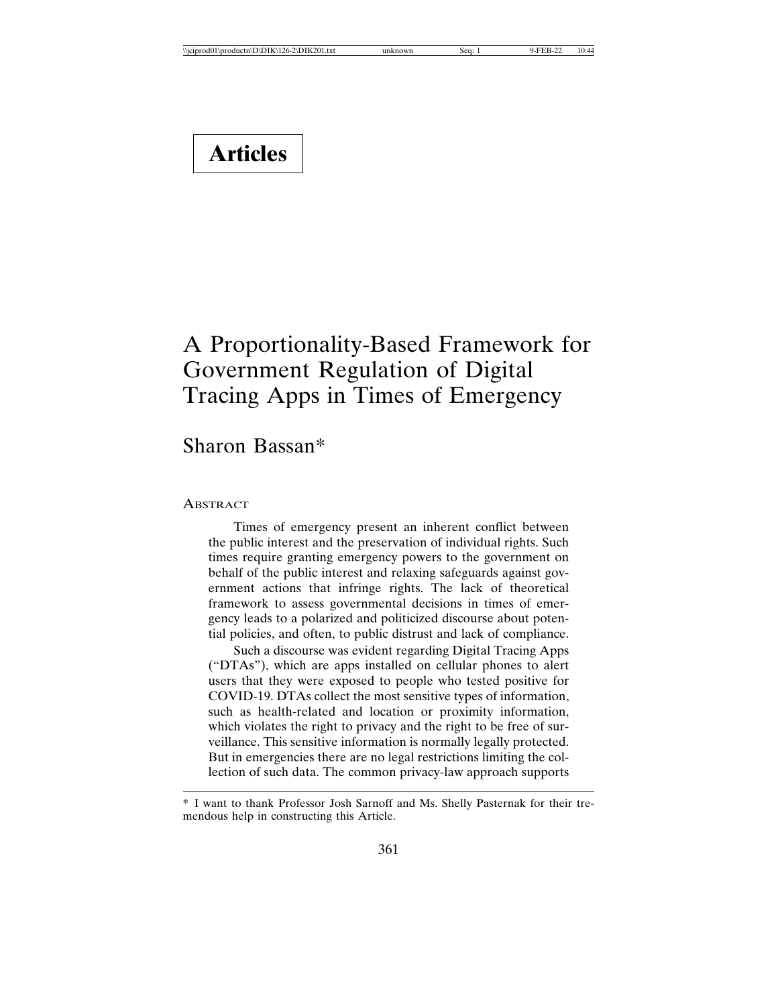# **Articles**

# A Proportionality-Based Framework for Government Regulation of Digital Tracing Apps in Times of Emergency

## Sharon Bassan\*

#### **ABSTRACT**

Times of emergency present an inherent conflict between the public interest and the preservation of individual rights. Such times require granting emergency powers to the government on behalf of the public interest and relaxing safeguards against government actions that infringe rights. The lack of theoretical framework to assess governmental decisions in times of emergency leads to a polarized and politicized discourse about potential policies, and often, to public distrust and lack of compliance.

Such a discourse was evident regarding Digital Tracing Apps ("DTAs"), which are apps installed on cellular phones to alert users that they were exposed to people who tested positive for COVID-19. DTAs collect the most sensitive types of information, such as health-related and location or proximity information, which violates the right to privacy and the right to be free of surveillance. This sensitive information is normally legally protected. But in emergencies there are no legal restrictions limiting the collection of such data. The common privacy-law approach supports

<sup>\*</sup> I want to thank Professor Josh Sarnoff and Ms. Shelly Pasternak for their tremendous help in constructing this Article.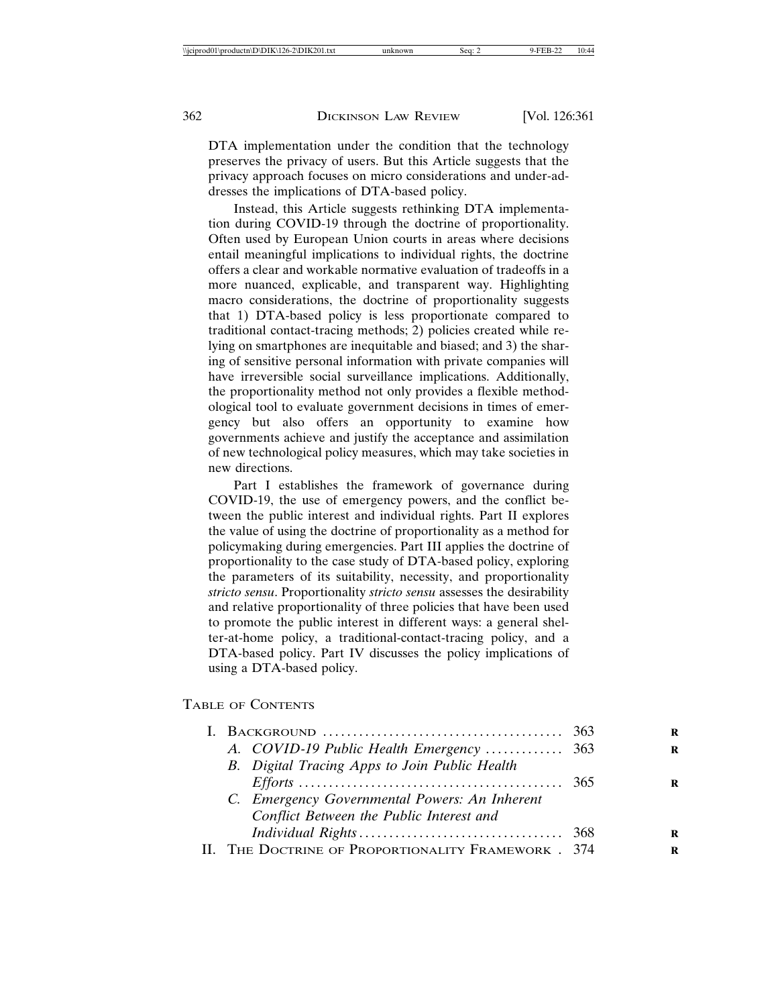DTA implementation under the condition that the technology preserves the privacy of users. But this Article suggests that the privacy approach focuses on micro considerations and under-addresses the implications of DTA-based policy.

Instead, this Article suggests rethinking DTA implementation during COVID-19 through the doctrine of proportionality. Often used by European Union courts in areas where decisions entail meaningful implications to individual rights, the doctrine offers a clear and workable normative evaluation of tradeoffs in a more nuanced, explicable, and transparent way. Highlighting macro considerations, the doctrine of proportionality suggests that 1) DTA-based policy is less proportionate compared to traditional contact-tracing methods; 2) policies created while relying on smartphones are inequitable and biased; and 3) the sharing of sensitive personal information with private companies will have irreversible social surveillance implications. Additionally, the proportionality method not only provides a flexible methodological tool to evaluate government decisions in times of emergency but also offers an opportunity to examine how governments achieve and justify the acceptance and assimilation of new technological policy measures, which may take societies in new directions.

Part I establishes the framework of governance during COVID-19, the use of emergency powers, and the conflict between the public interest and individual rights. Part II explores the value of using the doctrine of proportionality as a method for policymaking during emergencies. Part III applies the doctrine of proportionality to the case study of DTA-based policy, exploring the parameters of its suitability, necessity, and proportionality *stricto sensu*. Proportionality *stricto sensu* assesses the desirability and relative proportionality of three policies that have been used to promote the public interest in different ways: a general shelter-at-home policy, a traditional-contact-tracing policy, and a DTA-based policy. Part IV discusses the policy implications of using a DTA-based policy.

#### TABLE OF CONTENTS

| Conflict Between the Public Interest and |                                                                                                                                                                                                                                                                         |
|------------------------------------------|-------------------------------------------------------------------------------------------------------------------------------------------------------------------------------------------------------------------------------------------------------------------------|
|                                          |                                                                                                                                                                                                                                                                         |
|                                          |                                                                                                                                                                                                                                                                         |
|                                          | I. BACKGROUND $\ldots \ldots \ldots \ldots \ldots \ldots \ldots \ldots \ldots \ldots \ldots \ldots \ldots$ 363<br>B. Digital Tracing Apps to Join Public Health<br>C. Emergency Governmental Powers: An Inherent<br>II. THE DOCTRINE OF PROPORTIONALITY FRAMEWORK . 374 |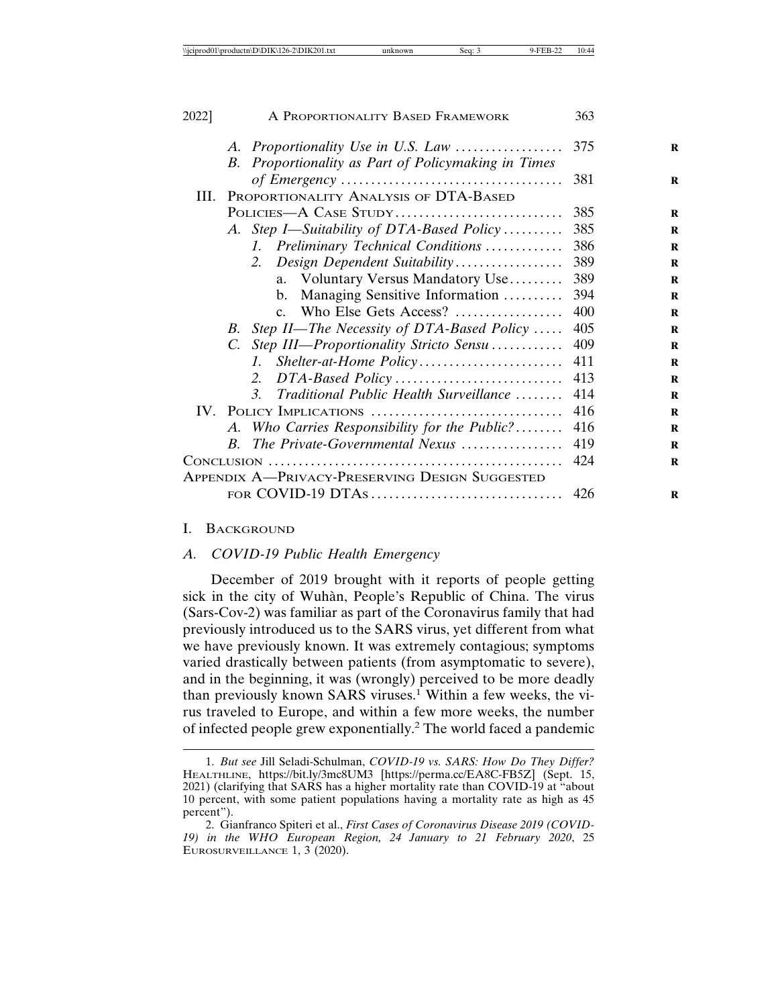| 2022] | A PROPORTIONALITY BASED FRAMEWORK                                              | 363 |
|-------|--------------------------------------------------------------------------------|-----|
|       | A. Proportionality Use in U.S. Law                                             | 375 |
|       | Proportionality as Part of Policymaking in Times<br>B.                         | 381 |
| III.  | PROPORTIONALITY ANALYSIS OF DTA-BASED                                          |     |
|       | POLICIES-A CASE STUDY                                                          | 385 |
|       | A. Step I—Suitability of DTA-Based Policy                                      | 385 |
|       | Preliminary Technical Conditions<br>L                                          | 386 |
|       | Design Dependent Suitability<br>2.                                             | 389 |
|       | a. Voluntary Versus Mandatory Use                                              | 389 |
|       | Managing Sensitive Information<br>$b_{1}$                                      | 394 |
|       | c. Who Else Gets Access?                                                       | 400 |
|       | B. Step II—The Necessity of DTA-Based Policy                                   | 405 |
|       | C. Step III—Proportionality Stricto Sensu                                      | 409 |
|       | L.                                                                             | 411 |
|       | $DTA-Based Policy \dots \dots \dots \dots \dots \dots \dots \dots \dots$<br>2. | 413 |
|       | Traditional Public Health Surveillance<br>$\mathcal{R}$                        | 414 |
|       | IV. POLICY IMPLICATIONS                                                        | 416 |
|       | A. Who Carries Responsibility for the Public?                                  | 416 |
|       | The Private-Governmental Nexus<br>$B_{\cdot}$                                  | 419 |
|       |                                                                                | 424 |
|       | <b>APPENDIX A-PRIVACY-PRESERVING DESIGN SUGGESTED</b>                          |     |
|       |                                                                                | 426 |

#### I. BACKGROUND

#### *A. COVID-19 Public Health Emergency*

December of 2019 brought with it reports of people getting sick in the city of Wuhàn, People's Republic of China. The virus (Sars-Cov-2) was familiar as part of the Coronavirus family that had previously introduced us to the SARS virus, yet different from what we have previously known. It was extremely contagious; symptoms varied drastically between patients (from asymptomatic to severe), and in the beginning, it was (wrongly) perceived to be more deadly than previously known SARS viruses.<sup>1</sup> Within a few weeks, the virus traveled to Europe, and within a few more weeks, the number of infected people grew exponentially.<sup>2</sup> The world faced a pandemic

<sup>1.</sup> *But see* Jill Seladi-Schulman, *COVID-19 vs. SARS: How Do They Differ?* HEALTHLINE, https://bit.ly/3mc8UM3 [https://perma.cc/EA8C-FB5Z] (Sept. 15, 2021) (clarifying that SARS has a higher mortality rate than COVID-19 at "about 10 percent, with some patient populations having a mortality rate as high as 45 percent").

<sup>2.</sup> Gianfranco Spiteri et al., *First Cases of Coronavirus Disease 2019 (COVID-19) in the WHO European Region, 24 January to 21 February 2020*, 25 EUROSURVEILLANCE 1, 3 (2020).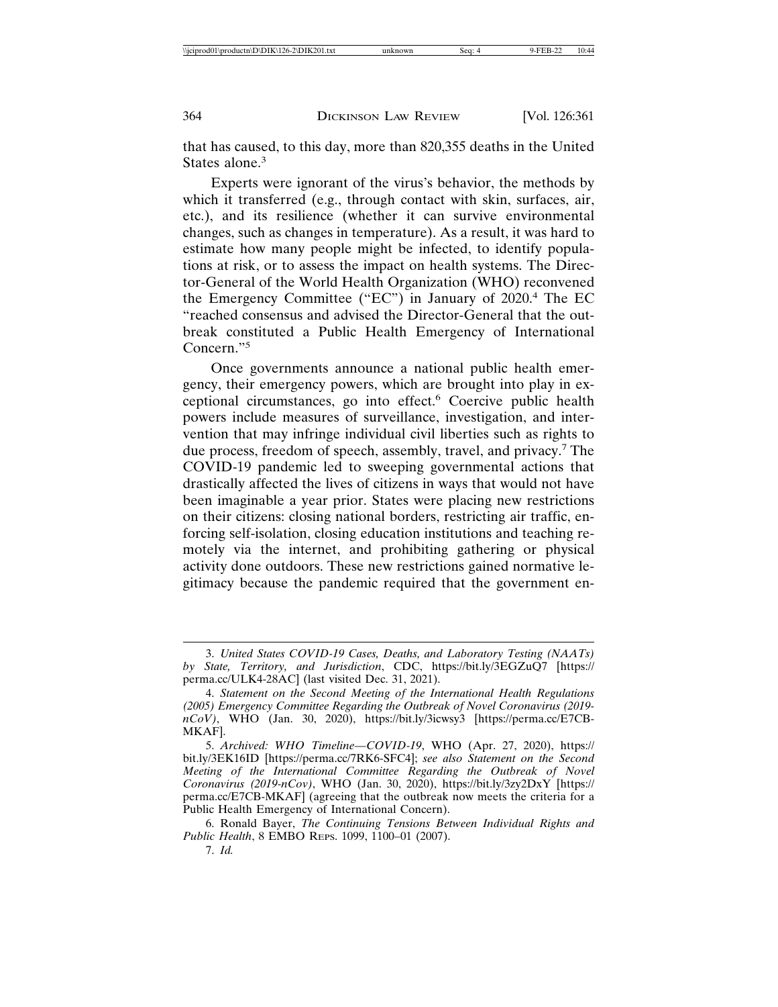that has caused, to this day, more than 820,355 deaths in the United States alone.<sup>3</sup>

Experts were ignorant of the virus's behavior, the methods by which it transferred (e.g., through contact with skin, surfaces, air, etc.), and its resilience (whether it can survive environmental changes, such as changes in temperature). As a result, it was hard to estimate how many people might be infected, to identify populations at risk, or to assess the impact on health systems. The Director-General of the World Health Organization (WHO) reconvened the Emergency Committee ("EC") in January of 2020.<sup>4</sup> The EC "reached consensus and advised the Director-General that the outbreak constituted a Public Health Emergency of International Concern."5

Once governments announce a national public health emergency, their emergency powers, which are brought into play in exceptional circumstances, go into effect.<sup>6</sup> Coercive public health powers include measures of surveillance, investigation, and intervention that may infringe individual civil liberties such as rights to due process, freedom of speech, assembly, travel, and privacy.<sup>7</sup> The COVID-19 pandemic led to sweeping governmental actions that drastically affected the lives of citizens in ways that would not have been imaginable a year prior. States were placing new restrictions on their citizens: closing national borders, restricting air traffic, enforcing self-isolation, closing education institutions and teaching remotely via the internet, and prohibiting gathering or physical activity done outdoors. These new restrictions gained normative legitimacy because the pandemic required that the government en-

<sup>3.</sup> *United States COVID-19 Cases, Deaths, and Laboratory Testing (NAATs) by State, Territory, and Jurisdiction*, CDC, https://bit.ly/3EGZuQ7 [https:// perma.cc/ULK4-28AC] (last visited Dec. 31, 2021).

<sup>4.</sup> *Statement on the Second Meeting of the International Health Regulations (2005) Emergency Committee Regarding the Outbreak of Novel Coronavirus (2019 nCoV)*, WHO (Jan. 30, 2020), https://bit.ly/3icwsy3 [https://perma.cc/E7CB-MKAF].

<sup>5.</sup> *Archived: WHO Timeline—COVID-19*, WHO (Apr. 27, 2020), https:// bit.ly/3EK16ID [https://perma.cc/7RK6-SFC4]; *see also Statement on the Second Meeting of the International Committee Regarding the Outbreak of Novel Coronavirus (2019-nCov)*, WHO (Jan. 30, 2020), https://bit.ly/3zy2DxY [https:// perma.cc/E7CB-MKAF] (agreeing that the outbreak now meets the criteria for a Public Health Emergency of International Concern).

<sup>6.</sup> Ronald Bayer, *The Continuing Tensions Between Individual Rights and Public Health*, 8 EMBO REPS. 1099, 1100–01 (2007).

<sup>7.</sup> *Id.*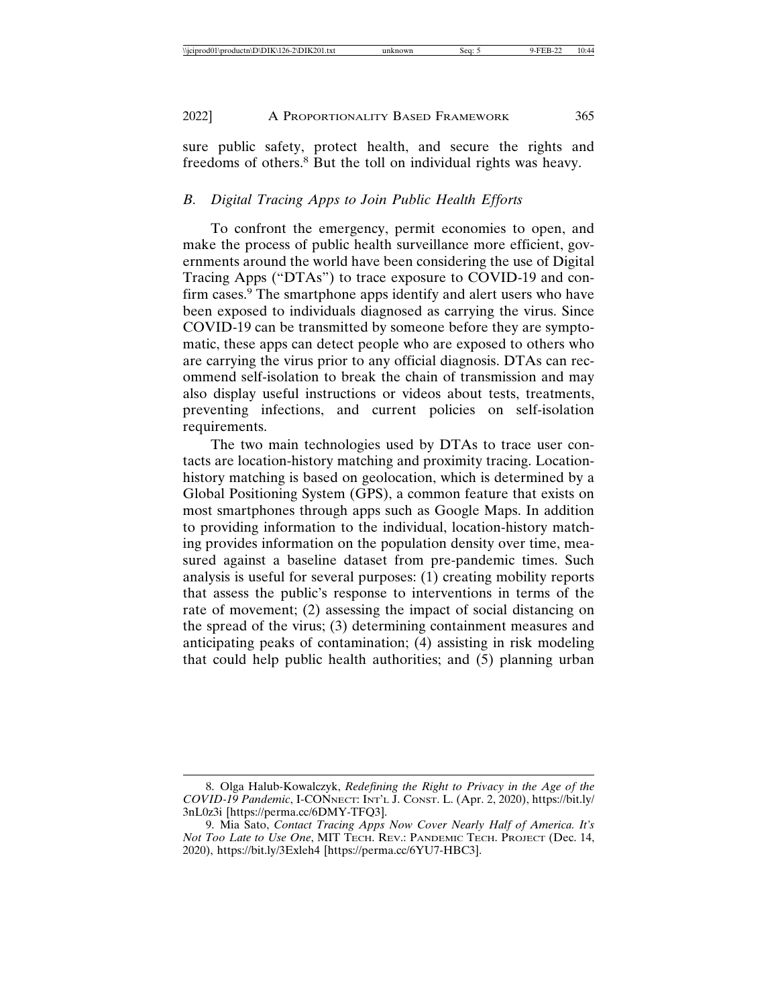sure public safety, protect health, and secure the rights and freedoms of others.<sup>8</sup> But the toll on individual rights was heavy.

## *B. Digital Tracing Apps to Join Public Health Efforts*

To confront the emergency, permit economies to open, and make the process of public health surveillance more efficient, governments around the world have been considering the use of Digital Tracing Apps ("DTAs") to trace exposure to COVID-19 and confirm cases.<sup>9</sup> The smartphone apps identify and alert users who have been exposed to individuals diagnosed as carrying the virus. Since COVID-19 can be transmitted by someone before they are symptomatic, these apps can detect people who are exposed to others who are carrying the virus prior to any official diagnosis. DTAs can recommend self-isolation to break the chain of transmission and may also display useful instructions or videos about tests, treatments, preventing infections, and current policies on self-isolation requirements.

The two main technologies used by DTAs to trace user contacts are location-history matching and proximity tracing. Locationhistory matching is based on geolocation, which is determined by a Global Positioning System (GPS), a common feature that exists on most smartphones through apps such as Google Maps. In addition to providing information to the individual, location-history matching provides information on the population density over time, measured against a baseline dataset from pre-pandemic times. Such analysis is useful for several purposes: (1) creating mobility reports that assess the public's response to interventions in terms of the rate of movement; (2) assessing the impact of social distancing on the spread of the virus; (3) determining containment measures and anticipating peaks of contamination; (4) assisting in risk modeling that could help public health authorities; and (5) planning urban

<sup>8.</sup> Olga Halub-Kowalczyk, *Redefining the Right to Privacy in the Age of the COVID-19 Pandemic*, I-CONNECT: INT'L J. CONST. L. (Apr. 2, 2020), https://bit.ly/ 3nL0z3i [https://perma.cc/6DMY-TFQ3].

<sup>9.</sup> Mia Sato, *Contact Tracing Apps Now Cover Nearly Half of America. It's Not Too Late to Use One*, MIT TECH. REV.: PANDEMIC TECH. PROJECT (Dec. 14, 2020), https://bit.ly/3Exleh4 [https://perma.cc/6YU7-HBC3].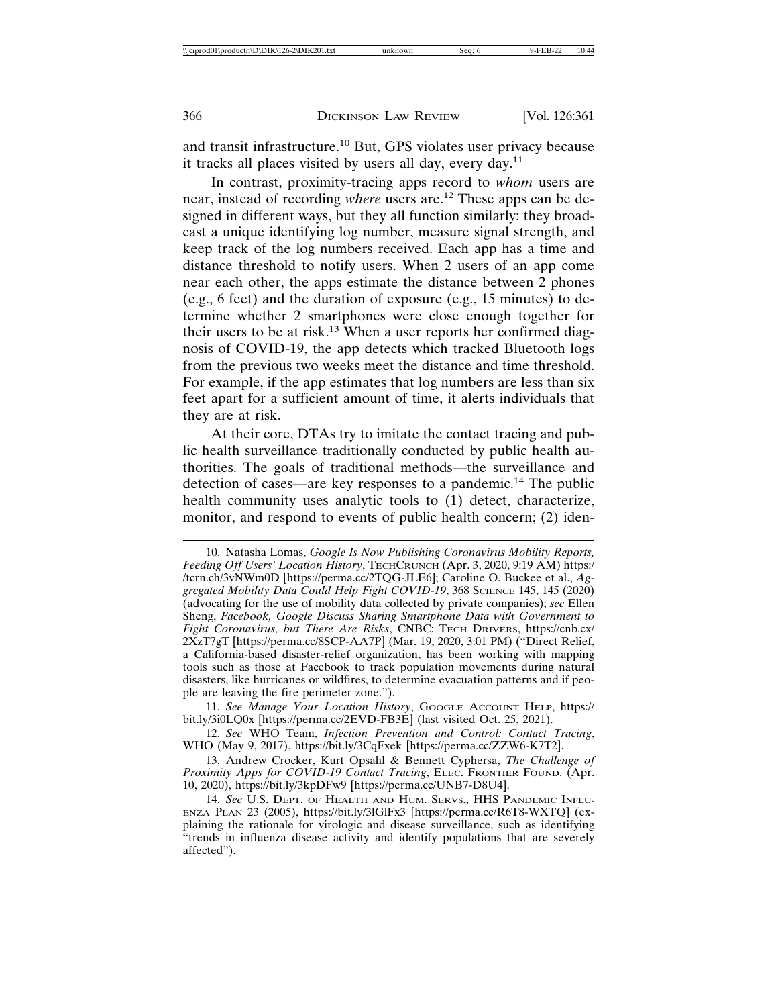and transit infrastructure.10 But, GPS violates user privacy because it tracks all places visited by users all day, every day.<sup>11</sup>

In contrast, proximity-tracing apps record to *whom* users are near, instead of recording *where* users are.12 These apps can be designed in different ways, but they all function similarly: they broadcast a unique identifying log number, measure signal strength, and keep track of the log numbers received. Each app has a time and distance threshold to notify users. When 2 users of an app come near each other, the apps estimate the distance between 2 phones (e.g., 6 feet) and the duration of exposure (e.g., 15 minutes) to determine whether 2 smartphones were close enough together for their users to be at risk.<sup>13</sup> When a user reports her confirmed diagnosis of COVID-19, the app detects which tracked Bluetooth logs from the previous two weeks meet the distance and time threshold. For example, if the app estimates that log numbers are less than six feet apart for a sufficient amount of time, it alerts individuals that they are at risk.

At their core, DTAs try to imitate the contact tracing and public health surveillance traditionally conducted by public health authorities. The goals of traditional methods—the surveillance and detection of cases—are key responses to a pandemic.<sup>14</sup> The public health community uses analytic tools to (1) detect, characterize, monitor, and respond to events of public health concern; (2) iden-

11. See Manage Your Location History, GOOGLE ACCOUNT HELP, https:// bit.ly/3i0LQ0x [https://perma.cc/2EVD-FB3E] (last visited Oct. 25, 2021).

12. *See* WHO Team, *Infection Prevention and Control: Contact Tracing*, WHO (May 9, 2017), https://bit.ly/3CqFxek [https://perma.cc/ZZW6-K7T2].

13. Andrew Crocker, Kurt Opsahl & Bennett Cyphersa, *The Challenge of Proximity Apps for COVID-19 Contact Tracing*, ELEC. FRONTIER FOUND. (Apr. 10, 2020), https://bit.ly/3kpDFw9 [https://perma.cc/UNB7-D8U4].

<sup>10.</sup> Natasha Lomas, *Google Is Now Publishing Coronavirus Mobility Reports, Feeding Off Users' Location History*, TECHCRUNCH (Apr. 3, 2020, 9:19 AM) https:/ /tcrn.ch/3vNWm0D [https://perma.cc/2TQG-JLE6]; Caroline O. Buckee et al., *Aggregated Mobility Data Could Help Fight COVID-19*, 368 SCIENCE 145, 145 (2020) (advocating for the use of mobility data collected by private companies); *see* Ellen Sheng, *Facebook, Google Discuss Sharing Smartphone Data with Government to Fight Coronavirus, but There Are Risks*, CNBC: TECH DRIVERS, https://cnb.cx/ 2XzT7gT [https://perma.cc/8SCP-AA7P] (Mar. 19, 2020, 3:01 PM) ("Direct Relief, a California-based disaster-relief organization, has been working with mapping tools such as those at Facebook to track population movements during natural disasters, like hurricanes or wildfires, to determine evacuation patterns and if people are leaving the fire perimeter zone.").

<sup>14.</sup> *See* U.S. DEPT. OF HEALTH AND HUM. SERVS., HHS PANDEMIC INFLU-ENZA PLAN 23 (2005), https://bit.ly/3lGlFx3 [https://perma.cc/R6T8-WXTQ] (explaining the rationale for virologic and disease surveillance, such as identifying "trends in influenza disease activity and identify populations that are severely affected").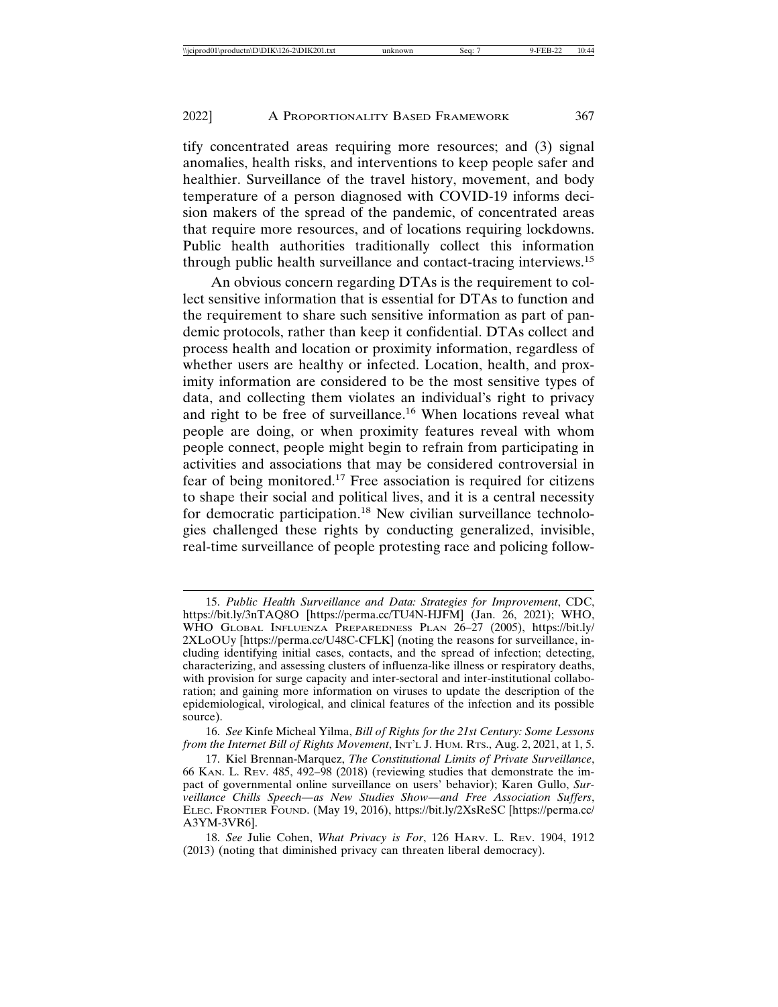tify concentrated areas requiring more resources; and (3) signal anomalies, health risks, and interventions to keep people safer and healthier. Surveillance of the travel history, movement, and body temperature of a person diagnosed with COVID-19 informs decision makers of the spread of the pandemic, of concentrated areas that require more resources, and of locations requiring lockdowns. Public health authorities traditionally collect this information through public health surveillance and contact-tracing interviews.<sup>15</sup>

An obvious concern regarding DTAs is the requirement to collect sensitive information that is essential for DTAs to function and the requirement to share such sensitive information as part of pandemic protocols, rather than keep it confidential. DTAs collect and process health and location or proximity information, regardless of whether users are healthy or infected. Location, health, and proximity information are considered to be the most sensitive types of data, and collecting them violates an individual's right to privacy and right to be free of surveillance.<sup>16</sup> When locations reveal what people are doing, or when proximity features reveal with whom people connect, people might begin to refrain from participating in activities and associations that may be considered controversial in fear of being monitored.17 Free association is required for citizens to shape their social and political lives, and it is a central necessity for democratic participation.18 New civilian surveillance technologies challenged these rights by conducting generalized, invisible, real-time surveillance of people protesting race and policing follow-

<sup>15.</sup> *Public Health Surveillance and Data: Strategies for Improvement*, CDC, https://bit.ly/3nTAQ8O [https://perma.cc/TU4N-HJFM] (Jan. 26, 2021); WHO, WHO GLOBAL INFLUENZA PREPAREDNESS PLAN 26–27 (2005), https://bit.ly/ 2XLoOUy [https://perma.cc/U48C-CFLK] (noting the reasons for surveillance, including identifying initial cases, contacts, and the spread of infection; detecting, characterizing, and assessing clusters of influenza-like illness or respiratory deaths, with provision for surge capacity and inter-sectoral and inter-institutional collaboration; and gaining more information on viruses to update the description of the epidemiological, virological, and clinical features of the infection and its possible source).

<sup>16.</sup> *See* Kinfe Micheal Yilma, *Bill of Rights for the 21st Century: Some Lessons from the Internet Bill of Rights Movement*, INT'L J. HUM. RTS., Aug. 2, 2021, at 1, 5.

<sup>17.</sup> Kiel Brennan-Marquez, *The Constitutional Limits of Private Surveillance*, 66 KAN. L. REV. 485, 492–98 (2018) (reviewing studies that demonstrate the impact of governmental online surveillance on users' behavior); Karen Gullo, *Surveillance Chills Speech—as New Studies Show—and Free Association Suffers*, ELEC. FRONTIER FOUND. (May 19, 2016), https://bit.ly/2XsReSC [https://perma.cc/ A3YM-3VR6].

<sup>18.</sup> *See* Julie Cohen, *What Privacy is For*, 126 HARV. L. REV. 1904, 1912 (2013) (noting that diminished privacy can threaten liberal democracy).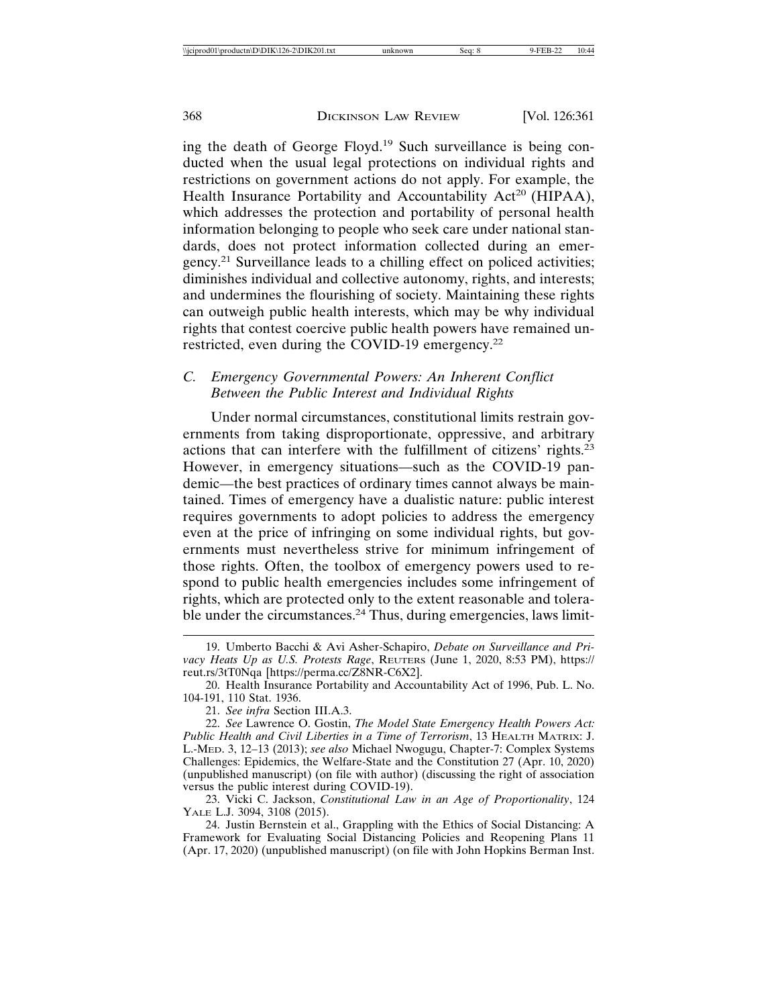ing the death of George Floyd.19 Such surveillance is being conducted when the usual legal protections on individual rights and restrictions on government actions do not apply. For example, the Health Insurance Portability and Accountability Act<sup>20</sup> (HIPAA), which addresses the protection and portability of personal health information belonging to people who seek care under national standards, does not protect information collected during an emergency.21 Surveillance leads to a chilling effect on policed activities; diminishes individual and collective autonomy, rights, and interests; and undermines the flourishing of society. Maintaining these rights can outweigh public health interests, which may be why individual rights that contest coercive public health powers have remained unrestricted, even during the COVID-19 emergency.<sup>22</sup>

## *C. Emergency Governmental Powers: An Inherent Conflict Between the Public Interest and Individual Rights*

Under normal circumstances, constitutional limits restrain governments from taking disproportionate, oppressive, and arbitrary actions that can interfere with the fulfillment of citizens' rights.<sup>23</sup> However, in emergency situations—such as the COVID-19 pandemic—the best practices of ordinary times cannot always be maintained. Times of emergency have a dualistic nature: public interest requires governments to adopt policies to address the emergency even at the price of infringing on some individual rights, but governments must nevertheless strive for minimum infringement of those rights. Often, the toolbox of emergency powers used to respond to public health emergencies includes some infringement of rights, which are protected only to the extent reasonable and tolerable under the circumstances.<sup>24</sup> Thus, during emergencies, laws limit-

<sup>19.</sup> Umberto Bacchi & Avi Asher-Schapiro, *Debate on Surveillance and Privacy Heats Up as U.S. Protests Rage*, REUTERS (June 1, 2020, 8:53 PM), https:// reut.rs/3tT0Nqa [https://perma.cc/Z8NR-C6X2].

<sup>20.</sup> Health Insurance Portability and Accountability Act of 1996, Pub. L. No. 104-191, 110 Stat. 1936.

<sup>21.</sup> *See infra* Section III.A.3.

<sup>22.</sup> *See* Lawrence O. Gostin, *The Model State Emergency Health Powers Act: Public Health and Civil Liberties in a Time of Terrorism*, 13 HEALTH MATRIX: J. L.-MED. 3, 12–13 (2013); *see also* Michael Nwogugu, Chapter-7: Complex Systems Challenges: Epidemics, the Welfare-State and the Constitution 27 (Apr. 10, 2020) (unpublished manuscript) (on file with author) (discussing the right of association versus the public interest during COVID-19).

<sup>23.</sup> Vicki C. Jackson, *Constitutional Law in an Age of Proportionality*, 124 YALE L.J. 3094, 3108 (2015).

<sup>24.</sup> Justin Bernstein et al., Grappling with the Ethics of Social Distancing: A Framework for Evaluating Social Distancing Policies and Reopening Plans 11 (Apr. 17, 2020) (unpublished manuscript) (on file with John Hopkins Berman Inst.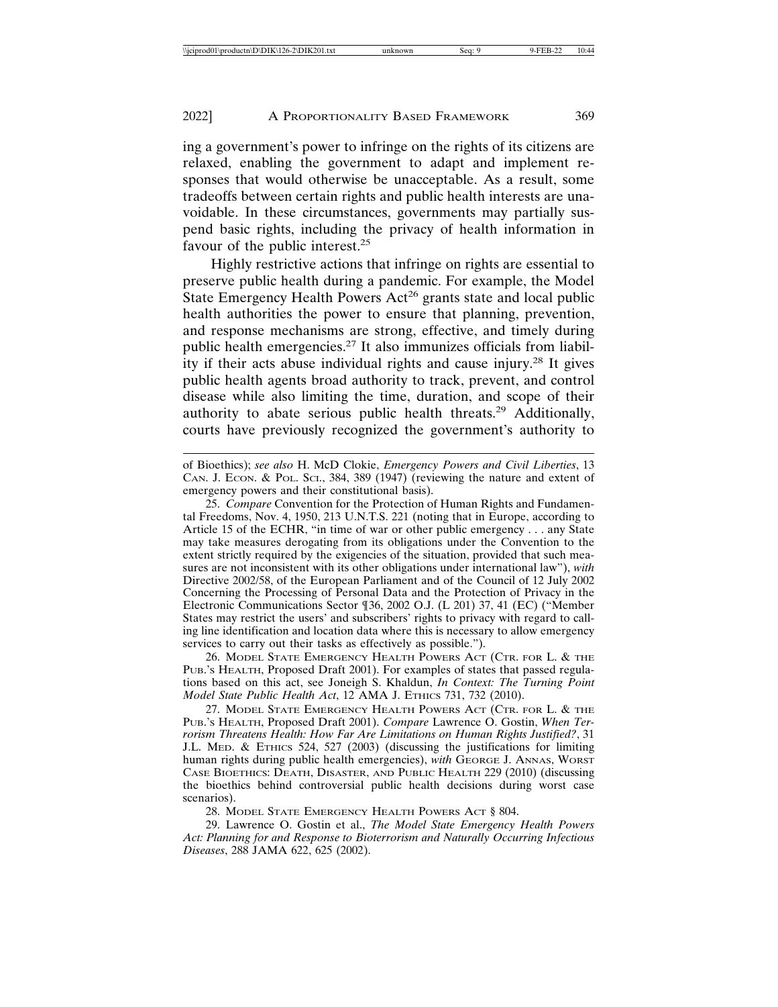ing a government's power to infringe on the rights of its citizens are relaxed, enabling the government to adapt and implement responses that would otherwise be unacceptable. As a result, some tradeoffs between certain rights and public health interests are unavoidable. In these circumstances, governments may partially suspend basic rights, including the privacy of health information in favour of the public interest.<sup>25</sup>

Highly restrictive actions that infringe on rights are essential to preserve public health during a pandemic. For example, the Model State Emergency Health Powers  $Act^{26}$  grants state and local public health authorities the power to ensure that planning, prevention, and response mechanisms are strong, effective, and timely during public health emergencies.<sup>27</sup> It also immunizes officials from liability if their acts abuse individual rights and cause injury.28 It gives public health agents broad authority to track, prevent, and control disease while also limiting the time, duration, and scope of their authority to abate serious public health threats.29 Additionally, courts have previously recognized the government's authority to

of Bioethics); *see also* H. McD Clokie, *Emergency Powers and Civil Liberties*, 13 CAN. J. ECON. & POL. SCI., 384, 389 (1947) (reviewing the nature and extent of emergency powers and their constitutional basis).

25. *Compare* Convention for the Protection of Human Rights and Fundamental Freedoms, Nov. 4, 1950, 213 U.N.T.S. 221 (noting that in Europe, according to Article 15 of the ECHR, "in time of war or other public emergency . . . any State may take measures derogating from its obligations under the Convention to the extent strictly required by the exigencies of the situation, provided that such measures are not inconsistent with its other obligations under international law"), *with* Directive 2002/58, of the European Parliament and of the Council of 12 July 2002 Concerning the Processing of Personal Data and the Protection of Privacy in the Electronic Communications Sector ¶36, 2002 O.J. (L 201) 37, 41 (EC) ("Member States may restrict the users' and subscribers' rights to privacy with regard to calling line identification and location data where this is necessary to allow emergency services to carry out their tasks as effectively as possible.").

26. MODEL STATE EMERGENCY HEALTH POWERS ACT (CTR. FOR L. & THE PUB.'S HEALTH, Proposed Draft 2001). For examples of states that passed regulations based on this act, see Joneigh S. Khaldun, *In Context: The Turning Point Model State Public Health Act*, 12 AMA J. ETHICS 731, 732 (2010).

27. MODEL STATE EMERGENCY HEALTH POWERS ACT (CTR. FOR L. & THE PUB.'S HEALTH, Proposed Draft 2001). *Compare* Lawrence O. Gostin, *When Terrorism Threatens Health: How Far Are Limitations on Human Rights Justified?*, 31 J.L. MED. & ETHICS 524, 527 (2003) (discussing the justifications for limiting human rights during public health emergencies), with GEORGE J. ANNAS, WORST CASE BIOETHICS: DEATH, DISASTER, AND PUBLIC HEALTH 229 (2010) (discussing the bioethics behind controversial public health decisions during worst case scenarios).

28. MODEL STATE EMERGENCY HEALTH POWERS ACT § 804.

29. Lawrence O. Gostin et al., *The Model State Emergency Health Powers Act: Planning for and Response to Bioterrorism and Naturally Occurring Infectious Diseases*, 288 JAMA 622, 625 (2002).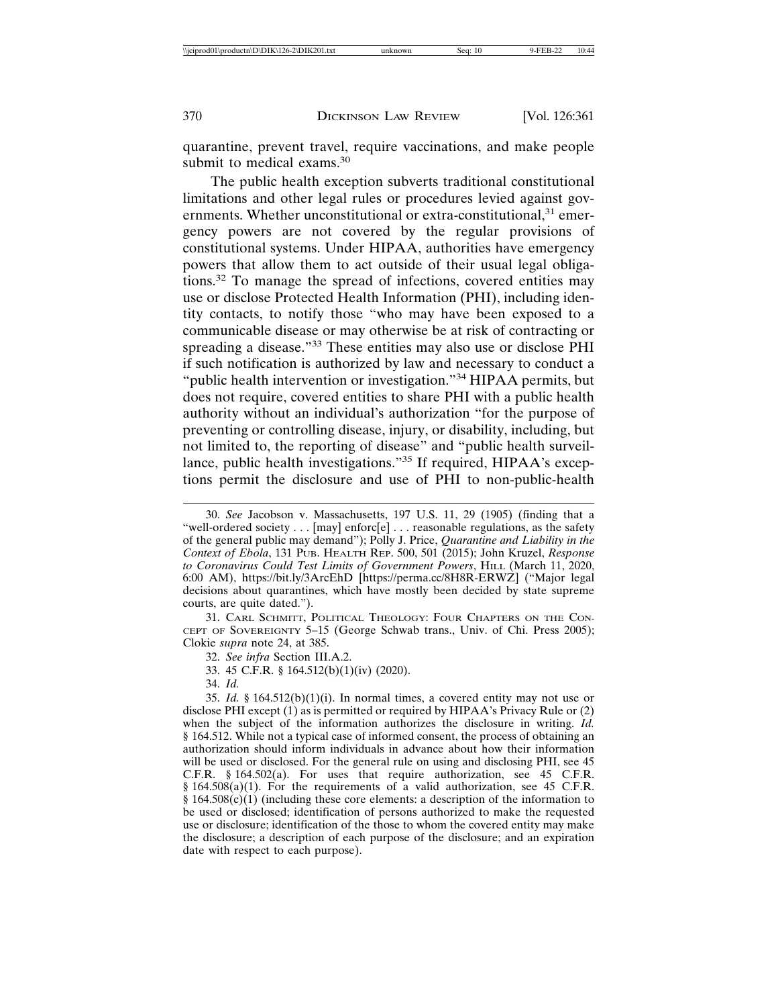quarantine, prevent travel, require vaccinations, and make people submit to medical exams.<sup>30</sup>

The public health exception subverts traditional constitutional limitations and other legal rules or procedures levied against governments. Whether unconstitutional or extra-constitutional, $31$  emergency powers are not covered by the regular provisions of constitutional systems. Under HIPAA, authorities have emergency powers that allow them to act outside of their usual legal obligations.32 To manage the spread of infections, covered entities may use or disclose Protected Health Information (PHI), including identity contacts, to notify those "who may have been exposed to a communicable disease or may otherwise be at risk of contracting or spreading a disease."33 These entities may also use or disclose PHI if such notification is authorized by law and necessary to conduct a "public health intervention or investigation."34 HIPAA permits, but does not require, covered entities to share PHI with a public health authority without an individual's authorization "for the purpose of preventing or controlling disease, injury, or disability, including, but not limited to, the reporting of disease" and "public health surveillance, public health investigations."35 If required, HIPAA's exceptions permit the disclosure and use of PHI to non-public-health

31. CARL SCHMITT, POLITICAL THEOLOGY: FOUR CHAPTERS ON THE CON-CEPT OF SOVEREIGNTY 5–15 (George Schwab trans., Univ. of Chi. Press 2005); Clokie *supra* note 24, at 385.

32. *See infra* Section III.A.2.

33. 45 C.F.R. § 164.512(b)(1)(iv) (2020).

34. *Id.*

35. *Id.* § 164.512(b)(1)(i). In normal times, a covered entity may not use or disclose PHI except (1) as is permitted or required by HIPAA's Privacy Rule or (2) when the subject of the information authorizes the disclosure in writing. *Id.* § 164.512. While not a typical case of informed consent, the process of obtaining an authorization should inform individuals in advance about how their information will be used or disclosed. For the general rule on using and disclosing PHI, see 45 C.F.R. § 164.502(a). For uses that require authorization, see 45 C.F.R. § 164.508(a)(1). For the requirements of a valid authorization, see 45 C.F.R.  $§ 164.508(c)(1)$  (including these core elements: a description of the information to be used or disclosed; identification of persons authorized to make the requested use or disclosure; identification of the those to whom the covered entity may make the disclosure; a description of each purpose of the disclosure; and an expiration date with respect to each purpose).

<sup>30.</sup> *See* Jacobson v. Massachusetts, 197 U.S. 11, 29 (1905) (finding that a "well-ordered society . . . [may] enforc[e] . . . reasonable regulations, as the safety of the general public may demand"); Polly J. Price, *Quarantine and Liability in the Context of Ebola*, 131 PUB. HEALTH REP. 500, 501 (2015); John Kruzel, *Response to Coronavirus Could Test Limits of Government Powers*, HILL (March 11, 2020, 6:00 AM), https://bit.ly/3ArcEhD [https://perma.cc/8H8R-ERWZ] ("Major legal decisions about quarantines, which have mostly been decided by state supreme courts, are quite dated.").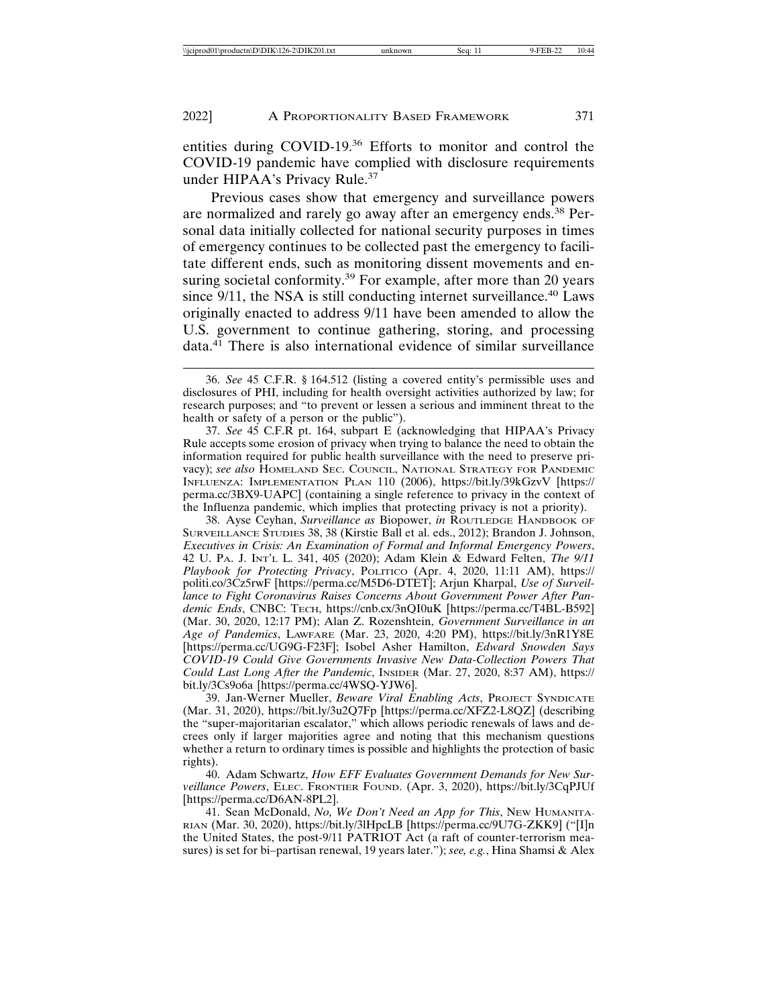entities during COVID-19.36 Efforts to monitor and control the COVID-19 pandemic have complied with disclosure requirements under HIPAA's Privacy Rule.<sup>37</sup>

Previous cases show that emergency and surveillance powers are normalized and rarely go away after an emergency ends.38 Personal data initially collected for national security purposes in times of emergency continues to be collected past the emergency to facilitate different ends, such as monitoring dissent movements and ensuring societal conformity.<sup>39</sup> For example, after more than 20 years since  $9/11$ , the NSA is still conducting internet surveillance.<sup>40</sup> Laws originally enacted to address 9/11 have been amended to allow the U.S. government to continue gathering, storing, and processing data.41 There is also international evidence of similar surveillance

37. *See* 45 C.F.R pt. 164, subpart E (acknowledging that HIPAA's Privacy Rule accepts some erosion of privacy when trying to balance the need to obtain the information required for public health surveillance with the need to preserve privacy); *see also* HOMELAND SEC. COUNCIL, NATIONAL STRATEGY FOR PANDEMIC INFLUENZA: IMPLEMENTATION PLAN 110 (2006), https://bit.ly/39kGzvV [https:// perma.cc/3BX9-UAPC] (containing a single reference to privacy in the context of the Influenza pandemic, which implies that protecting privacy is not a priority).

38. Ayse Ceyhan, *Surveillance as* Biopower, *in* ROUTLEDGE HANDBOOK OF SURVEILLANCE STUDIES 38, 38 (Kirstie Ball et al. eds., 2012); Brandon J. Johnson, *Executives in Crisis: An Examination of Formal and Informal Emergency Powers*, 42 U. PA. J. INT'L L. 341, 405 (2020); Adam Klein & Edward Felten, *The 9/11 Playbook for Protecting Privacy*, POLITICO (Apr. 4, 2020, 11:11 AM), https:// politi.co/3Cz5rwF [https://perma.cc/M5D6-DTET]; Arjun Kharpal, *Use of Surveillance to Fight Coronavirus Raises Concerns About Government Power After Pandemic Ends*, CNBC: TECH, https://cnb.cx/3nQI0uK [https://perma.cc/T4BL-B592] (Mar. 30, 2020, 12:17 PM); Alan Z. Rozenshtein, *Government Surveillance in an Age of Pandemics*, LAWFARE (Mar. 23, 2020, 4:20 PM), https://bit.ly/3nR1Y8E [https://perma.cc/UG9G-F23F]; Isobel Asher Hamilton, *Edward Snowden Says COVID-19 Could Give Governments Invasive New Data-Collection Powers That Could Last Long After the Pandemic*, INSIDER (Mar. 27, 2020, 8:37 AM), https:// bit.ly/3Cs9o6a [https://perma.cc/4WSQ-YJW6].

39. Jan-Werner Mueller, *Beware Viral Enabling Acts*, PROJECT SYNDICATE (Mar. 31, 2020), https://bit.ly/3u2Q7Fp [https://perma.cc/XFZ2-L8QZ] (describing the "super-majoritarian escalator," which allows periodic renewals of laws and decrees only if larger majorities agree and noting that this mechanism questions whether a return to ordinary times is possible and highlights the protection of basic rights).

40. Adam Schwartz, *How EFF Evaluates Government Demands for New Surveillance Powers*, ELEC. FRONTIER FOUND. (Apr. 3, 2020), https://bit.ly/3CqPJUf [https://perma.cc/D6AN-8PL2].

41. Sean McDonald, *No, We Don't Need an App for This*, NEW HUMANITA-RIAN (Mar. 30, 2020), https://bit.ly/3lHpcLB [https://perma.cc/9U7G-ZKK9] ("[I]n the United States, the post-9/11 PATRIOT Act (a raft of counter-terrorism measures) is set for bi–partisan renewal, 19 years later."); *see, e.g.*, Hina Shamsi & Alex

<sup>36.</sup> *See* 45 C.F.R. § 164.512 (listing a covered entity's permissible uses and disclosures of PHI, including for health oversight activities authorized by law; for research purposes; and "to prevent or lessen a serious and imminent threat to the health or safety of a person or the public").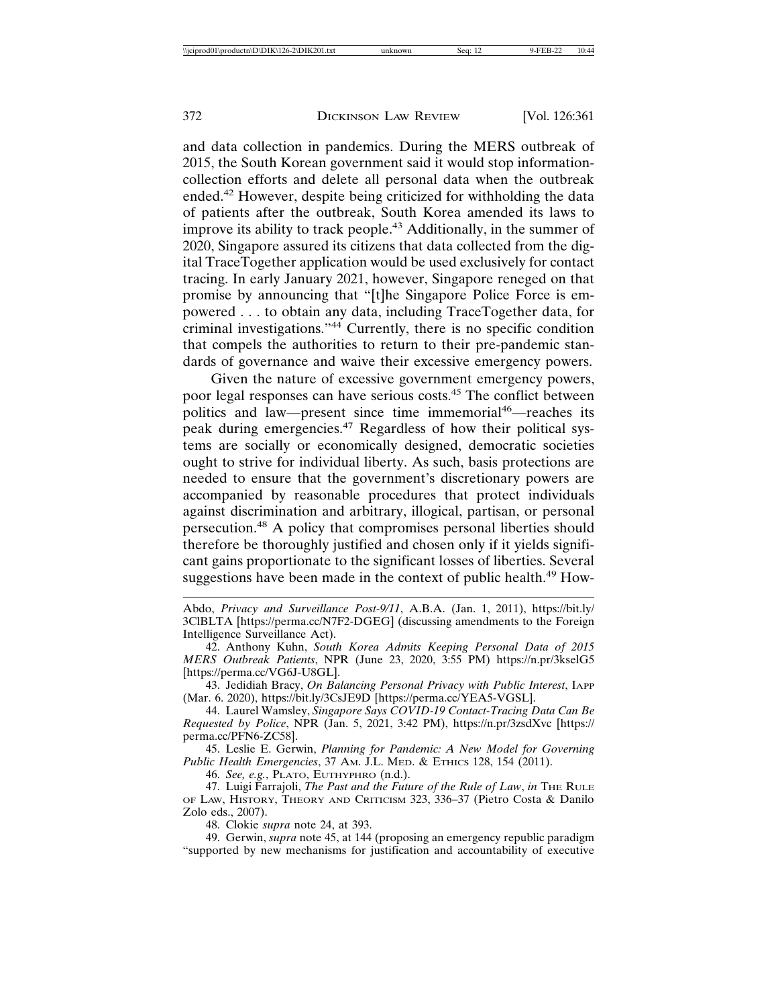and data collection in pandemics. During the MERS outbreak of 2015, the South Korean government said it would stop informationcollection efforts and delete all personal data when the outbreak ended.42 However, despite being criticized for withholding the data of patients after the outbreak, South Korea amended its laws to improve its ability to track people.<sup>43</sup> Additionally, in the summer of 2020, Singapore assured its citizens that data collected from the digital TraceTogether application would be used exclusively for contact tracing. In early January 2021, however, Singapore reneged on that promise by announcing that "[t]he Singapore Police Force is empowered . . . to obtain any data, including TraceTogether data, for criminal investigations."44 Currently, there is no specific condition that compels the authorities to return to their pre-pandemic standards of governance and waive their excessive emergency powers.

Given the nature of excessive government emergency powers, poor legal responses can have serious costs.45 The conflict between politics and law—present since time immemorial<sup>46</sup>—reaches its peak during emergencies.47 Regardless of how their political systems are socially or economically designed, democratic societies ought to strive for individual liberty. As such, basis protections are needed to ensure that the government's discretionary powers are accompanied by reasonable procedures that protect individuals against discrimination and arbitrary, illogical, partisan, or personal persecution.48 A policy that compromises personal liberties should therefore be thoroughly justified and chosen only if it yields significant gains proportionate to the significant losses of liberties. Several suggestions have been made in the context of public health.<sup>49</sup> How-

- Abdo, *Privacy and Surveillance Post-9/11*, A.B.A. (Jan. 1, 2011), https://bit.ly/ 3ClBLTA [https://perma.cc/N7F2-DGEG] (discussing amendments to the Foreign Intelligence Surveillance Act).
- 42. Anthony Kuhn, *South Korea Admits Keeping Personal Data of 2015 MERS Outbreak Patients*, NPR (June 23, 2020, 3:55 PM) https://n.pr/3kselG5 [https://perma.cc/VG6J-U8GL].
- 43. Jedidiah Bracy, *On Balancing Personal Privacy with Public Interest*, IAPP (Mar. 6. 2020), https://bit.ly/3CsJE9D [https://perma.cc/YEA5-VGSL].
- 44. Laurel Wamsley, *Singapore Says COVID-19 Contact-Tracing Data Can Be Requested by Police*, NPR (Jan. 5, 2021, 3:42 PM), https://n.pr/3zsdXvc [https:// perma.cc/PFN6-ZC58].

45. Leslie E. Gerwin, *Planning for Pandemic: A New Model for Governing Public Health Emergencies*, 37 AM. J.L. MED. & ETHICS 128, 154 (2011).

46. *See, e.g.*, PLATO, EUTHYPHRO (n.d.).

- 47. Luigi Farrajoli, *The Past and the Future of the Rule of Law*, *in* THE RULE OF LAW, HISTORY, THEORY AND CRITICISM 323, 336–37 (Pietro Costa & Danilo Zolo eds., 2007).
	- 48. Clokie *supra* note 24, at 393.

49. Gerwin, *supra* note 45, at 144 (proposing an emergency republic paradigm "supported by new mechanisms for justification and accountability of executive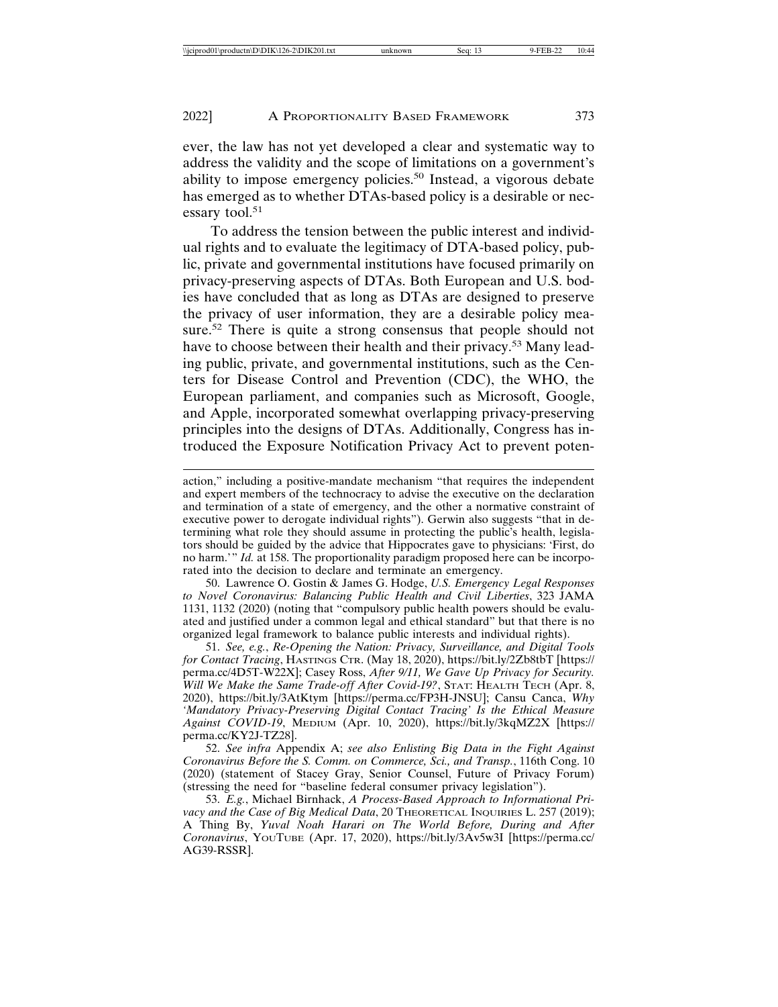ever, the law has not yet developed a clear and systematic way to address the validity and the scope of limitations on a government's ability to impose emergency policies.<sup>50</sup> Instead, a vigorous debate has emerged as to whether DTAs-based policy is a desirable or necessary tool.<sup>51</sup>

To address the tension between the public interest and individual rights and to evaluate the legitimacy of DTA-based policy, public, private and governmental institutions have focused primarily on privacy-preserving aspects of DTAs. Both European and U.S. bodies have concluded that as long as DTAs are designed to preserve the privacy of user information, they are a desirable policy measure.<sup>52</sup> There is quite a strong consensus that people should not have to choose between their health and their privacy.<sup>53</sup> Many leading public, private, and governmental institutions, such as the Centers for Disease Control and Prevention (CDC), the WHO, the European parliament, and companies such as Microsoft, Google, and Apple, incorporated somewhat overlapping privacy-preserving principles into the designs of DTAs. Additionally, Congress has introduced the Exposure Notification Privacy Act to prevent poten-

50. Lawrence O. Gostin & James G. Hodge, *U.S. Emergency Legal Responses to Novel Coronavirus: Balancing Public Health and Civil Liberties*, 323 JAMA 1131, 1132 (2020) (noting that "compulsory public health powers should be evaluated and justified under a common legal and ethical standard" but that there is no organized legal framework to balance public interests and individual rights).

51. *See, e.g.*, *Re-Opening the Nation: Privacy, Surveillance, and Digital Tools for Contact Tracing*, HASTINGS CTR. (May 18, 2020), https://bit.ly/2Zb8tbT [https:// perma.cc/4D5T-W22X]; Casey Ross, *After 9/11, We Gave Up Privacy for Security. Will We Make the Same Trade-off After Covid-19?*, STAT: HEALTH TECH (Apr. 8, 2020), https://bit.ly/3AtKtym [https://perma.cc/FP3H-JNSU]; Cansu Canca, *Why 'Mandatory Privacy-Preserving Digital Contact Tracing' Is the Ethical Measure Against COVID-19*, MEDIUM (Apr. 10, 2020), https://bit.ly/3kqMZ2X [https:// perma.cc/KY2J-TZ28].

52. *See infra* Appendix A; *see also Enlisting Big Data in the Fight Against Coronavirus Before the S. Comm. on Commerce, Sci., and Transp.*, 116th Cong. 10 (2020) (statement of Stacey Gray, Senior Counsel, Future of Privacy Forum) (stressing the need for "baseline federal consumer privacy legislation").

53. *E.g.*, Michael Birnhack, *A Process-Based Approach to Informational Pri*vacy and the Case of Big Medical Data, 20 THEORETICAL INQUIRIES L. 257 (2019); A Thing By, *Yuval Noah Harari on The World Before, During and After Coronavirus*, YOUTUBE (Apr. 17, 2020), https://bit.ly/3Av5w3I [https://perma.cc/ AG39-RSSR].

action," including a positive-mandate mechanism "that requires the independent and expert members of the technocracy to advise the executive on the declaration and termination of a state of emergency, and the other a normative constraint of executive power to derogate individual rights"). Gerwin also suggests "that in determining what role they should assume in protecting the public's health, legislators should be guided by the advice that Hippocrates gave to physicians: 'First, do no harm.'" *Id.* at 158. The proportionality paradigm proposed here can be incorporated into the decision to declare and terminate an emergency.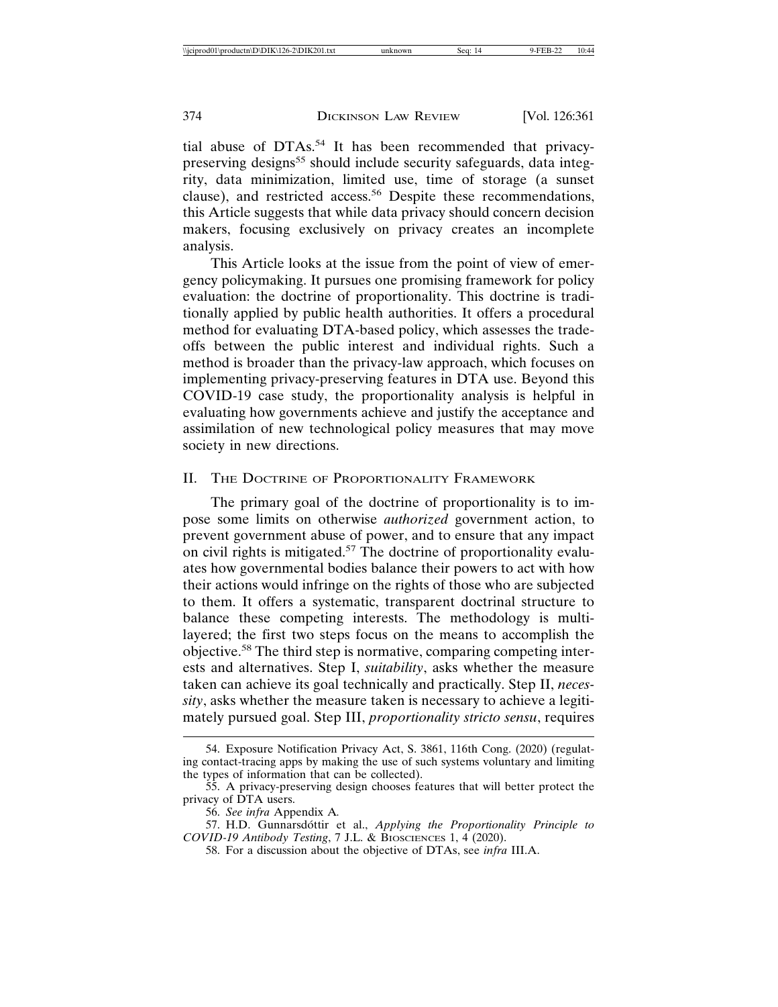tial abuse of DTAs.54 It has been recommended that privacypreserving designs<sup>55</sup> should include security safeguards, data integrity, data minimization, limited use, time of storage (a sunset clause), and restricted access.<sup>56</sup> Despite these recommendations, this Article suggests that while data privacy should concern decision makers, focusing exclusively on privacy creates an incomplete analysis.

This Article looks at the issue from the point of view of emergency policymaking. It pursues one promising framework for policy evaluation: the doctrine of proportionality. This doctrine is traditionally applied by public health authorities. It offers a procedural method for evaluating DTA-based policy, which assesses the tradeoffs between the public interest and individual rights. Such a method is broader than the privacy-law approach, which focuses on implementing privacy-preserving features in DTA use. Beyond this COVID-19 case study, the proportionality analysis is helpful in evaluating how governments achieve and justify the acceptance and assimilation of new technological policy measures that may move society in new directions.

#### II. THE DOCTRINE OF PROPORTIONALITY FRAMEWORK

The primary goal of the doctrine of proportionality is to impose some limits on otherwise *authorized* government action, to prevent government abuse of power, and to ensure that any impact on civil rights is mitigated.<sup>57</sup> The doctrine of proportionality evaluates how governmental bodies balance their powers to act with how their actions would infringe on the rights of those who are subjected to them. It offers a systematic, transparent doctrinal structure to balance these competing interests. The methodology is multilayered; the first two steps focus on the means to accomplish the objective.58 The third step is normative, comparing competing interests and alternatives. Step I, *suitability*, asks whether the measure taken can achieve its goal technically and practically. Step II, *necessity*, asks whether the measure taken is necessary to achieve a legitimately pursued goal. Step III, *proportionality stricto sensu*, requires

<sup>54.</sup> Exposure Notification Privacy Act, S. 3861, 116th Cong. (2020) (regulating contact-tracing apps by making the use of such systems voluntary and limiting the types of information that can be collected).

<sup>55.</sup> A privacy-preserving design chooses features that will better protect the privacy of DTA users.

<sup>56.</sup> *See infra* Appendix A*.*

<sup>57.</sup> H.D. Gunnarsdóttir et al., *Applying the Proportionality Principle to COVID-19 Antibody Testing*, 7 J.L. & BIOSCIENCES 1, 4 (2020).

<sup>58.</sup> For a discussion about the objective of DTAs, see *infra* III.A.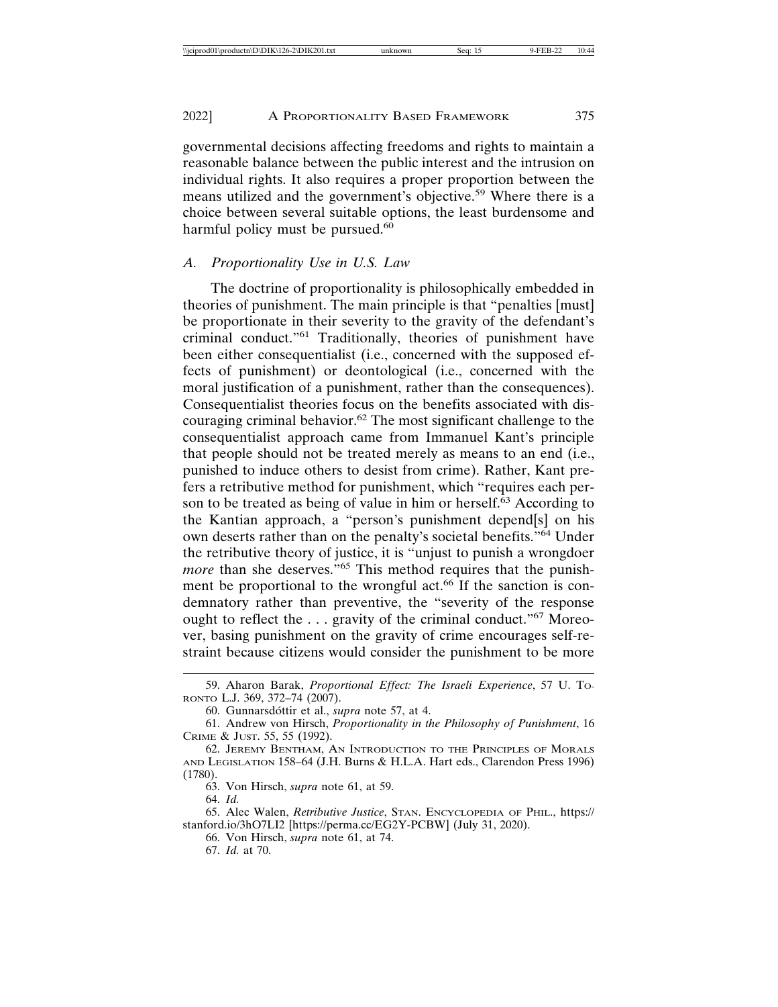governmental decisions affecting freedoms and rights to maintain a reasonable balance between the public interest and the intrusion on individual rights. It also requires a proper proportion between the means utilized and the government's objective.59 Where there is a choice between several suitable options, the least burdensome and harmful policy must be pursued. $60$ 

## *A. Proportionality Use in U.S. Law*

The doctrine of proportionality is philosophically embedded in theories of punishment. The main principle is that "penalties [must] be proportionate in their severity to the gravity of the defendant's criminal conduct."61 Traditionally, theories of punishment have been either consequentialist (i.e., concerned with the supposed effects of punishment) or deontological (i.e., concerned with the moral justification of a punishment, rather than the consequences). Consequentialist theories focus on the benefits associated with discouraging criminal behavior.<sup>62</sup> The most significant challenge to the consequentialist approach came from Immanuel Kant's principle that people should not be treated merely as means to an end (i.e., punished to induce others to desist from crime). Rather, Kant prefers a retributive method for punishment, which "requires each person to be treated as being of value in him or herself.<sup>63</sup> According to the Kantian approach, a "person's punishment depend[s] on his own deserts rather than on the penalty's societal benefits."64 Under the retributive theory of justice, it is "unjust to punish a wrongdoer *more* than she deserves."<sup>65</sup> This method requires that the punishment be proportional to the wrongful act.<sup>66</sup> If the sanction is condemnatory rather than preventive, the "severity of the response ought to reflect the  $\dots$  gravity of the criminal conduct."<sup>67</sup> Moreover, basing punishment on the gravity of crime encourages self-restraint because citizens would consider the punishment to be more

67. *Id.* at 70.

<sup>59.</sup> Aharon Barak, *Proportional Effect: The Israeli Experience*, 57 U. TO-RONTO L.J. 369, 372–74 (2007).

<sup>60.</sup> Gunnarsdóttir et al., *supra* note 57, at 4.

<sup>61.</sup> Andrew von Hirsch, *Proportionality in the Philosophy of Punishment*, 16 CRIME & JUST. 55, 55 (1992).

<sup>62.</sup> JEREMY BENTHAM, AN INTRODUCTION TO THE PRINCIPLES OF MORALS AND LEGISLATION 158–64 (J.H. Burns & H.L.A. Hart eds., Clarendon Press 1996) (1780).

<sup>63.</sup> Von Hirsch, *supra* note 61, at 59.

<sup>64.</sup> *Id.*

<sup>65.</sup> Alec Walen, *Retributive Justice*, STAN. ENCYCLOPEDIA OF PHIL., https:// stanford.io/3hO7LI2 [https://perma.cc/EG2Y-PCBW] (July 31, 2020).

<sup>66.</sup> Von Hirsch, *supra* note 61, at 74.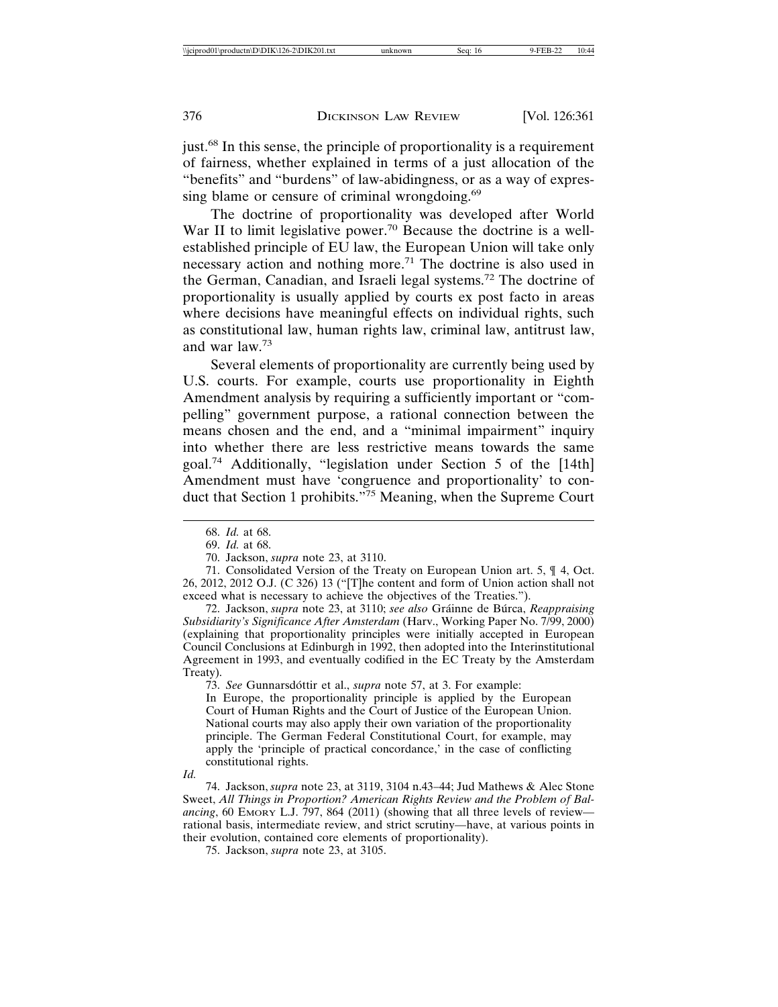just.68 In this sense, the principle of proportionality is a requirement of fairness, whether explained in terms of a just allocation of the "benefits" and "burdens" of law-abidingness, or as a way of expressing blame or censure of criminal wrongdoing.<sup>69</sup>

The doctrine of proportionality was developed after World War II to limit legislative power.<sup>70</sup> Because the doctrine is a wellestablished principle of EU law, the European Union will take only necessary action and nothing more.71 The doctrine is also used in the German, Canadian, and Israeli legal systems.72 The doctrine of proportionality is usually applied by courts ex post facto in areas where decisions have meaningful effects on individual rights, such as constitutional law, human rights law, criminal law, antitrust law, and war law.<sup>73</sup>

Several elements of proportionality are currently being used by U.S. courts. For example, courts use proportionality in Eighth Amendment analysis by requiring a sufficiently important or "compelling" government purpose, a rational connection between the means chosen and the end, and a "minimal impairment" inquiry into whether there are less restrictive means towards the same goal.74 Additionally, "legislation under Section 5 of the [14th] Amendment must have 'congruence and proportionality' to conduct that Section 1 prohibits."<sup>75</sup> Meaning, when the Supreme Court

72. Jackson, *supra* note 23, at 3110; *see also* Gráinne de Búrca, Reappraising *Subsidiarity's Significance After Amsterdam* (Harv., Working Paper No. 7/99, 2000) (explaining that proportionality principles were initially accepted in European Council Conclusions at Edinburgh in 1992, then adopted into the Interinstitutional Agreement in 1993, and eventually codified in the EC Treaty by the Amsterdam Treaty).

73. *See* Gunnarsdottir et al., *supra* note 57, at 3. For example:

In Europe, the proportionality principle is applied by the European Court of Human Rights and the Court of Justice of the European Union. National courts may also apply their own variation of the proportionality principle. The German Federal Constitutional Court, for example, may apply the 'principle of practical concordance,' in the case of conflicting constitutional rights.

*Id.*

74. Jackson, *supra* note 23, at 3119, 3104 n.43–44; Jud Mathews & Alec Stone Sweet, *All Things in Proportion? American Rights Review and the Problem of Bal*ancing, 60 EMORY L.J. 797, 864 (2011) (showing that all three levels of review rational basis, intermediate review, and strict scrutiny—have, at various points in their evolution, contained core elements of proportionality).

75. Jackson, *supra* note 23, at 3105.

<sup>68.</sup> *Id.* at 68.

<sup>69.</sup> *Id.* at 68.

<sup>70.</sup> Jackson, *supra* note 23, at 3110.

<sup>71.</sup> Consolidated Version of the Treaty on European Union art. 5, ¶ 4, Oct. 26, 2012, 2012 O.J. (C 326) 13 ("[T]he content and form of Union action shall not exceed what is necessary to achieve the objectives of the Treaties.").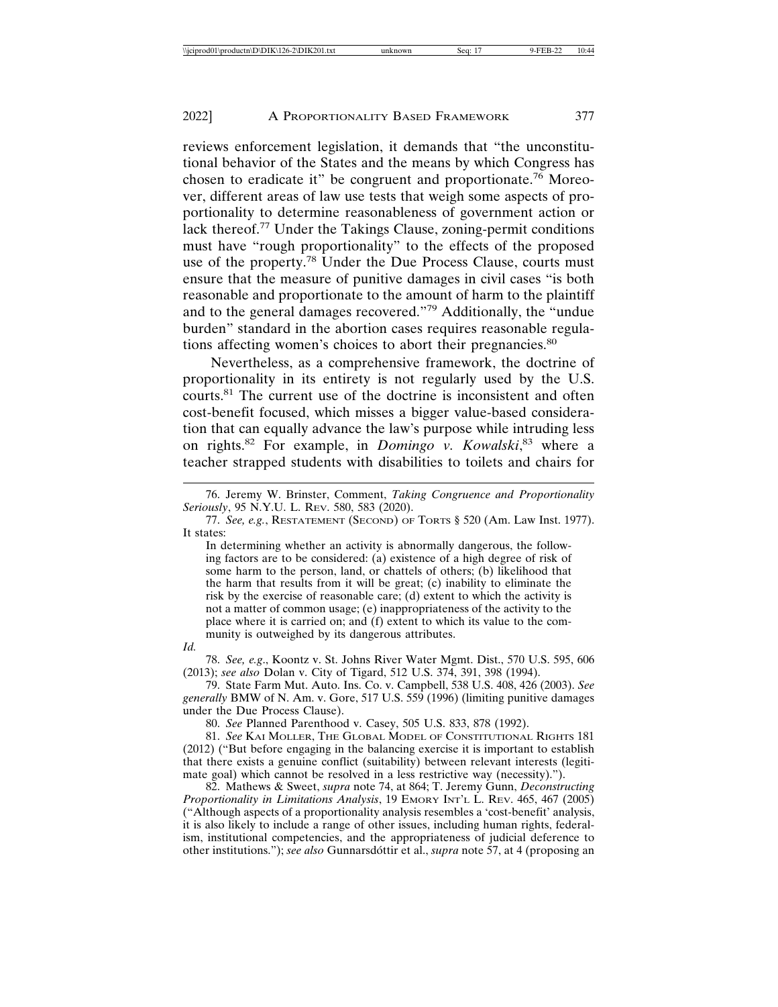reviews enforcement legislation, it demands that "the unconstitutional behavior of the States and the means by which Congress has chosen to eradicate it" be congruent and proportionate.<sup>76</sup> Moreover, different areas of law use tests that weigh some aspects of proportionality to determine reasonableness of government action or lack thereof.<sup>77</sup> Under the Takings Clause, zoning-permit conditions must have "rough proportionality" to the effects of the proposed use of the property.78 Under the Due Process Clause, courts must ensure that the measure of punitive damages in civil cases "is both reasonable and proportionate to the amount of harm to the plaintiff and to the general damages recovered."79 Additionally, the "undue burden" standard in the abortion cases requires reasonable regulations affecting women's choices to abort their pregnancies.<sup>80</sup>

Nevertheless, as a comprehensive framework, the doctrine of proportionality in its entirety is not regularly used by the U.S. courts.81 The current use of the doctrine is inconsistent and often cost-benefit focused, which misses a bigger value-based consideration that can equally advance the law's purpose while intruding less on rights.82 For example, in *Domingo v. Kowalski*, 83 where a teacher strapped students with disabilities to toilets and chairs for

In determining whether an activity is abnormally dangerous, the following factors are to be considered: (a) existence of a high degree of risk of some harm to the person, land, or chattels of others; (b) likelihood that the harm that results from it will be great; (c) inability to eliminate the risk by the exercise of reasonable care; (d) extent to which the activity is not a matter of common usage; (e) inappropriateness of the activity to the place where it is carried on; and (f) extent to which its value to the community is outweighed by its dangerous attributes.

78. *See, e.g*., Koontz v. St. Johns River Water Mgmt. Dist., 570 U.S. 595, 606 (2013); *see also* Dolan v. City of Tigard, 512 U.S. 374, 391, 398 (1994).

79. State Farm Mut. Auto. Ins. Co. v. Campbell, 538 U.S. 408, 426 (2003). *See generally* BMW of N. Am. v. Gore, 517 U.S. 559 (1996) (limiting punitive damages under the Due Process Clause).

80. *See* Planned Parenthood v. Casey, 505 U.S. 833, 878 (1992).

81. *See* KAI MOLLER, THE GLOBAL MODEL OF CONSTITUTIONAL RIGHTS 181 (2012) ("But before engaging in the balancing exercise it is important to establish that there exists a genuine conflict (suitability) between relevant interests (legitimate goal) which cannot be resolved in a less restrictive way (necessity).").

82. Mathews & Sweet, *supra* note 74, at 864; T. Jeremy Gunn, *Deconstructing Proportionality in Limitations Analysis*, 19 EMORY INT'L L. REV. 465, 467 (2005) ("Although aspects of a proportionality analysis resembles a 'cost-benefit' analysis, it is also likely to include a range of other issues, including human rights, federalism, institutional competencies, and the appropriateness of judicial deference to other institutions."); *see also* Gunnarsdóttir et al., *supra* note 57, at 4 (proposing an

<sup>76.</sup> Jeremy W. Brinster, Comment, *Taking Congruence and Proportionality Seriously*, 95 N.Y.U. L. REV. 580, 583 (2020).

<sup>77.</sup> *See, e.g.*, RESTATEMENT (SECOND) OF TORTS § 520 (Am. Law Inst. 1977). It states:

*Id.*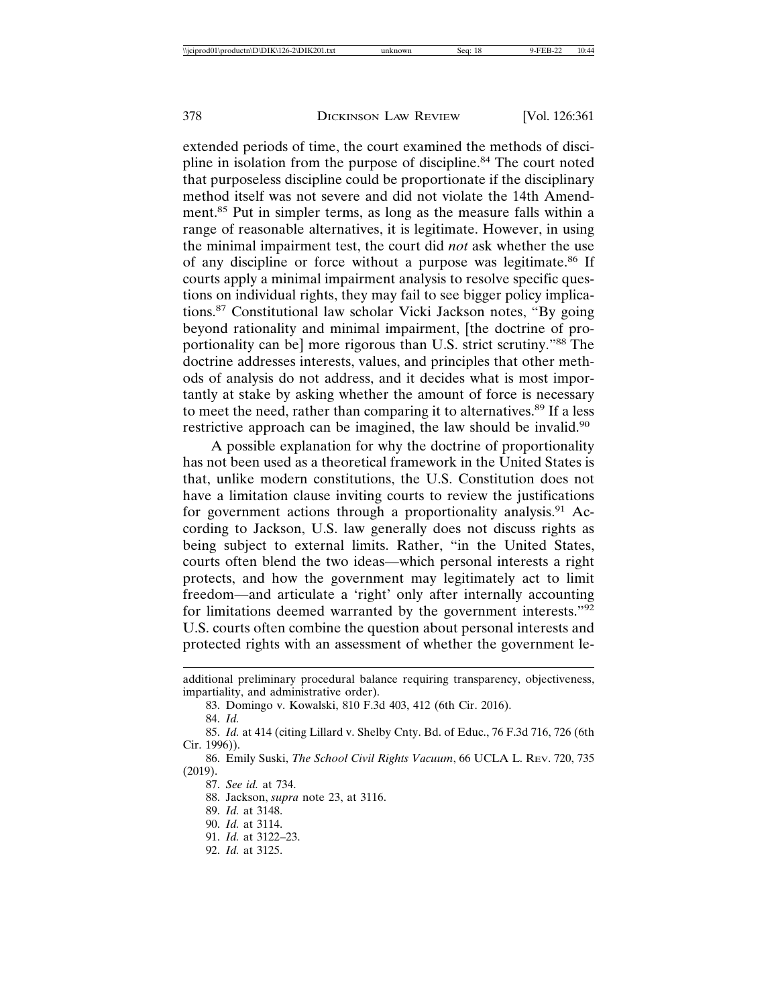extended periods of time, the court examined the methods of discipline in isolation from the purpose of discipline.<sup>84</sup> The court noted that purposeless discipline could be proportionate if the disciplinary method itself was not severe and did not violate the 14th Amendment.85 Put in simpler terms, as long as the measure falls within a range of reasonable alternatives, it is legitimate. However, in using the minimal impairment test, the court did *not* ask whether the use of any discipline or force without a purpose was legitimate.86 If courts apply a minimal impairment analysis to resolve specific questions on individual rights, they may fail to see bigger policy implications.87 Constitutional law scholar Vicki Jackson notes, "By going beyond rationality and minimal impairment, [the doctrine of proportionality can be] more rigorous than U.S. strict scrutiny."88 The doctrine addresses interests, values, and principles that other methods of analysis do not address, and it decides what is most importantly at stake by asking whether the amount of force is necessary to meet the need, rather than comparing it to alternatives.<sup>89</sup> If a less restrictive approach can be imagined, the law should be invalid.<sup>90</sup>

A possible explanation for why the doctrine of proportionality has not been used as a theoretical framework in the United States is that, unlike modern constitutions, the U.S. Constitution does not have a limitation clause inviting courts to review the justifications for government actions through a proportionality analysis.<sup>91</sup> According to Jackson, U.S. law generally does not discuss rights as being subject to external limits. Rather, "in the United States, courts often blend the two ideas—which personal interests a right protects, and how the government may legitimately act to limit freedom—and articulate a 'right' only after internally accounting for limitations deemed warranted by the government interests."<sup>92</sup> U.S. courts often combine the question about personal interests and protected rights with an assessment of whether the government le-

83. Domingo v. Kowalski, 810 F.3d 403, 412 (6th Cir. 2016).

88. Jackson, *supra* note 23, at 3116.

additional preliminary procedural balance requiring transparency, objectiveness, impartiality, and administrative order).

<sup>84.</sup> *Id.*

<sup>85.</sup> *Id.* at 414 (citing Lillard v. Shelby Cnty. Bd. of Educ., 76 F.3d 716, 726 (6th Cir. 1996)).

<sup>86.</sup> Emily Suski, *The School Civil Rights Vacuum*, 66 UCLA L. REV. 720, 735 (2019).

<sup>87.</sup> *See id.* at 734.

<sup>89.</sup> *Id.* at 3148.

<sup>90.</sup> *Id.* at 3114.

<sup>91.</sup> *Id.* at 3122–23.

<sup>92.</sup> *Id.* at 3125.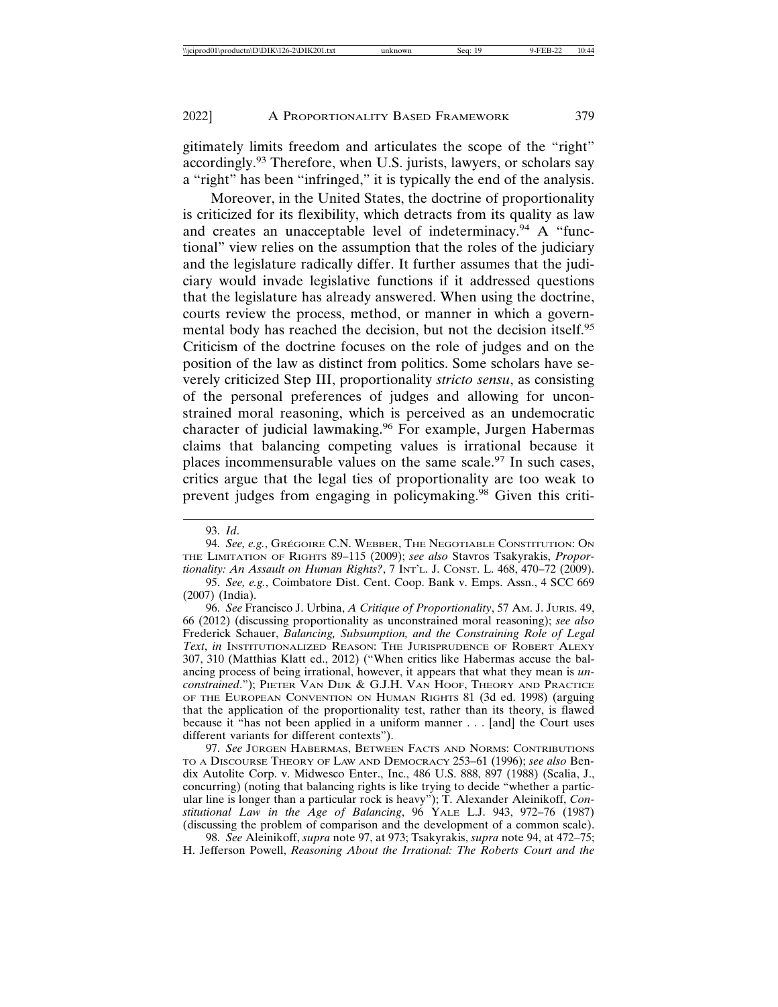gitimately limits freedom and articulates the scope of the "right" accordingly.<sup>93</sup> Therefore, when U.S. jurists, lawyers, or scholars say a "right" has been "infringed," it is typically the end of the analysis.

Moreover, in the United States, the doctrine of proportionality is criticized for its flexibility, which detracts from its quality as law and creates an unacceptable level of indeterminacy.<sup>94</sup> A "functional" view relies on the assumption that the roles of the judiciary and the legislature radically differ. It further assumes that the judiciary would invade legislative functions if it addressed questions that the legislature has already answered. When using the doctrine, courts review the process, method, or manner in which a governmental body has reached the decision, but not the decision itself.<sup>95</sup> Criticism of the doctrine focuses on the role of judges and on the position of the law as distinct from politics. Some scholars have severely criticized Step III, proportionality *stricto sensu*, as consisting of the personal preferences of judges and allowing for unconstrained moral reasoning, which is perceived as an undemocratic character of judicial lawmaking.96 For example, Jurgen Habermas claims that balancing competing values is irrational because it places incommensurable values on the same scale. $97$  In such cases, critics argue that the legal ties of proportionality are too weak to prevent judges from engaging in policymaking.<sup>98</sup> Given this criti-

94. See, e.g., Grégoire C.N. Webber, The Negotiable Constitution: On THE LIMITATION OF RIGHTS 89–115 (2009); *see also* Stavros Tsakyrakis, *Proportionality: An Assault on Human Rights?*, 7 INT'L. J. CONST. L. 468, 470–72 (2009).

97. See JÜRGEN HABERMAS, BETWEEN FACTS AND NORMS: CONTRIBUTIONS TO A DISCOURSE THEORY OF LAW AND DEMOCRACY 253–61 (1996); *see also* Bendix Autolite Corp. v. Midwesco Enter., Inc., 486 U.S. 888, 897 (1988) (Scalia, J., concurring) (noting that balancing rights is like trying to decide "whether a particular line is longer than a particular rock is heavy"); T. Alexander Aleinikoff, *Constitutional Law in the Age of Balancing*, 96 YALE L.J. 943, 972–76 (1987) (discussing the problem of comparison and the development of a common scale).

98. *See* Aleinikoff, *supra* note 97, at 973; Tsakyrakis, *supra* note 94, at 472–75; H. Jefferson Powell, *Reasoning About the Irrational: The Roberts Court and the*

<sup>93.</sup> *Id*.

<sup>95.</sup> *See, e.g.*, Coimbatore Dist. Cent. Coop. Bank v. Emps. Assn., 4 SCC 669 (2007) (India).

<sup>96.</sup> *See* Francisco J. Urbina, *A Critique of Proportionality*, 57 AM. J. JURIS. 49, 66 (2012) (discussing proportionality as unconstrained moral reasoning); *see also* Frederick Schauer, *Balancing, Subsumption, and the Constraining Role of Legal Text*, *in* INSTITUTIONALIZED REASON: THE JURISPRUDENCE OF ROBERT ALEXY 307, 310 (Matthias Klatt ed., 2012) ("When critics like Habermas accuse the balancing process of being irrational, however, it appears that what they mean is *unconstrained*."); PIETER VAN DIJK & G.J.H. VAN HOOF, THEORY AND PRACTICE OF THE EUROPEAN CONVENTION ON HUMAN RIGHTS 81 (3d ed. 1998) (arguing that the application of the proportionality test, rather than its theory, is flawed because it "has not been applied in a uniform manner . . . [and] the Court uses different variants for different contexts").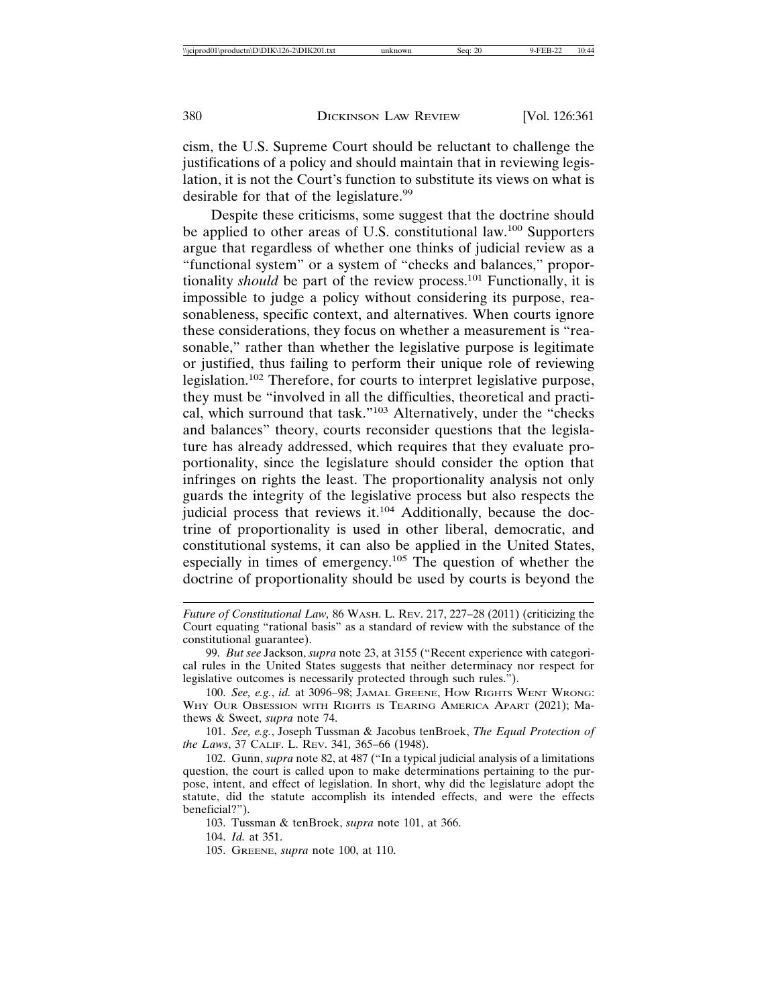cism, the U.S. Supreme Court should be reluctant to challenge the justifications of a policy and should maintain that in reviewing legislation, it is not the Court's function to substitute its views on what is desirable for that of the legislature.<sup>99</sup>

Despite these criticisms, some suggest that the doctrine should be applied to other areas of U.S. constitutional law.<sup>100</sup> Supporters argue that regardless of whether one thinks of judicial review as a "functional system" or a system of "checks and balances," proportionality *should* be part of the review process.<sup>101</sup> Functionally, it is impossible to judge a policy without considering its purpose, reasonableness, specific context, and alternatives. When courts ignore these considerations, they focus on whether a measurement is "reasonable," rather than whether the legislative purpose is legitimate or justified, thus failing to perform their unique role of reviewing legislation.102 Therefore, for courts to interpret legislative purpose, they must be "involved in all the difficulties, theoretical and practical, which surround that task."103 Alternatively, under the "checks and balances" theory, courts reconsider questions that the legislature has already addressed, which requires that they evaluate proportionality, since the legislature should consider the option that infringes on rights the least. The proportionality analysis not only guards the integrity of the legislative process but also respects the judicial process that reviews it.<sup>104</sup> Additionally, because the doctrine of proportionality is used in other liberal, democratic, and constitutional systems, it can also be applied in the United States, especially in times of emergency.105 The question of whether the doctrine of proportionality should be used by courts is beyond the

- *Future of Constitutional Law,* 86 WASH. L. REV. 217, 227–28 (2011) (criticizing the Court equating "rational basis" as a standard of review with the substance of the constitutional guarantee).
- 99. *But see* Jackson, *supra* note 23, at 3155 ("Recent experience with categorical rules in the United States suggests that neither determinacy nor respect for legislative outcomes is necessarily protected through such rules.").
- 100. *See, e.g.*, *id.* at 3096–98; JAMAL GREENE, HOW RIGHTS WENT WRONG: WHY OUR OBSESSION WITH RIGHTS IS TEARING AMERICA APART (2021); Mathews & Sweet, *supra* note 74.

101. *See, e.g.*, Joseph Tussman & Jacobus tenBroek, *The Equal Protection of the Laws*, 37 CALIF. L. REV. 341*,* 365–66 (1948).

102. Gunn, *supra* note 82, at 487 ("In a typical judicial analysis of a limitations question, the court is called upon to make determinations pertaining to the purpose, intent, and effect of legislation. In short, why did the legislature adopt the statute, did the statute accomplish its intended effects, and were the effects beneficial?").

103. Tussman & tenBroek, *supra* note 101, at 366.

104. *Id.* at 351.

<sup>105.</sup> GREENE, *supra* note 100, at 110.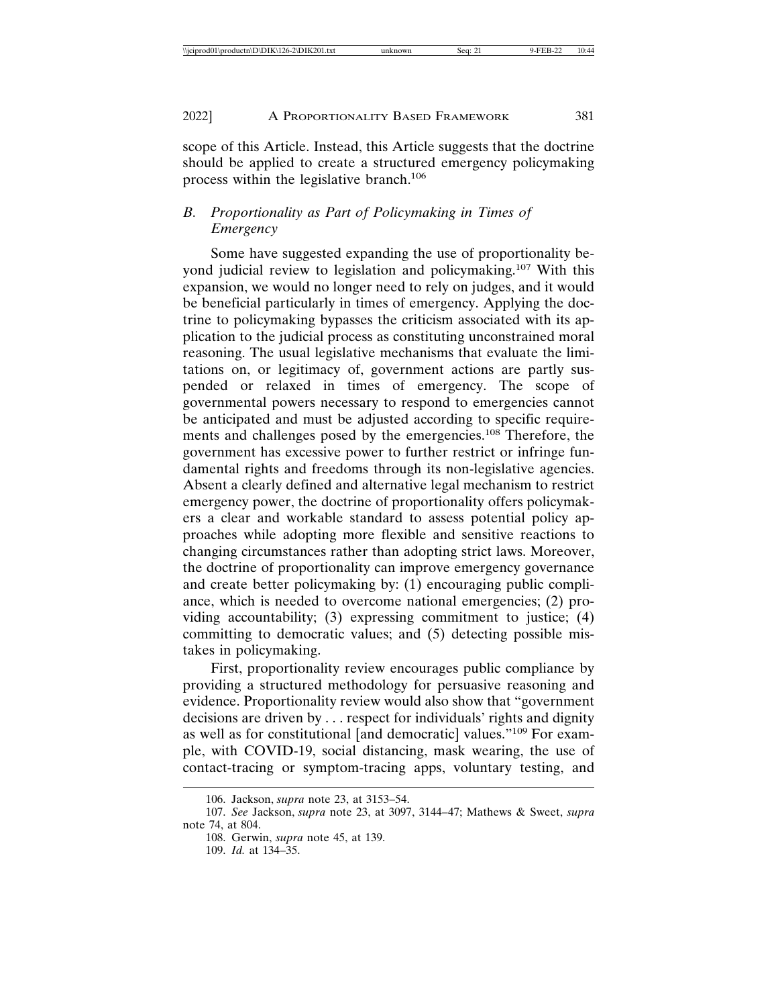scope of this Article. Instead, this Article suggests that the doctrine should be applied to create a structured emergency policymaking process within the legislative branch.<sup>106</sup>

## *B. Proportionality as Part of Policymaking in Times of Emergency*

Some have suggested expanding the use of proportionality beyond judicial review to legislation and policymaking.107 With this expansion, we would no longer need to rely on judges, and it would be beneficial particularly in times of emergency. Applying the doctrine to policymaking bypasses the criticism associated with its application to the judicial process as constituting unconstrained moral reasoning. The usual legislative mechanisms that evaluate the limitations on, or legitimacy of, government actions are partly suspended or relaxed in times of emergency. The scope of governmental powers necessary to respond to emergencies cannot be anticipated and must be adjusted according to specific requirements and challenges posed by the emergencies.108 Therefore, the government has excessive power to further restrict or infringe fundamental rights and freedoms through its non-legislative agencies. Absent a clearly defined and alternative legal mechanism to restrict emergency power, the doctrine of proportionality offers policymakers a clear and workable standard to assess potential policy approaches while adopting more flexible and sensitive reactions to changing circumstances rather than adopting strict laws. Moreover, the doctrine of proportionality can improve emergency governance and create better policymaking by: (1) encouraging public compliance, which is needed to overcome national emergencies; (2) providing accountability; (3) expressing commitment to justice; (4) committing to democratic values; and (5) detecting possible mistakes in policymaking.

First, proportionality review encourages public compliance by providing a structured methodology for persuasive reasoning and evidence. Proportionality review would also show that "government decisions are driven by . . . respect for individuals' rights and dignity as well as for constitutional [and democratic] values."109 For example, with COVID-19, social distancing, mask wearing, the use of contact-tracing or symptom-tracing apps, voluntary testing, and

<sup>106.</sup> Jackson, *supra* note 23, at 3153–54.

<sup>107.</sup> *See* Jackson, *supra* note 23, at 3097, 3144–47; Mathews & Sweet, *supra* note 74, at 804.

<sup>108.</sup> Gerwin, *supra* note 45, at 139.

<sup>109.</sup> *Id.* at 134–35.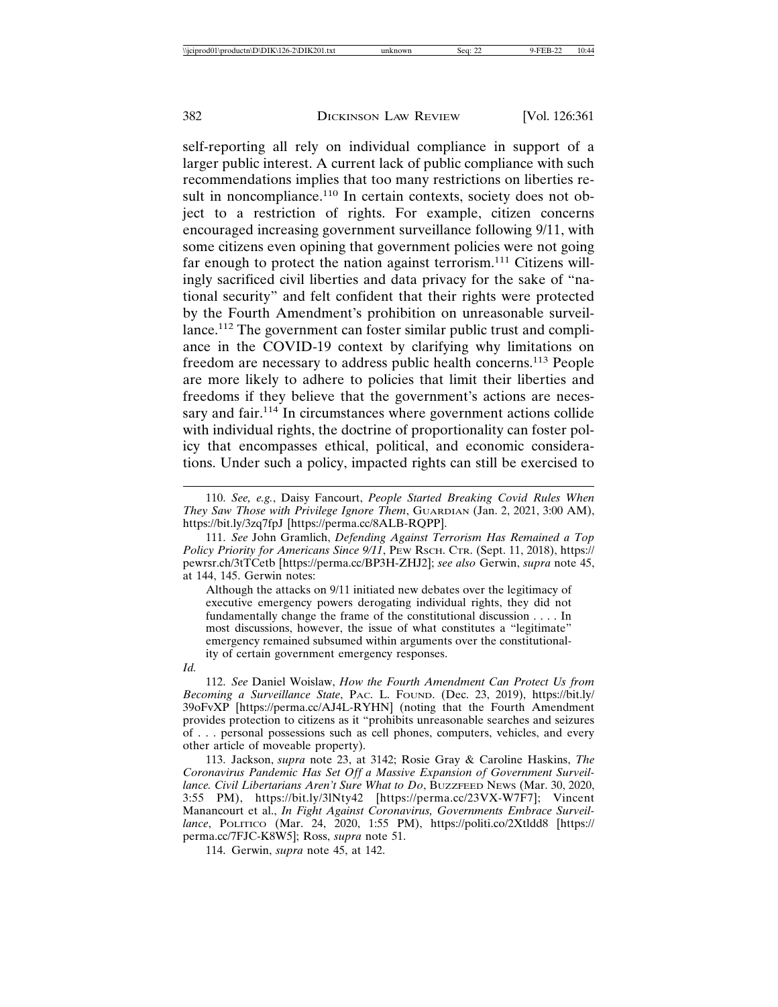self-reporting all rely on individual compliance in support of a larger public interest. A current lack of public compliance with such recommendations implies that too many restrictions on liberties result in noncompliance.<sup>110</sup> In certain contexts, society does not object to a restriction of rights. For example, citizen concerns encouraged increasing government surveillance following 9/11, with some citizens even opining that government policies were not going far enough to protect the nation against terrorism.<sup>111</sup> Citizens willingly sacrificed civil liberties and data privacy for the sake of "national security" and felt confident that their rights were protected by the Fourth Amendment's prohibition on unreasonable surveillance.112 The government can foster similar public trust and compliance in the COVID-19 context by clarifying why limitations on freedom are necessary to address public health concerns.113 People are more likely to adhere to policies that limit their liberties and freedoms if they believe that the government's actions are necessary and fair.<sup>114</sup> In circumstances where government actions collide with individual rights, the doctrine of proportionality can foster policy that encompasses ethical, political, and economic considerations. Under such a policy, impacted rights can still be exercised to

Although the attacks on 9/11 initiated new debates over the legitimacy of executive emergency powers derogating individual rights, they did not fundamentally change the frame of the constitutional discussion . . . . In most discussions, however, the issue of what constitutes a "legitimate" emergency remained subsumed within arguments over the constitutionality of certain government emergency responses.

*Id.*

<sup>110.</sup> *See, e.g.*, Daisy Fancourt, *People Started Breaking Covid Rules When They Saw Those with Privilege Ignore Them*, GUARDIAN (Jan. 2, 2021, 3:00 AM), https://bit.ly/3zq7fpJ [https://perma.cc/8ALB-RQPP].

<sup>111.</sup> *See* John Gramlich, *Defending Against Terrorism Has Remained a Top Policy Priority for Americans Since 9/11*, PEW RSCH. CTR. (Sept. 11, 2018), https:// pewrsr.ch/3tTCetb [https://perma.cc/BP3H-ZHJ2]; *see also* Gerwin, *supra* note 45, at 144, 145. Gerwin notes:

<sup>112.</sup> *See* Daniel Woislaw, *How the Fourth Amendment Can Protect Us from Becoming a Surveillance State*, PAC. L. FOUND. (Dec. 23, 2019), https://bit.ly/ 39oFvXP [https://perma.cc/AJ4L-RYHN] (noting that the Fourth Amendment provides protection to citizens as it "prohibits unreasonable searches and seizures of . . . personal possessions such as cell phones, computers, vehicles, and every other article of moveable property).

<sup>113.</sup> Jackson, *supra* note 23, at 3142; Rosie Gray & Caroline Haskins, *The Coronavirus Pandemic Has Set Off a Massive Expansion of Government Surveillance. Civil Libertarians Aren't Sure What to Do*, BUZZFEED NEWS (Mar. 30, 2020, 3:55 PM), https://bit.ly/3lNty42 [https://perma.cc/23VX-W7F7]; Vincent Manancourt et al., *In Fight Against Coronavirus, Governments Embrace Surveillance*, POLITICO (Mar. 24, 2020, 1:55 PM), https://politi.co/2Xtldd8 [https:// perma.cc/7FJC-K8W5]; Ross, *supra* note 51.

<sup>114.</sup> Gerwin, *supra* note 45, at 142.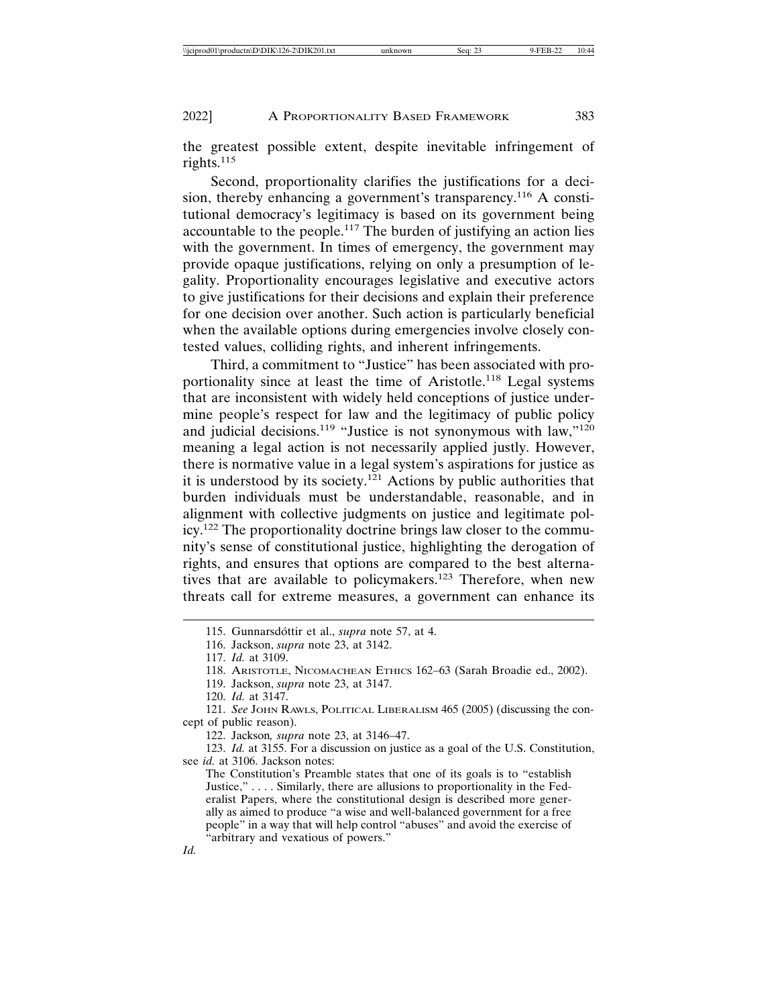the greatest possible extent, despite inevitable infringement of rights.<sup>115</sup>

Second, proportionality clarifies the justifications for a decision, thereby enhancing a government's transparency.<sup>116</sup> A constitutional democracy's legitimacy is based on its government being accountable to the people.117 The burden of justifying an action lies with the government. In times of emergency, the government may provide opaque justifications, relying on only a presumption of legality. Proportionality encourages legislative and executive actors to give justifications for their decisions and explain their preference for one decision over another. Such action is particularly beneficial when the available options during emergencies involve closely contested values, colliding rights, and inherent infringements.

Third, a commitment to "Justice" has been associated with proportionality since at least the time of Aristotle.<sup>118</sup> Legal systems that are inconsistent with widely held conceptions of justice undermine people's respect for law and the legitimacy of public policy and judicial decisions.<sup>119</sup> "Justice is not synonymous with law,"<sup>120</sup> meaning a legal action is not necessarily applied justly. However, there is normative value in a legal system's aspirations for justice as it is understood by its society.<sup>121</sup> Actions by public authorities that burden individuals must be understandable, reasonable, and in alignment with collective judgments on justice and legitimate policy.122 The proportionality doctrine brings law closer to the community's sense of constitutional justice, highlighting the derogation of rights, and ensures that options are compared to the best alternatives that are available to policymakers.<sup>123</sup> Therefore, when new threats call for extreme measures, a government can enhance its

122. Jackson*, supra* note 23, at 3146–47.

123. *Id.* at 3155. For a discussion on justice as a goal of the U.S. Constitution, see *id.* at 3106. Jackson notes:

The Constitution's Preamble states that one of its goals is to "establish Justice," . . . . Similarly, there are allusions to proportionality in the Federalist Papers, where the constitutional design is described more generally as aimed to produce "a wise and well-balanced government for a free people" in a way that will help control "abuses" and avoid the exercise of "arbitrary and vexatious of powers."

*Id.*

<sup>115.</sup> Gunnarsdóttir et al., *supra* note 57, at 4.

<sup>116.</sup> Jackson, *supra* note 23, at 3142.

<sup>117.</sup> *Id.* at 3109.

<sup>118.</sup> ARISTOTLE, NICOMACHEAN ETHICS 162–63 (Sarah Broadie ed., 2002).

<sup>119.</sup> Jackson, *supra* note 23, at 3147.

<sup>120.</sup> *Id.* at 3147.

<sup>121.</sup> *See* JOHN RAWLS, POLITICAL LIBERALISM 465 (2005) (discussing the concept of public reason).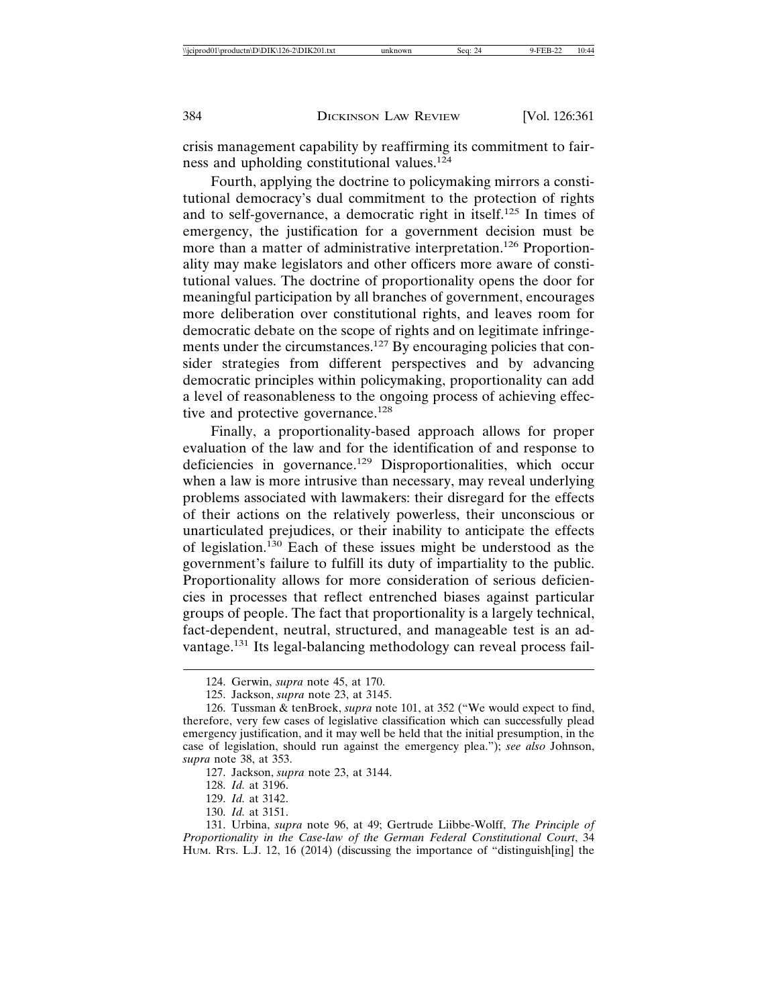crisis management capability by reaffirming its commitment to fairness and upholding constitutional values.<sup>124</sup>

Fourth, applying the doctrine to policymaking mirrors a constitutional democracy's dual commitment to the protection of rights and to self-governance, a democratic right in itself.125 In times of emergency, the justification for a government decision must be more than a matter of administrative interpretation.126 Proportionality may make legislators and other officers more aware of constitutional values. The doctrine of proportionality opens the door for meaningful participation by all branches of government, encourages more deliberation over constitutional rights, and leaves room for democratic debate on the scope of rights and on legitimate infringements under the circumstances.<sup>127</sup> By encouraging policies that consider strategies from different perspectives and by advancing democratic principles within policymaking, proportionality can add a level of reasonableness to the ongoing process of achieving effective and protective governance.<sup>128</sup>

Finally, a proportionality-based approach allows for proper evaluation of the law and for the identification of and response to deficiencies in governance.<sup>129</sup> Disproportionalities, which occur when a law is more intrusive than necessary, may reveal underlying problems associated with lawmakers: their disregard for the effects of their actions on the relatively powerless, their unconscious or unarticulated prejudices, or their inability to anticipate the effects of legislation.130 Each of these issues might be understood as the government's failure to fulfill its duty of impartiality to the public. Proportionality allows for more consideration of serious deficiencies in processes that reflect entrenched biases against particular groups of people. The fact that proportionality is a largely technical, fact-dependent, neutral, structured, and manageable test is an advantage.<sup>131</sup> Its legal-balancing methodology can reveal process fail-

<sup>124.</sup> Gerwin, *supra* note 45, at 170.

<sup>125.</sup> Jackson, *supra* note 23, at 3145.

<sup>126.</sup> Tussman & tenBroek, *supra* note 101, at 352 ("We would expect to find, therefore, very few cases of legislative classification which can successfully plead emergency justification, and it may well be held that the initial presumption, in the case of legislation, should run against the emergency plea."); *see also* Johnson, *supra* note 38, at 353.

<sup>127.</sup> Jackson, *supra* note 23, at 3144.

<sup>128.</sup> *Id.* at 3196.

<sup>129.</sup> *Id.* at 3142.

<sup>130.</sup> *Id.* at 3151.

<sup>131.</sup> Urbina, *supra* note 96, at 49; Gertrude Liibbe-Wolff, *The Principle of Proportionality in the Case-law of the German Federal Constitutional Court*, 34 HUM. RTS. L.J. 12, 16 (2014) (discussing the importance of "distinguish[ing] the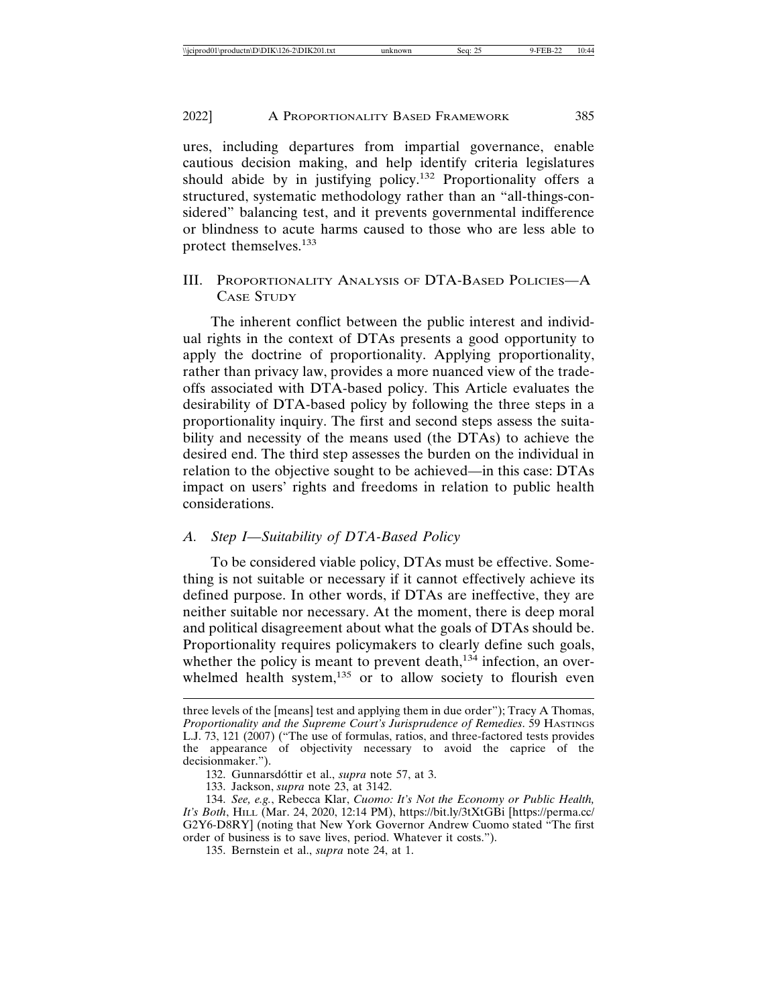ures, including departures from impartial governance, enable cautious decision making, and help identify criteria legislatures should abide by in justifying policy.<sup>132</sup> Proportionality offers a structured, systematic methodology rather than an "all-things-considered" balancing test, and it prevents governmental indifference or blindness to acute harms caused to those who are less able to protect themselves.<sup>133</sup>

## III. PROPORTIONALITY ANALYSIS OF DTA-BASED POLICIES—A CASE STUDY

The inherent conflict between the public interest and individual rights in the context of DTAs presents a good opportunity to apply the doctrine of proportionality. Applying proportionality, rather than privacy law, provides a more nuanced view of the tradeoffs associated with DTA-based policy. This Article evaluates the desirability of DTA-based policy by following the three steps in a proportionality inquiry. The first and second steps assess the suitability and necessity of the means used (the DTAs) to achieve the desired end. The third step assesses the burden on the individual in relation to the objective sought to be achieved—in this case: DTAs impact on users' rights and freedoms in relation to public health considerations.

## *A. Step I—Suitability of DTA-Based Policy*

To be considered viable policy, DTAs must be effective. Something is not suitable or necessary if it cannot effectively achieve its defined purpose. In other words, if DTAs are ineffective, they are neither suitable nor necessary. At the moment, there is deep moral and political disagreement about what the goals of DTAs should be. Proportionality requires policymakers to clearly define such goals, whether the policy is meant to prevent death, $134$  infection, an overwhelmed health system, $135$  or to allow society to flourish even

132. Gunnarsdóttir et al., *supra* note 57, at 3.

133. Jackson, *supra* note 23, at 3142.

134. *See, e.g.*, Rebecca Klar, *Cuomo: It's Not the Economy or Public Health, It's Both*, HILL (Mar. 24, 2020, 12:14 PM), https://bit.ly/3tXtGBi [https://perma.cc/ G2Y6-D8RY] (noting that New York Governor Andrew Cuomo stated "The first order of business is to save lives, period. Whatever it costs.").

135. Bernstein et al., *supra* note 24, at 1.

three levels of the [means] test and applying them in due order"); Tracy A Thomas, *Proportionality and the Supreme Court's Jurisprudence of Remedies*. 59 HASTINGS L.J. 73, 121 (2007) ("The use of formulas, ratios, and three-factored tests provides the appearance of objectivity necessary to avoid the caprice of the decisionmaker.").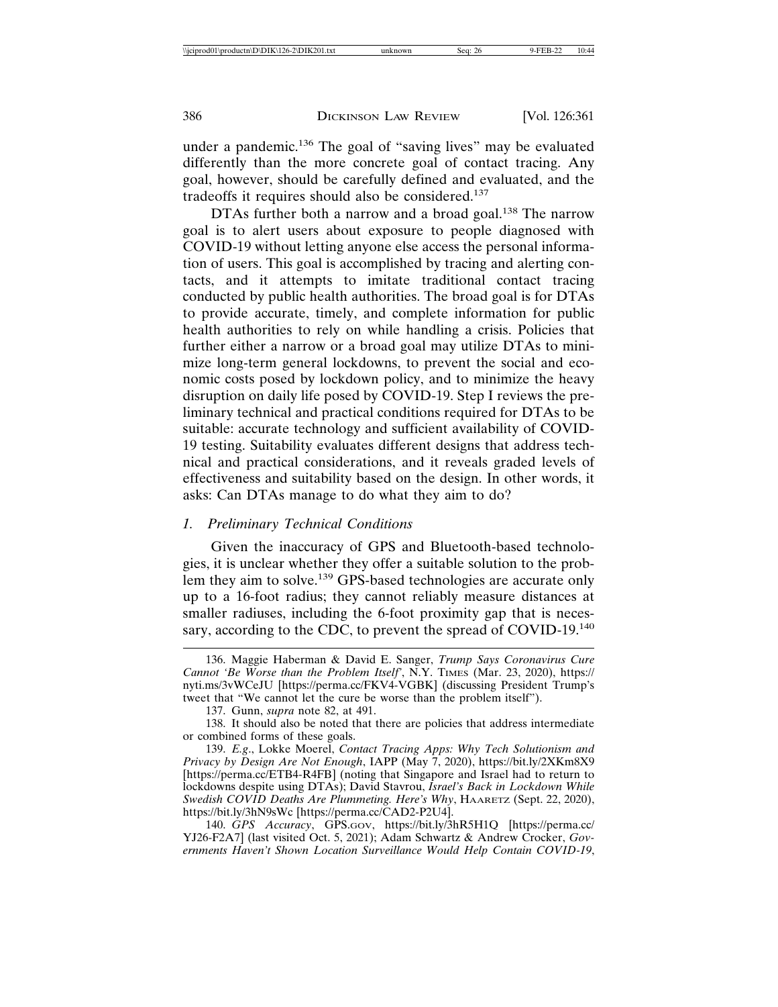under a pandemic.136 The goal of "saving lives" may be evaluated differently than the more concrete goal of contact tracing. Any goal, however, should be carefully defined and evaluated, and the tradeoffs it requires should also be considered.<sup>137</sup>

DTAs further both a narrow and a broad goal.<sup>138</sup> The narrow goal is to alert users about exposure to people diagnosed with COVID-19 without letting anyone else access the personal information of users. This goal is accomplished by tracing and alerting contacts, and it attempts to imitate traditional contact tracing conducted by public health authorities. The broad goal is for DTAs to provide accurate, timely, and complete information for public health authorities to rely on while handling a crisis. Policies that further either a narrow or a broad goal may utilize DTAs to minimize long-term general lockdowns, to prevent the social and economic costs posed by lockdown policy, and to minimize the heavy disruption on daily life posed by COVID-19. Step I reviews the preliminary technical and practical conditions required for DTAs to be suitable: accurate technology and sufficient availability of COVID-19 testing. Suitability evaluates different designs that address technical and practical considerations, and it reveals graded levels of effectiveness and suitability based on the design. In other words, it asks: Can DTAs manage to do what they aim to do?

#### *1. Preliminary Technical Conditions*

Given the inaccuracy of GPS and Bluetooth-based technologies, it is unclear whether they offer a suitable solution to the problem they aim to solve.<sup>139</sup> GPS-based technologies are accurate only up to a 16-foot radius; they cannot reliably measure distances at smaller radiuses, including the 6-foot proximity gap that is necessary, according to the CDC, to prevent the spread of COVID-19.<sup>140</sup>

<sup>136.</sup> Maggie Haberman & David E. Sanger, *Trump Says Coronavirus Cure Cannot 'Be Worse than the Problem Itself'*, N.Y. TIMES (Mar. 23, 2020), https:// nyti.ms/3vWCeJU [https://perma.cc/FKV4-VGBK] (discussing President Trump's tweet that "We cannot let the cure be worse than the problem itself").

<sup>137.</sup> Gunn, *supra* note 82, at 491.

<sup>138.</sup> It should also be noted that there are policies that address intermediate or combined forms of these goals.

<sup>139.</sup> *E.g*., Lokke Moerel, *Contact Tracing Apps: Why Tech Solutionism and Privacy by Design Are Not Enough*, IAPP (May 7, 2020), https://bit.ly/2XKm8X9 [https://perma.cc/ETB4-R4FB] (noting that Singapore and Israel had to return to lockdowns despite using DTAs); David Stavrou, *Israel's Back in Lockdown While Swedish COVID Deaths Are Plummeting. Here's Why*, HAARETZ (Sept. 22, 2020), https://bit.ly/3hN9sWc [https://perma.cc/CAD2-P2U4].

<sup>140.</sup> *GPS Accuracy*, GPS.GOV, https://bit.ly/3hR5H1Q [https://perma.cc/ YJ26-F2A7] (last visited Oct. 5, 2021); Adam Schwartz & Andrew Crocker, *Governments Haven't Shown Location Surveillance Would Help Contain COVID-19*,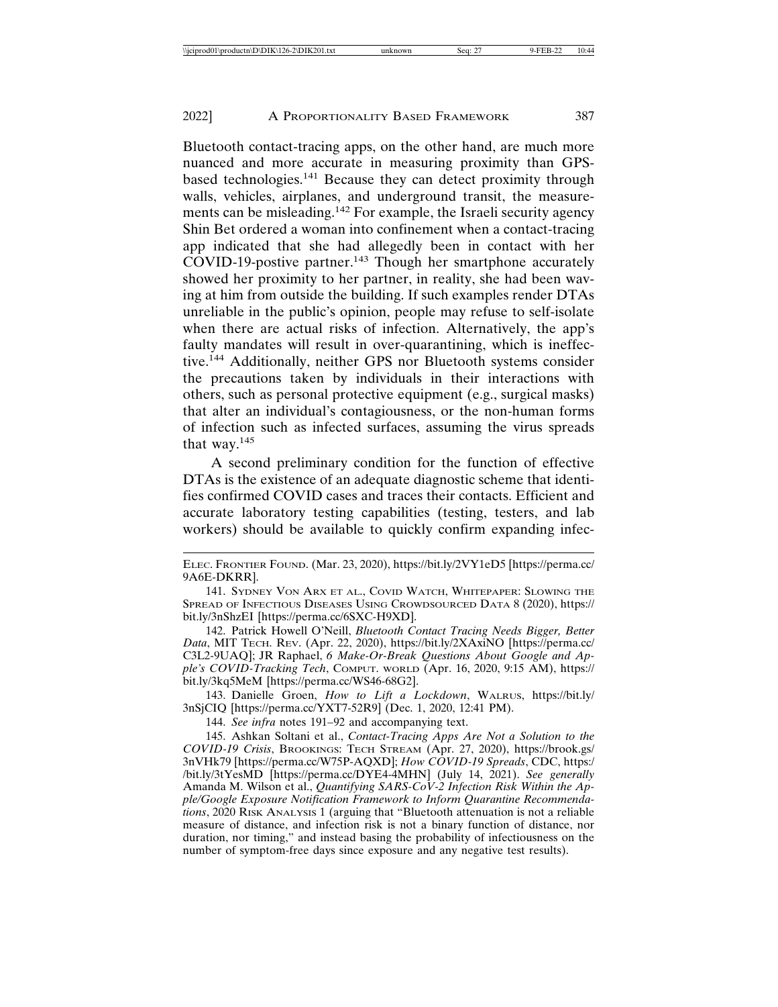Bluetooth contact-tracing apps, on the other hand, are much more nuanced and more accurate in measuring proximity than GPSbased technologies.141 Because they can detect proximity through walls, vehicles, airplanes, and underground transit, the measurements can be misleading.142 For example, the Israeli security agency Shin Bet ordered a woman into confinement when a contact-tracing app indicated that she had allegedly been in contact with her COVID-19-postive partner.<sup>143</sup> Though her smartphone accurately showed her proximity to her partner, in reality, she had been waving at him from outside the building. If such examples render DTAs unreliable in the public's opinion, people may refuse to self-isolate when there are actual risks of infection. Alternatively, the app's faulty mandates will result in over-quarantining, which is ineffective.144 Additionally, neither GPS nor Bluetooth systems consider the precautions taken by individuals in their interactions with others, such as personal protective equipment (e.g., surgical masks) that alter an individual's contagiousness, or the non-human forms of infection such as infected surfaces, assuming the virus spreads that way.<sup>145</sup>

A second preliminary condition for the function of effective DTAs is the existence of an adequate diagnostic scheme that identifies confirmed COVID cases and traces their contacts. Efficient and accurate laboratory testing capabilities (testing, testers, and lab workers) should be available to quickly confirm expanding infec-

142. Patrick Howell O'Neill, *Bluetooth Contact Tracing Needs Bigger, Better Data*, MIT TECH. REV. (Apr. 22, 2020), https://bit.ly/2XAxiNO [https://perma.cc/ C3L2-9UAQ]; JR Raphael, *6 Make-Or-Break Questions About Google and Apple's COVID-Tracking Tech*, COMPUT. WORLD (Apr. 16, 2020, 9:15 AM), https:// bit.ly/3kq5MeM [https://perma.cc/WS46-68G2].

143. Danielle Groen, *How to Lift a Lockdown*, WALRUS, https://bit.ly/ 3nSjCIQ [https://perma.cc/YXT7-52R9] (Dec. 1, 2020, 12:41 PM).

144. *See infra* notes 191–92 and accompanying text.

145. Ashkan Soltani et al., *Contact-Tracing Apps Are Not a Solution to the COVID-19 Crisis*, BROOKINGS: TECH STREAM (Apr. 27, 2020), https://brook.gs/ 3nVHk79 [https://perma.cc/W75P-AQXD]; *How COVID-19 Spreads*, CDC, https:/ /bit.ly/3tYesMD [https://perma.cc/DYE4-4MHN] (July 14, 2021). *See generally* Amanda M. Wilson et al., *Quantifying SARS-CoV-2 Infection Risk Within the Apple/Google Exposure Notification Framework to Inform Quarantine Recommendations*, 2020 RISK ANALYSIS 1 (arguing that "Bluetooth attenuation is not a reliable measure of distance, and infection risk is not a binary function of distance, nor duration, nor timing," and instead basing the probability of infectiousness on the number of symptom-free days since exposure and any negative test results).

ELEC. FRONTIER FOUND. (Mar. 23, 2020), https://bit.ly/2VY1eD5 [https://perma.cc/ 9A6E-DKRR].

<sup>141.</sup> SYDNEY VON ARX ET AL., COVID WATCH, WHITEPAPER: SLOWING THE SPREAD OF INFECTIOUS DISEASES USING CROWDSOURCED DATA 8 (2020), https:// bit.ly/3nShzEI [https://perma.cc/6SXC-H9XD].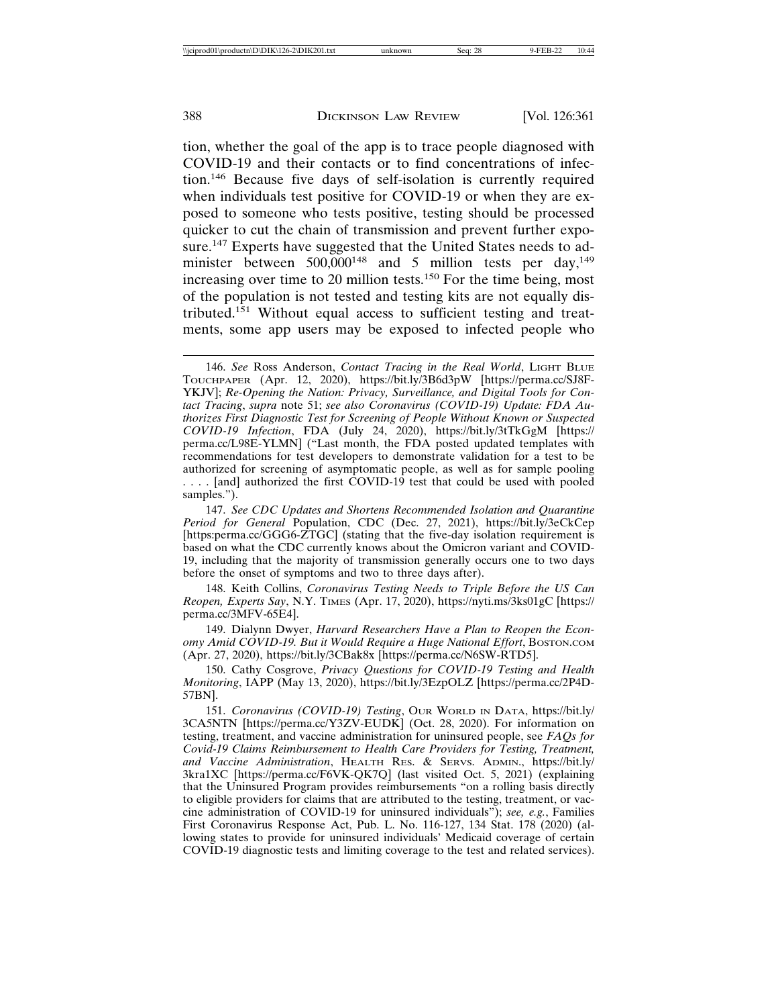tion, whether the goal of the app is to trace people diagnosed with COVID-19 and their contacts or to find concentrations of infection.146 Because five days of self-isolation is currently required when individuals test positive for COVID-19 or when they are exposed to someone who tests positive, testing should be processed quicker to cut the chain of transmission and prevent further exposure.<sup>147</sup> Experts have suggested that the United States needs to administer between  $500,000^{148}$  and 5 million tests per day,<sup>149</sup> increasing over time to 20 million tests.<sup>150</sup> For the time being, most of the population is not tested and testing kits are not equally distributed.151 Without equal access to sufficient testing and treatments, some app users may be exposed to infected people who

147. *See CDC Updates and Shortens Recommended Isolation and Quarantine Period for General* Population, CDC (Dec. 27, 2021), https://bit.ly/3eCkCep [https:perma.cc/GGG6-ZTGC] (stating that the five-day isolation requirement is based on what the CDC currently knows about the Omicron variant and COVID-19, including that the majority of transmission generally occurs one to two days before the onset of symptoms and two to three days after).

148. Keith Collins, *Coronavirus Testing Needs to Triple Before the US Can Reopen, Experts Say*, N.Y. TIMES (Apr. 17, 2020), https://nyti.ms/3ks01gC [https:// perma.cc/3MFV-65E4].

149. Dialynn Dwyer, *Harvard Researchers Have a Plan to Reopen the Economy Amid COVID-19. But it Would Require a Huge National Effort*, BOSTON.COM (Apr. 27, 2020), https://bit.ly/3CBak8x [https://perma.cc/N6SW-RTD5].

150. Cathy Cosgrove, *Privacy Questions for COVID-19 Testing and Health Monitoring*, IAPP (May 13, 2020), https://bit.ly/3EzpOLZ [https://perma.cc/2P4D-57BN].

151. *Coronavirus (COVID-19) Testing*, OUR WORLD IN DATA, https://bit.ly/ 3CA5NTN [https://perma.cc/Y3ZV-EUDK] (Oct. 28, 2020). For information on testing, treatment, and vaccine administration for uninsured people, see *FAQs for Covid-19 Claims Reimbursement to Health Care Providers for Testing, Treatment, and Vaccine Administration*, HEALTH RES. & SERVS. ADMIN., https://bit.ly/ 3kra1XC [https://perma.cc/F6VK-QK7Q] (last visited Oct. 5, 2021) (explaining that the Uninsured Program provides reimbursements "on a rolling basis directly to eligible providers for claims that are attributed to the testing, treatment, or vaccine administration of COVID-19 for uninsured individuals"); *see, e.g.*, Families First Coronavirus Response Act, Pub. L. No. 116-127, 134 Stat. 178 (2020) (allowing states to provide for uninsured individuals' Medicaid coverage of certain COVID-19 diagnostic tests and limiting coverage to the test and related services).

<sup>146.</sup> *See* Ross Anderson, *Contact Tracing in the Real World*, LIGHT BLUE TOUCHPAPER (Apr. 12, 2020), https://bit.ly/3B6d3pW [https://perma.cc/SJ8F-YKJV]; *Re-Opening the Nation: Privacy, Surveillance, and Digital Tools for Contact Tracing*, *supra* note 51; *see also Coronavirus (COVID-19) Update: FDA Authorizes First Diagnostic Test for Screening of People Without Known or Suspected COVID-19 Infection*, FDA (July 24, 2020), https://bit.ly/3tTkGgM [https:// perma.cc/L98E-YLMN] ("Last month, the FDA posted updated templates with recommendations for test developers to demonstrate validation for a test to be authorized for screening of asymptomatic people, as well as for sample pooling .... [and] authorized the first COVID-19 test that could be used with pooled samples.").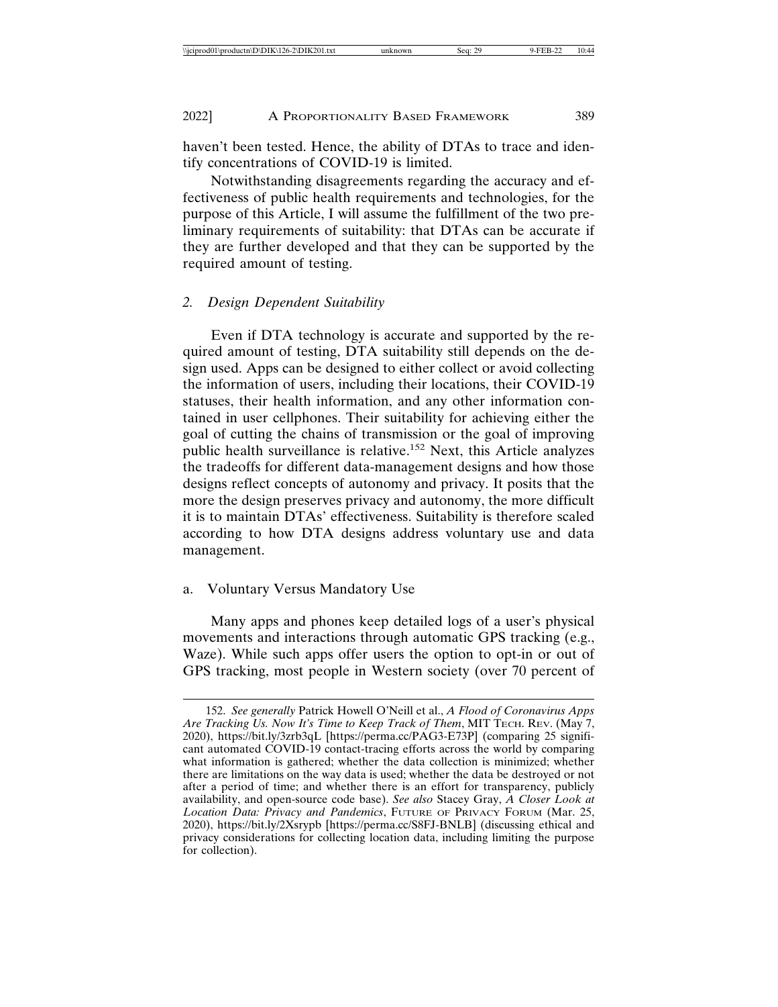haven't been tested. Hence, the ability of DTAs to trace and identify concentrations of COVID-19 is limited.

Notwithstanding disagreements regarding the accuracy and effectiveness of public health requirements and technologies, for the purpose of this Article, I will assume the fulfillment of the two preliminary requirements of suitability: that DTAs can be accurate if they are further developed and that they can be supported by the required amount of testing.

#### *2. Design Dependent Suitability*

Even if DTA technology is accurate and supported by the required amount of testing, DTA suitability still depends on the design used. Apps can be designed to either collect or avoid collecting the information of users, including their locations, their COVID-19 statuses, their health information, and any other information contained in user cellphones. Their suitability for achieving either the goal of cutting the chains of transmission or the goal of improving public health surveillance is relative.152 Next, this Article analyzes the tradeoffs for different data-management designs and how those designs reflect concepts of autonomy and privacy. It posits that the more the design preserves privacy and autonomy, the more difficult it is to maintain DTAs' effectiveness. Suitability is therefore scaled according to how DTA designs address voluntary use and data management.

#### a. Voluntary Versus Mandatory Use

Many apps and phones keep detailed logs of a user's physical movements and interactions through automatic GPS tracking (e.g., Waze). While such apps offer users the option to opt-in or out of GPS tracking, most people in Western society (over 70 percent of

<sup>152.</sup> *See generally* Patrick Howell O'Neill et al., *A Flood of Coronavirus Apps Are Tracking Us. Now It's Time to Keep Track of Them*, MIT TECH. REV. (May 7, 2020), https://bit.ly/3zrb3qL [https://perma.cc/PAG3-E73P] (comparing 25 significant automated COVID-19 contact-tracing efforts across the world by comparing what information is gathered; whether the data collection is minimized; whether there are limitations on the way data is used; whether the data be destroyed or not after a period of time; and whether there is an effort for transparency, publicly availability, and open-source code base). *See also* Stacey Gray, *A Closer Look at Location Data: Privacy and Pandemics*, FUTURE OF PRIVACY FORUM (Mar. 25, 2020), https://bit.ly/2Xsrypb [https://perma.cc/S8FJ-BNLB] (discussing ethical and privacy considerations for collecting location data, including limiting the purpose for collection).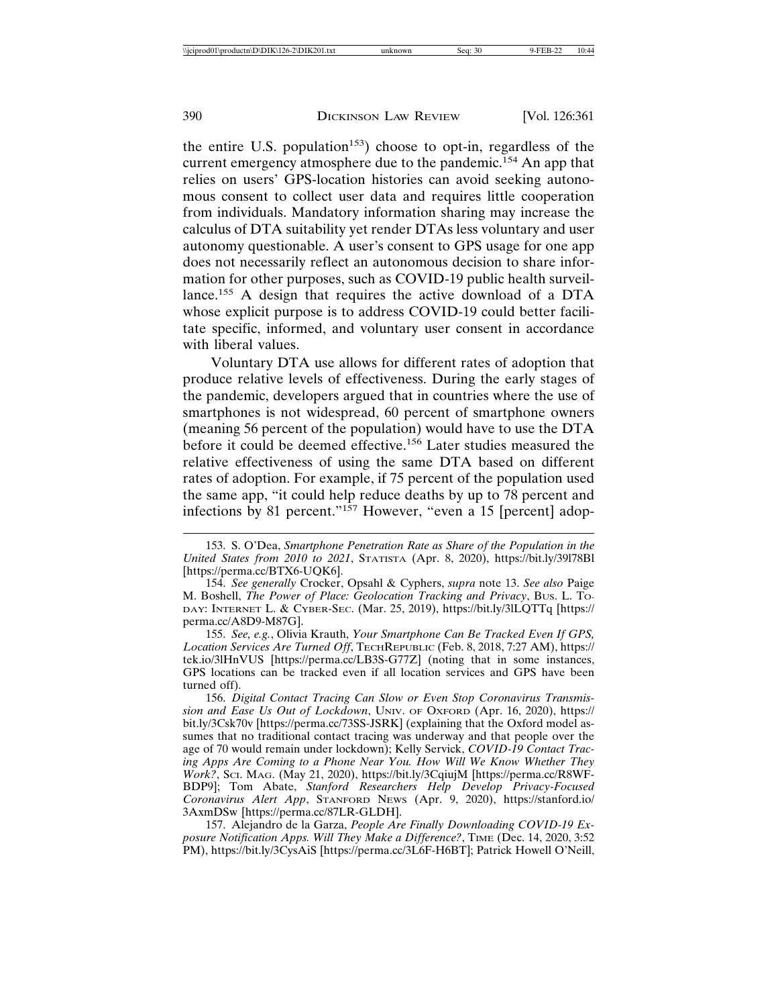the entire U.S. population<sup>153</sup>) choose to opt-in, regardless of the current emergency atmosphere due to the pandemic.<sup>154</sup> An app that relies on users' GPS-location histories can avoid seeking autonomous consent to collect user data and requires little cooperation from individuals. Mandatory information sharing may increase the calculus of DTA suitability yet render DTAs less voluntary and user autonomy questionable. A user's consent to GPS usage for one app does not necessarily reflect an autonomous decision to share information for other purposes, such as COVID-19 public health surveillance.<sup>155</sup> A design that requires the active download of a DTA whose explicit purpose is to address COVID-19 could better facilitate specific, informed, and voluntary user consent in accordance with liberal values.

Voluntary DTA use allows for different rates of adoption that produce relative levels of effectiveness. During the early stages of the pandemic, developers argued that in countries where the use of smartphones is not widespread, 60 percent of smartphone owners (meaning 56 percent of the population) would have to use the DTA before it could be deemed effective.<sup>156</sup> Later studies measured the relative effectiveness of using the same DTA based on different rates of adoption. For example, if 75 percent of the population used the same app, "it could help reduce deaths by up to 78 percent and infections by 81 percent."<sup>157</sup> However, "even a 15 [percent] adop-

155. *See, e.g.*, Olivia Krauth, *Your Smartphone Can Be Tracked Even If GPS, Location Services Are Turned Off*, TECHREPUBLIC (Feb. 8, 2018, 7:27 AM), https:// tek.io/3lHnVUS [https://perma.cc/LB3S-G77Z] (noting that in some instances, GPS locations can be tracked even if all location services and GPS have been turned off).

156. *Digital Contact Tracing Can Slow or Even Stop Coronavirus Transmission and Ease Us Out of Lockdown*, UNIV. OF OXFORD (Apr. 16, 2020), https:// bit.ly/3Csk70v [https://perma.cc/73SS-JSRK] (explaining that the Oxford model assumes that no traditional contact tracing was underway and that people over the age of 70 would remain under lockdown); Kelly Servick, *COVID-19 Contact Tracing Apps Are Coming to a Phone Near You. How Will We Know Whether They Work?*, SCI. MAG. (May 21, 2020), https://bit.ly/3CqiujM [https://perma.cc/R8WF-BDP9]; Tom Abate, *Stanford Researchers Help Develop Privacy-Focused Coronavirus Alert App*, STANFORD NEWS (Apr. 9, 2020), https://stanford.io/ 3AxmDSw [https://perma.cc/87LR-GLDH].

157. Alejandro de la Garza, *People Are Finally Downloading COVID-19 Exposure Notification Apps. Will They Make a Difference?*, TIME (Dec. 14, 2020, 3:52 PM), https://bit.ly/3CysAiS [https://perma.cc/3L6F-H6BT]; Patrick Howell O'Neill,

<sup>153.</sup> S. O'Dea, *Smartphone Penetration Rate as Share of the Population in the United States from 2010 to 2021*, STATISTA (Apr. 8, 2020), https://bit.ly/39l78Bl [https://perma.cc/BTX6-UQK6].

<sup>154.</sup> *See generally* Crocker, Opsahl & Cyphers, *supra* note 13. *See also* Paige M. Boshell, *The Power of Place: Geolocation Tracking and Privacy*, BUS. L. TO-DAY: INTERNET L. & CYBER-SEC. (Mar. 25, 2019), https://bit.ly/3lLQTTq [https:// perma.cc/A8D9-M87G].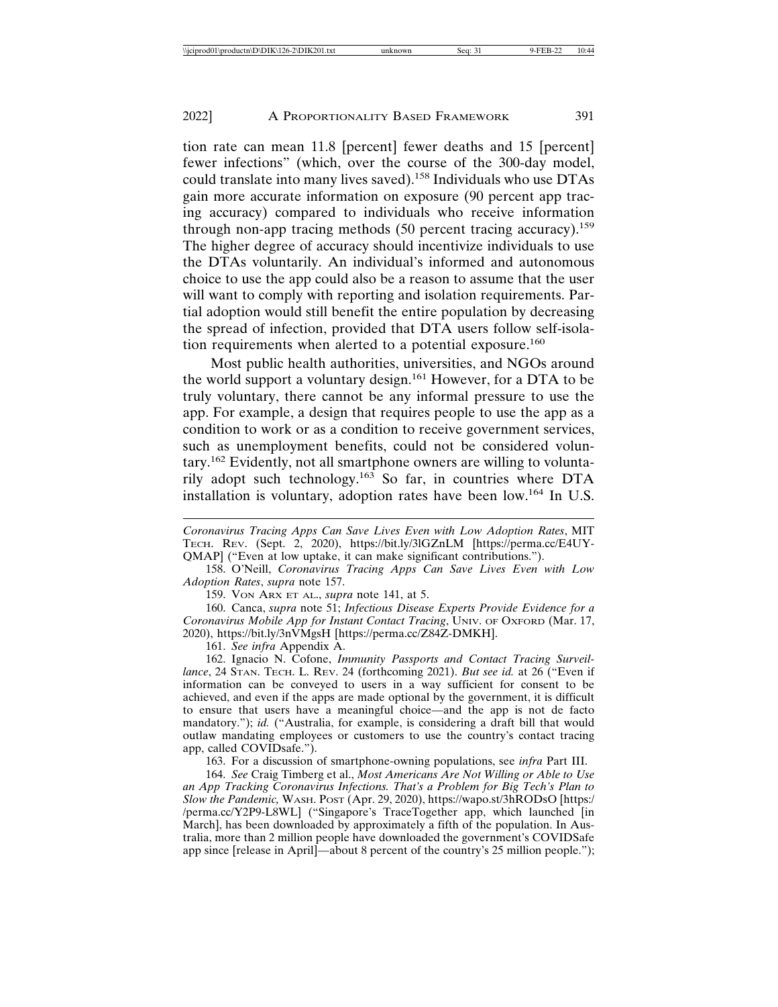tion rate can mean 11.8 [percent] fewer deaths and 15 [percent] fewer infections" (which, over the course of the 300-day model, could translate into many lives saved).<sup>158</sup> Individuals who use DTAs gain more accurate information on exposure (90 percent app tracing accuracy) compared to individuals who receive information through non-app tracing methods (50 percent tracing accuracy).<sup>159</sup> The higher degree of accuracy should incentivize individuals to use the DTAs voluntarily. An individual's informed and autonomous choice to use the app could also be a reason to assume that the user will want to comply with reporting and isolation requirements. Partial adoption would still benefit the entire population by decreasing the spread of infection, provided that DTA users follow self-isolation requirements when alerted to a potential exposure.<sup>160</sup>

Most public health authorities, universities, and NGOs around the world support a voluntary design.161 However, for a DTA to be truly voluntary, there cannot be any informal pressure to use the app. For example, a design that requires people to use the app as a condition to work or as a condition to receive government services, such as unemployment benefits, could not be considered voluntary.162 Evidently, not all smartphone owners are willing to voluntarily adopt such technology.163 So far, in countries where DTA installation is voluntary, adoption rates have been low.164 In U.S.

*Coronavirus Tracing Apps Can Save Lives Even with Low Adoption Rates*, MIT TECH. REV. (Sept. 2, 2020), https://bit.ly/3lGZnLM [https://perma.cc/E4UY-QMAP] ("Even at low uptake, it can make significant contributions.").

158. O'Neill, *Coronavirus Tracing Apps Can Save Lives Even with Low Adoption Rates*, *supra* note 157.

159. VON ARX ET AL., *supra* note 141, at 5.

160. Canca, *supra* note 51; *Infectious Disease Experts Provide Evidence for a Coronavirus Mobile App for Instant Contact Tracing*, UNIV. OF OXFORD (Mar. 17, 2020), https://bit.ly/3nVMgsH [https://perma.cc/Z84Z-DMKH].

161. *See infra* Appendix A.

162. Ignacio N. Cofone, *Immunity Passports and Contact Tracing Surveillance*, 24 STAN. TECH. L. REV. 24 (forthcoming 2021). *But see id.* at 26 ("Even if information can be conveyed to users in a way sufficient for consent to be achieved, and even if the apps are made optional by the government, it is difficult to ensure that users have a meaningful choice—and the app is not de facto mandatory."); *id.* ("Australia, for example, is considering a draft bill that would outlaw mandating employees or customers to use the country's contact tracing app, called COVIDsafe.").

163. For a discussion of smartphone-owning populations, see *infra* Part III.

164. *See* Craig Timberg et al., *Most Americans Are Not Willing or Able to Use an App Tracking Coronavirus Infections. That's a Problem for Big Tech's Plan to Slow the Pandemic,* WASH. POST (Apr. 29, 2020), https://wapo.st/3hRODsO [https:/ /perma.cc/Y2P9-L8WL] ("Singapore's TraceTogether app, which launched [in March], has been downloaded by approximately a fifth of the population. In Australia, more than 2 million people have downloaded the government's COVIDSafe app since [release in April]—about 8 percent of the country's 25 million people.");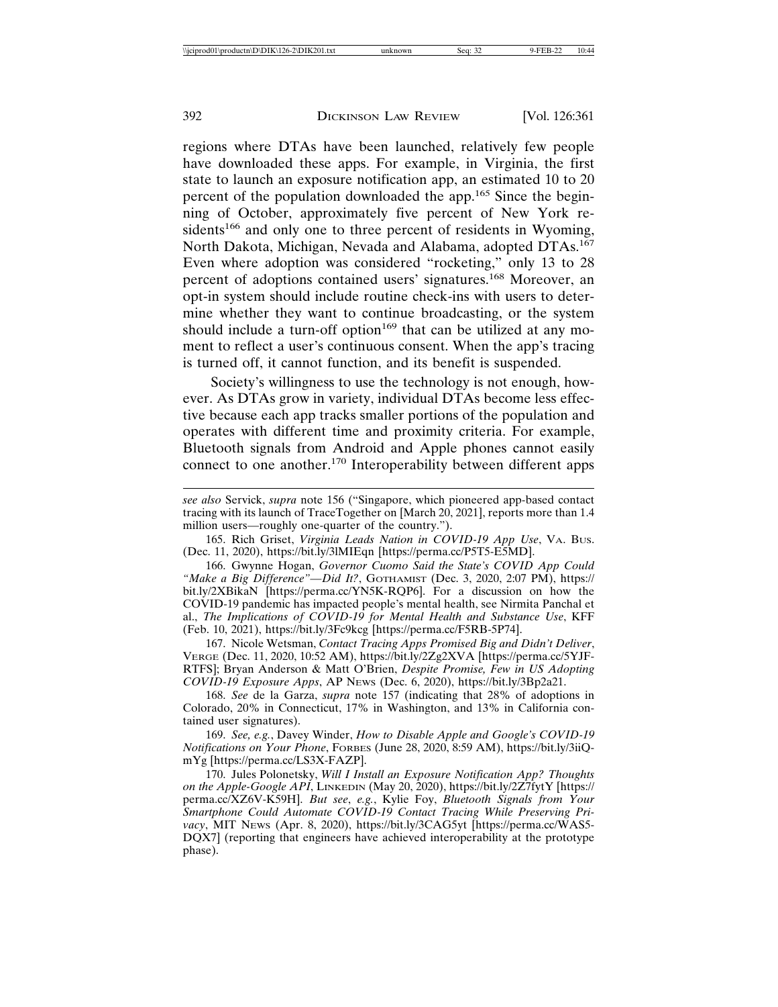regions where DTAs have been launched, relatively few people have downloaded these apps. For example, in Virginia, the first state to launch an exposure notification app, an estimated 10 to 20 percent of the population downloaded the app.<sup>165</sup> Since the beginning of October, approximately five percent of New York residents<sup>166</sup> and only one to three percent of residents in Wyoming, North Dakota, Michigan, Nevada and Alabama, adopted DTAs.<sup>167</sup> Even where adoption was considered "rocketing," only 13 to 28 percent of adoptions contained users' signatures.168 Moreover, an opt-in system should include routine check-ins with users to determine whether they want to continue broadcasting, or the system should include a turn-off option<sup>169</sup> that can be utilized at any moment to reflect a user's continuous consent. When the app's tracing is turned off, it cannot function, and its benefit is suspended.

Society's willingness to use the technology is not enough, however. As DTAs grow in variety, individual DTAs become less effective because each app tracks smaller portions of the population and operates with different time and proximity criteria. For example, Bluetooth signals from Android and Apple phones cannot easily connect to one another.170 Interoperability between different apps

165. Rich Griset, *Virginia Leads Nation in COVID-19 App Use*, VA. BUS. (Dec. 11, 2020), https://bit.ly/3lMIEqn [https://perma.cc/P5T5-E5MD].

166. Gwynne Hogan, *Governor Cuomo Said the State's COVID App Could "Make a Big Difference"—Did It?*, GOTHAMIST (Dec. 3, 2020, 2:07 PM), https:// bit.ly/2XBikaN [https://perma.cc/YN5K-RQP6]. For a discussion on how the COVID-19 pandemic has impacted people's mental health, see Nirmita Panchal et al., *The Implications of COVID-19 for Mental Health and Substance Use*, KFF (Feb. 10, 2021), https://bit.ly/3Fc9kcg [https://perma.cc/F5RB-5P74].

167. Nicole Wetsman, *Contact Tracing Apps Promised Big and Didn't Deliver*, VERGE (Dec. 11, 2020, 10:52 AM), https://bit.ly/2Zg2XVA [https://perma.cc/5YJF-RTFS]; Bryan Anderson & Matt O'Brien, *Despite Promise, Few in US Adopting COVID-19 Exposure Apps*, AP NEWS (Dec. 6, 2020), https://bit.ly/3Bp2a21.

168. *See* de la Garza, *supra* note 157 (indicating that 28% of adoptions in Colorado, 20% in Connecticut, 17% in Washington, and 13% in California contained user signatures).

169. *See, e.g.*, Davey Winder, *How to Disable Apple and Google's COVID-19 Notifications on Your Phone*, FORBES (June 28, 2020, 8:59 AM), https://bit.ly/3iiQmYg [https://perma.cc/LS3X-FAZP].

170. Jules Polonetsky, *Will I Install an Exposure Notification App? Thoughts on the Apple-Google API*, LINKEDIN (May 20, 2020), https://bit.ly/2Z7fytY [https:// perma.cc/XZ6V-K59H]. *But see*, *e.g.*, Kylie Foy, *Bluetooth Signals from Your Smartphone Could Automate COVID-19 Contact Tracing While Preserving Privacy*, MIT NEWS (Apr. 8, 2020), https://bit.ly/3CAG5yt [https://perma.cc/WAS5- DQX7] (reporting that engineers have achieved interoperability at the prototype phase).

*see also* Servick, *supra* note 156 ("Singapore, which pioneered app-based contact tracing with its launch of TraceTogether on [March 20, 2021], reports more than 1.4 million users—roughly one-quarter of the country.").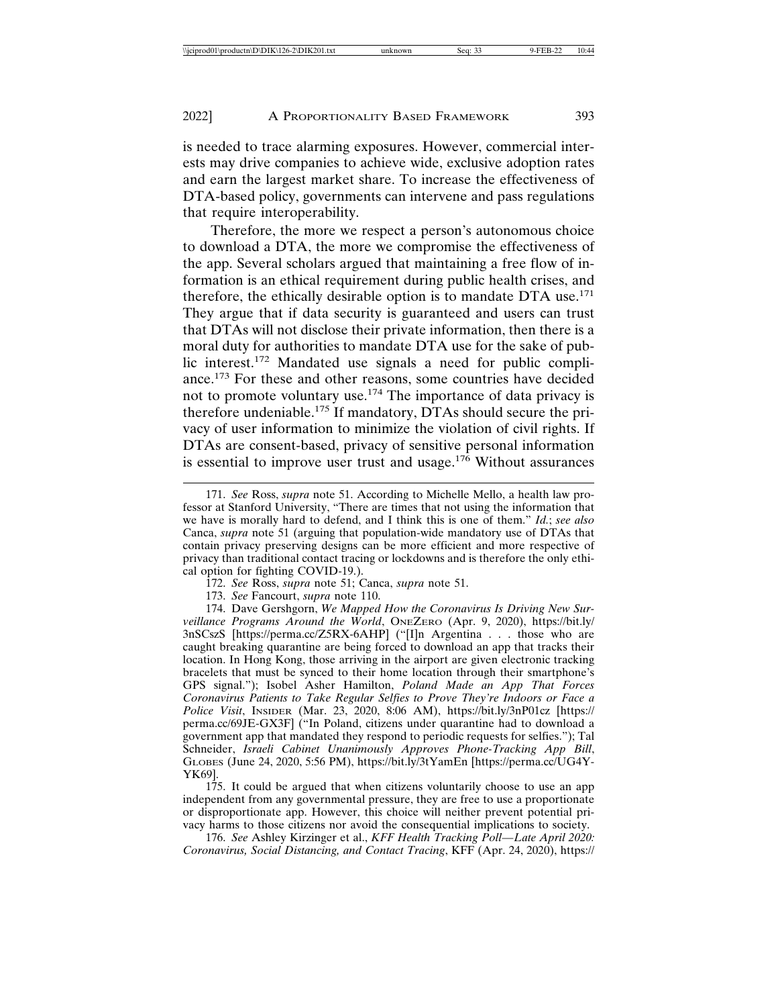is needed to trace alarming exposures. However, commercial interests may drive companies to achieve wide, exclusive adoption rates and earn the largest market share. To increase the effectiveness of DTA-based policy, governments can intervene and pass regulations that require interoperability.

Therefore, the more we respect a person's autonomous choice to download a DTA, the more we compromise the effectiveness of the app. Several scholars argued that maintaining a free flow of information is an ethical requirement during public health crises, and therefore, the ethically desirable option is to mandate DTA use.<sup>171</sup> They argue that if data security is guaranteed and users can trust that DTAs will not disclose their private information, then there is a moral duty for authorities to mandate DTA use for the sake of public interest.172 Mandated use signals a need for public compliance.173 For these and other reasons, some countries have decided not to promote voluntary use.<sup>174</sup> The importance of data privacy is therefore undeniable.175 If mandatory, DTAs should secure the privacy of user information to minimize the violation of civil rights. If DTAs are consent-based, privacy of sensitive personal information is essential to improve user trust and usage.<sup>176</sup> Without assurances

<sup>171.</sup> *See* Ross, *supra* note 51. According to Michelle Mello, a health law professor at Stanford University, "There are times that not using the information that we have is morally hard to defend, and I think this is one of them." *Id.*; *see also* Canca, *supra* note 51 (arguing that population-wide mandatory use of DTAs that contain privacy preserving designs can be more efficient and more respective of privacy than traditional contact tracing or lockdowns and is therefore the only ethical option for fighting COVID-19.).

<sup>172.</sup> *See* Ross, *supra* note 51; Canca, *supra* note 51.

<sup>173.</sup> *See* Fancourt, *supra* note 110.

<sup>174.</sup> Dave Gershgorn, *We Mapped How the Coronavirus Is Driving New Surveillance Programs Around the World*, ONEZERO (Apr. 9, 2020), https://bit.ly/ 3nSCszS [https://perma.cc/Z5RX-6AHP] ("[I]n Argentina . . . those who are caught breaking quarantine are being forced to download an app that tracks their location. In Hong Kong, those arriving in the airport are given electronic tracking bracelets that must be synced to their home location through their smartphone's GPS signal."); Isobel Asher Hamilton, *Poland Made an App That Forces Coronavirus Patients to Take Regular Selfies to Prove They're Indoors or Face a Police Visit*, INSIDER (Mar. 23, 2020, 8:06 AM), https://bit.ly/3nP01cz [https:// perma.cc/69JE-GX3F] ("In Poland, citizens under quarantine had to download a government app that mandated they respond to periodic requests for selfies."); Tal Schneider, *Israeli Cabinet Unanimously Approves Phone-Tracking App Bill*, GLOBES (June 24, 2020, 5:56 PM), https://bit.ly/3tYamEn [https://perma.cc/UG4Y-YK69].

<sup>175.</sup> It could be argued that when citizens voluntarily choose to use an app independent from any governmental pressure, they are free to use a proportionate or disproportionate app. However, this choice will neither prevent potential privacy harms to those citizens nor avoid the consequential implications to society.

<sup>176.</sup> *See* Ashley Kirzinger et al., *KFF Health Tracking Poll—Late April 2020: Coronavirus, Social Distancing, and Contact Tracing*, KFF (Apr. 24, 2020), https://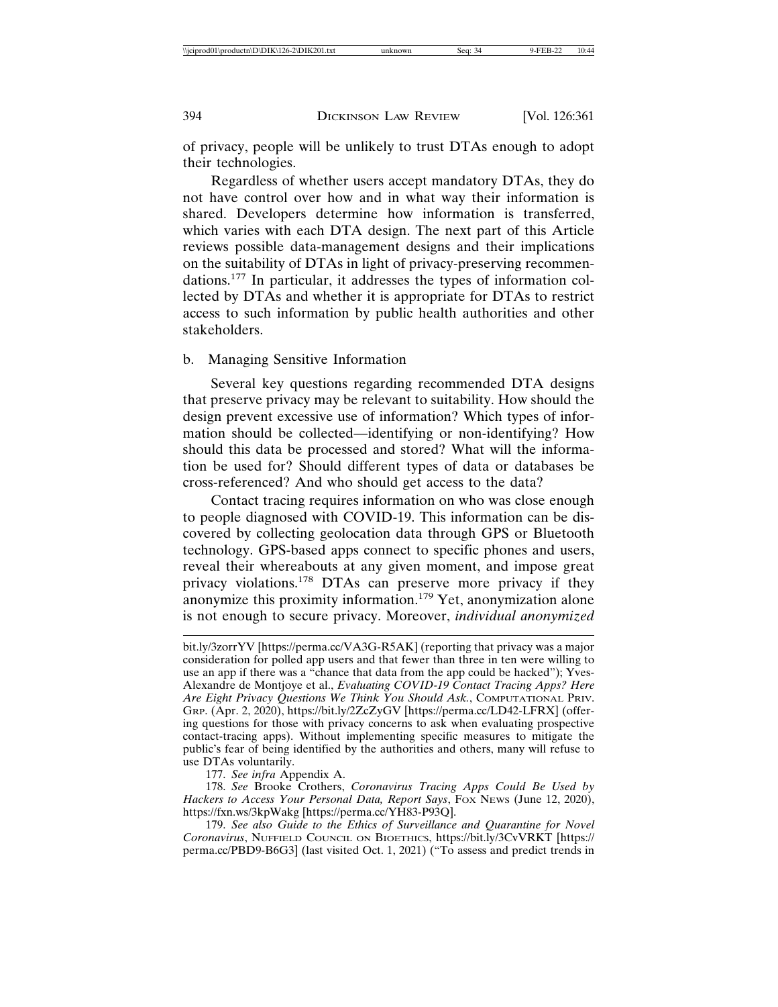of privacy, people will be unlikely to trust DTAs enough to adopt their technologies.

Regardless of whether users accept mandatory DTAs, they do not have control over how and in what way their information is shared. Developers determine how information is transferred, which varies with each DTA design. The next part of this Article reviews possible data-management designs and their implications on the suitability of DTAs in light of privacy-preserving recommendations.177 In particular, it addresses the types of information collected by DTAs and whether it is appropriate for DTAs to restrict access to such information by public health authorities and other stakeholders.

#### b. Managing Sensitive Information

Several key questions regarding recommended DTA designs that preserve privacy may be relevant to suitability. How should the design prevent excessive use of information? Which types of information should be collected—identifying or non-identifying? How should this data be processed and stored? What will the information be used for? Should different types of data or databases be cross-referenced? And who should get access to the data?

Contact tracing requires information on who was close enough to people diagnosed with COVID-19. This information can be discovered by collecting geolocation data through GPS or Bluetooth technology. GPS-based apps connect to specific phones and users, reveal their whereabouts at any given moment, and impose great privacy violations.<sup>178</sup> DTAs can preserve more privacy if they anonymize this proximity information.179 Yet, anonymization alone is not enough to secure privacy. Moreover, *individual anonymized*

177. *See infra* Appendix A.

178. *See* Brooke Crothers, *Coronavirus Tracing Apps Could Be Used by Hackers to Access Your Personal Data, Report Says*, FOX NEWS (June 12, 2020), https://fxn.ws/3kpWakg [https://perma.cc/YH83-P93Q].

179. *See also Guide to the Ethics of Surveillance and Quarantine for Novel Coronavirus*, NUFFIELD COUNCIL ON BIOETHICS, https://bit.ly/3CvVRKT [https:// perma.cc/PBD9-B6G3] (last visited Oct. 1, 2021) ("To assess and predict trends in

bit.ly/3zorrYV [https://perma.cc/VA3G-R5AK] (reporting that privacy was a major consideration for polled app users and that fewer than three in ten were willing to use an app if there was a "chance that data from the app could be hacked"); Yves-Alexandre de Montjoye et al., *Evaluating COVID-19 Contact Tracing Apps? Here* Are Eight Privacy Questions We Think You Should Ask., COMPUTATIONAL PRIV. GRP. (Apr. 2, 2020), https://bit.ly/2ZcZyGV [https://perma.cc/LD42-LFRX] (offering questions for those with privacy concerns to ask when evaluating prospective contact-tracing apps). Without implementing specific measures to mitigate the public's fear of being identified by the authorities and others, many will refuse to use DTAs voluntarily.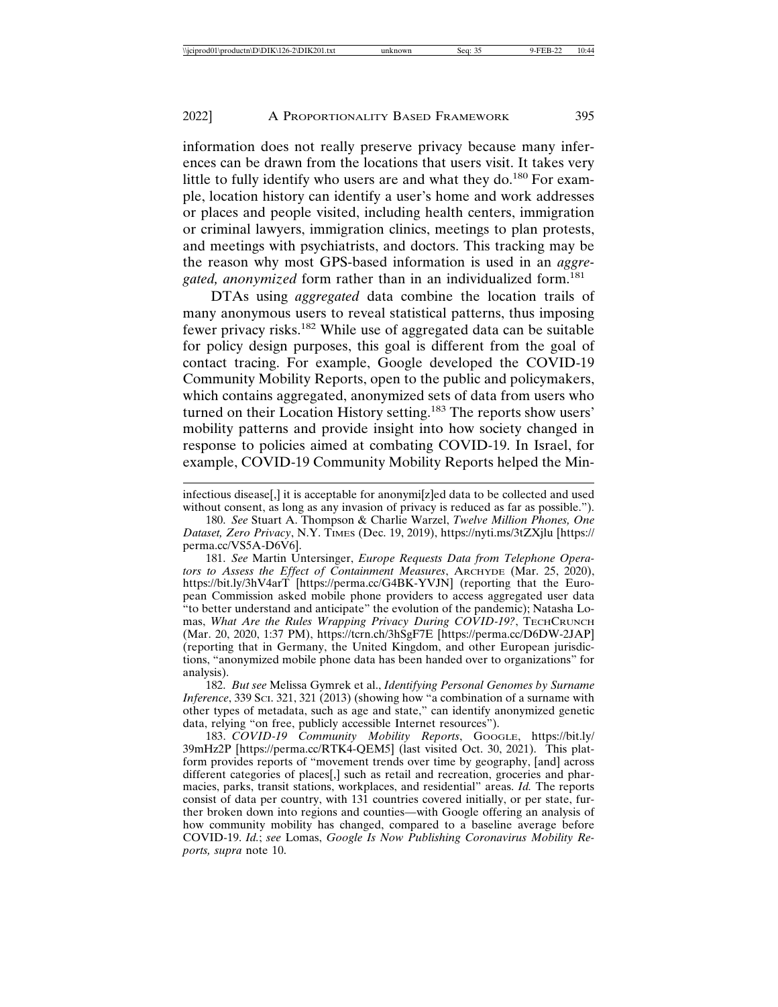information does not really preserve privacy because many inferences can be drawn from the locations that users visit. It takes very little to fully identify who users are and what they do.<sup>180</sup> For example, location history can identify a user's home and work addresses or places and people visited, including health centers, immigration or criminal lawyers, immigration clinics, meetings to plan protests, and meetings with psychiatrists, and doctors. This tracking may be the reason why most GPS-based information is used in an *aggre*gated, anonymized form rather than in an individualized form.<sup>181</sup>

DTAs using *aggregated* data combine the location trails of many anonymous users to reveal statistical patterns, thus imposing fewer privacy risks.182 While use of aggregated data can be suitable for policy design purposes, this goal is different from the goal of contact tracing. For example, Google developed the COVID-19 Community Mobility Reports, open to the public and policymakers, which contains aggregated, anonymized sets of data from users who turned on their Location History setting.183 The reports show users' mobility patterns and provide insight into how society changed in response to policies aimed at combating COVID-19. In Israel, for example, COVID-19 Community Mobility Reports helped the Min-

infectious disease[,] it is acceptable for anonymi[z]ed data to be collected and used without consent, as long as any invasion of privacy is reduced as far as possible.").

180. *See* Stuart A. Thompson & Charlie Warzel, *Twelve Million Phones, One Dataset, Zero Privacy*, N.Y. TIMES (Dec. 19, 2019), https://nyti.ms/3tZXjlu [https:// perma.cc/VS5A-D6V6].

181. *See* Martin Untersinger, *Europe Requests Data from Telephone Operators to Assess the Effect of Containment Measures*, ARCHYDE (Mar. 25, 2020), https://bit.ly/3hV4arT [https://perma.cc/G4BK-YVJN] (reporting that the European Commission asked mobile phone providers to access aggregated user data "to better understand and anticipate" the evolution of the pandemic); Natasha Lomas, What Are the Rules Wrapping Privacy During COVID-19?, TECHCRUNCH (Mar. 20, 2020, 1:37 PM), https://tcrn.ch/3hSgF7E [https://perma.cc/D6DW-2JAP] (reporting that in Germany, the United Kingdom, and other European jurisdictions, "anonymized mobile phone data has been handed over to organizations" for analysis).

182. *But see* Melissa Gymrek et al., *Identifying Personal Genomes by Surname Inference*, 339 SCI. 321, 321 (2013) (showing how "a combination of a surname with other types of metadata, such as age and state," can identify anonymized genetic data, relying "on free, publicly accessible Internet resources").

183. *COVID-19 Community Mobility Reports*, GOOGLE, https://bit.ly/ 39mHz2P [https://perma.cc/RTK4-QEM5] (last visited Oct. 30, 2021). This platform provides reports of "movement trends over time by geography, [and] across different categories of places[,] such as retail and recreation, groceries and pharmacies, parks, transit stations, workplaces, and residential" areas. *Id.* The reports consist of data per country, with 131 countries covered initially, or per state, further broken down into regions and counties—with Google offering an analysis of how community mobility has changed, compared to a baseline average before COVID-19. *Id.*; *see* Lomas, *Google Is Now Publishing Coronavirus Mobility Reports, supra* note 10.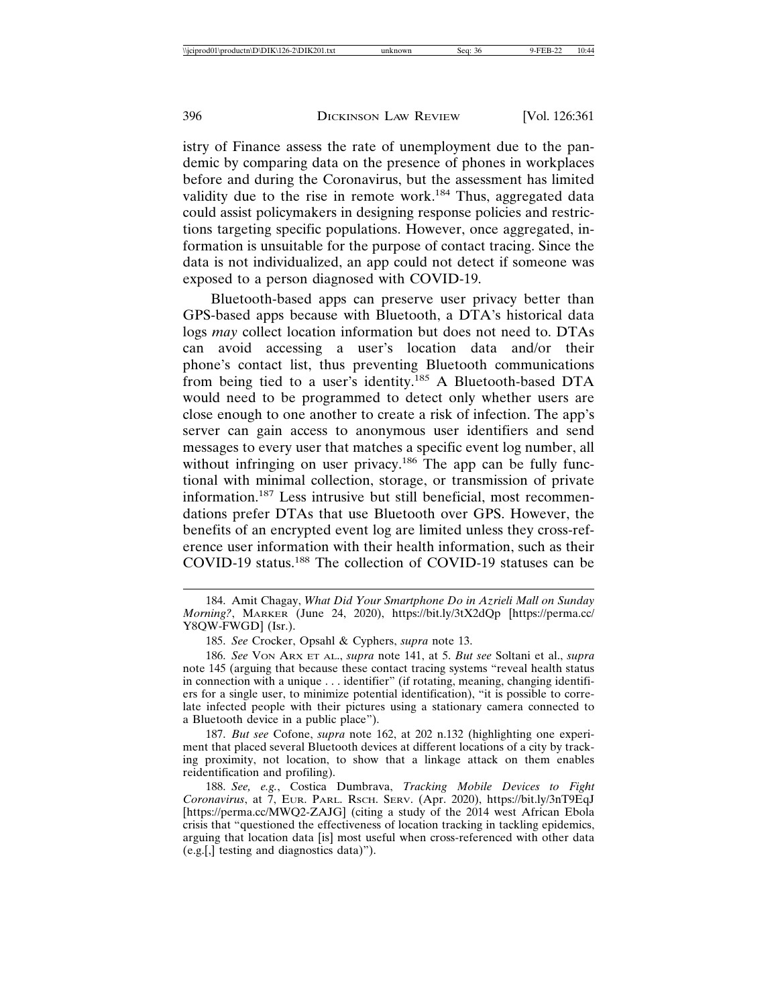istry of Finance assess the rate of unemployment due to the pandemic by comparing data on the presence of phones in workplaces before and during the Coronavirus, but the assessment has limited validity due to the rise in remote work.<sup>184</sup> Thus, aggregated data could assist policymakers in designing response policies and restrictions targeting specific populations. However, once aggregated, information is unsuitable for the purpose of contact tracing. Since the data is not individualized, an app could not detect if someone was exposed to a person diagnosed with COVID-19.

Bluetooth-based apps can preserve user privacy better than GPS-based apps because with Bluetooth, a DTA's historical data logs *may* collect location information but does not need to. DTAs can avoid accessing a user's location data and/or their phone's contact list, thus preventing Bluetooth communications from being tied to a user's identity.185 A Bluetooth-based DTA would need to be programmed to detect only whether users are close enough to one another to create a risk of infection. The app's server can gain access to anonymous user identifiers and send messages to every user that matches a specific event log number, all without infringing on user privacy.<sup>186</sup> The app can be fully functional with minimal collection, storage, or transmission of private information.187 Less intrusive but still beneficial, most recommendations prefer DTAs that use Bluetooth over GPS. However, the benefits of an encrypted event log are limited unless they cross-reference user information with their health information, such as their COVID-19 status.188 The collection of COVID-19 statuses can be

187. *But see* Cofone, *supra* note 162, at 202 n.132 (highlighting one experiment that placed several Bluetooth devices at different locations of a city by tracking proximity, not location, to show that a linkage attack on them enables reidentification and profiling).

188. *See, e.g.*, Costica Dumbrava, *Tracking Mobile Devices to Fight Coronavirus*, at 7, EUR. PARL. RSCH. SERV. (Apr. 2020), https://bit.ly/3nT9EqJ [https://perma.cc/MWQ2-ZAJG] (citing a study of the 2014 west African Ebola crisis that "questioned the effectiveness of location tracking in tackling epidemics, arguing that location data [is] most useful when cross-referenced with other data (e.g.[,] testing and diagnostics data)").

<sup>184.</sup> Amit Chagay, *What Did Your Smartphone Do in Azrieli Mall on Sunday Morning?*, MARKER (June 24, 2020), https://bit.ly/3tX2dQp [https://perma.cc/ Y8QW-FWGD] (Isr.).

<sup>185.</sup> *See* Crocker, Opsahl & Cyphers, *supra* note 13.

<sup>186.</sup> *See* VON ARX ET AL., *supra* note 141, at 5. *But see* Soltani et al., *supra* note 145 (arguing that because these contact tracing systems "reveal health status in connection with a unique . . . identifier" (if rotating, meaning, changing identifiers for a single user, to minimize potential identification), "it is possible to correlate infected people with their pictures using a stationary camera connected to a Bluetooth device in a public place").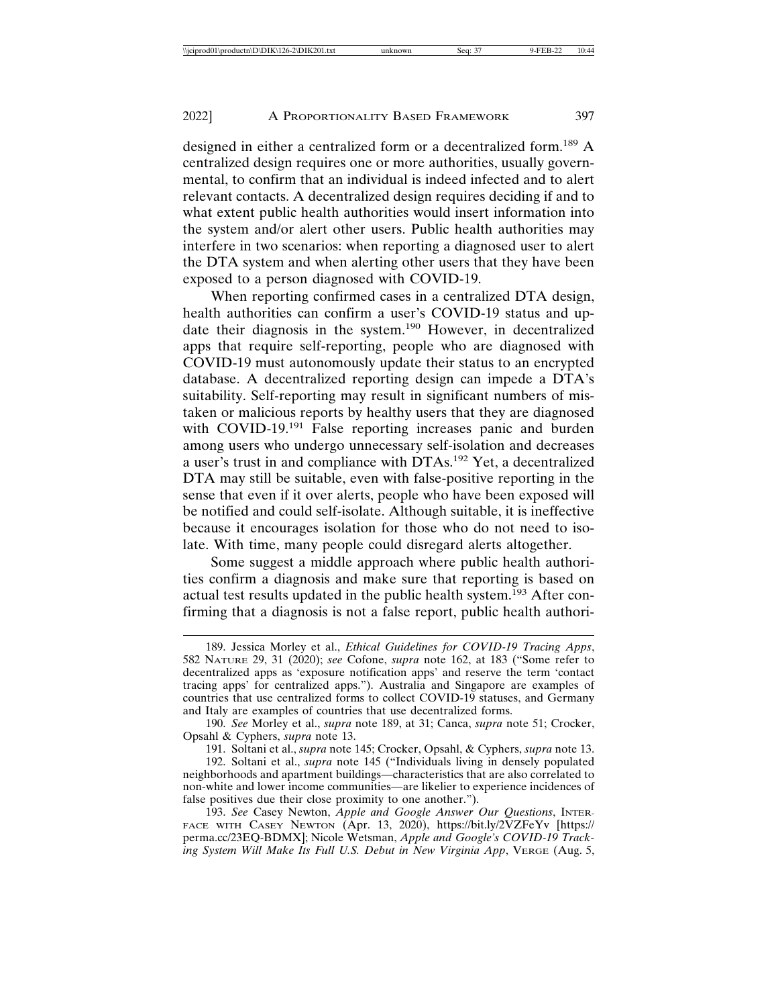designed in either a centralized form or a decentralized form.189 A centralized design requires one or more authorities, usually governmental, to confirm that an individual is indeed infected and to alert relevant contacts. A decentralized design requires deciding if and to what extent public health authorities would insert information into the system and/or alert other users. Public health authorities may interfere in two scenarios: when reporting a diagnosed user to alert the DTA system and when alerting other users that they have been exposed to a person diagnosed with COVID-19.

When reporting confirmed cases in a centralized DTA design, health authorities can confirm a user's COVID-19 status and update their diagnosis in the system.190 However, in decentralized apps that require self-reporting, people who are diagnosed with COVID-19 must autonomously update their status to an encrypted database. A decentralized reporting design can impede a DTA's suitability. Self-reporting may result in significant numbers of mistaken or malicious reports by healthy users that they are diagnosed with COVID-19.<sup>191</sup> False reporting increases panic and burden among users who undergo unnecessary self-isolation and decreases a user's trust in and compliance with DTAs.192 Yet, a decentralized DTA may still be suitable, even with false-positive reporting in the sense that even if it over alerts, people who have been exposed will be notified and could self-isolate. Although suitable, it is ineffective because it encourages isolation for those who do not need to isolate. With time, many people could disregard alerts altogether.

Some suggest a middle approach where public health authorities confirm a diagnosis and make sure that reporting is based on actual test results updated in the public health system.<sup>193</sup> After confirming that a diagnosis is not a false report, public health authori-

<sup>189.</sup> Jessica Morley et al., *Ethical Guidelines for COVID-19 Tracing Apps*, 582 NATURE 29, 31 (2020); *see* Cofone, *supra* note 162, at 183 ("Some refer to decentralized apps as 'exposure notification apps' and reserve the term 'contact tracing apps' for centralized apps."). Australia and Singapore are examples of countries that use centralized forms to collect COVID-19 statuses, and Germany and Italy are examples of countries that use decentralized forms.

<sup>190.</sup> *See* Morley et al., *supra* note 189, at 31; Canca, *supra* note 51; Crocker, Opsahl & Cyphers, *supra* note 13.

<sup>191.</sup> Soltani et al., *supra* note 145; Crocker, Opsahl, & Cyphers, *supra* note 13.

<sup>192.</sup> Soltani et al., *supra* note 145 ("Individuals living in densely populated neighborhoods and apartment buildings—characteristics that are also correlated to non-white and lower income communities—are likelier to experience incidences of false positives due their close proximity to one another.").

<sup>193.</sup> *See* Casey Newton, *Apple and Google Answer Our Questions*, INTER-FACE WITH CASEY NEWTON (Apr. 13, 2020), https://bit.ly/2VZFeYv [https:// perma.cc/23EQ-BDMX]; Nicole Wetsman, *Apple and Google's COVID-19 Tracking System Will Make Its Full U.S. Debut in New Virginia App*, VERGE (Aug. 5,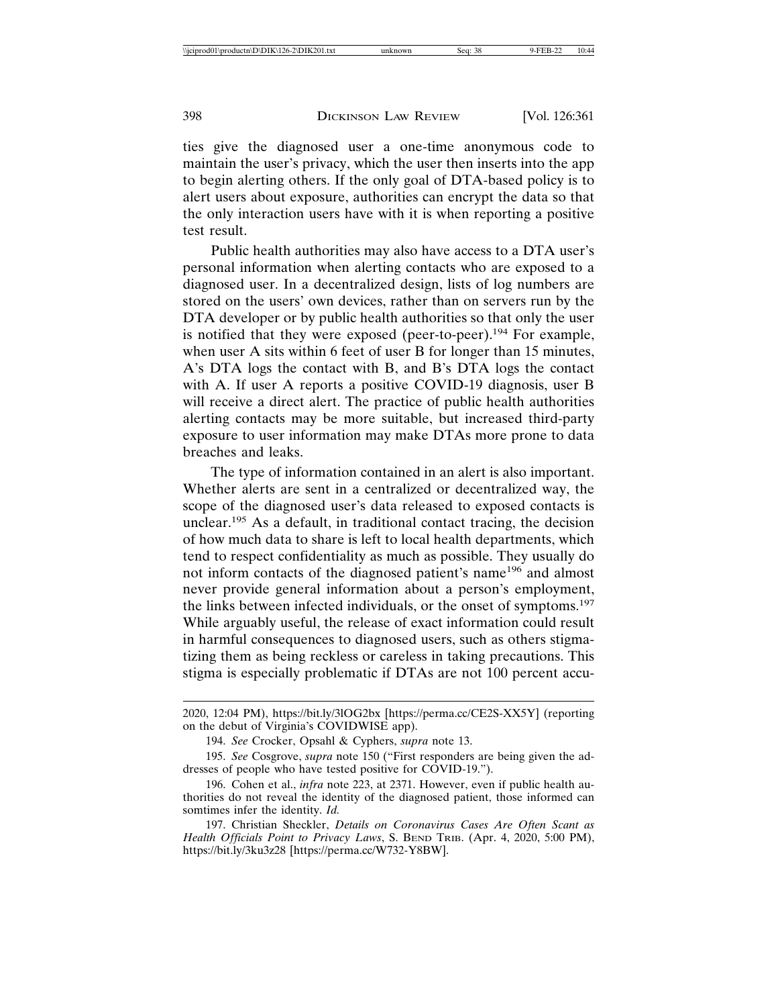ties give the diagnosed user a one-time anonymous code to maintain the user's privacy, which the user then inserts into the app to begin alerting others. If the only goal of DTA-based policy is to alert users about exposure, authorities can encrypt the data so that the only interaction users have with it is when reporting a positive test result.

Public health authorities may also have access to a DTA user's personal information when alerting contacts who are exposed to a diagnosed user. In a decentralized design, lists of log numbers are stored on the users' own devices, rather than on servers run by the DTA developer or by public health authorities so that only the user is notified that they were exposed (peer-to-peer).<sup>194</sup> For example, when user A sits within 6 feet of user B for longer than 15 minutes, A's DTA logs the contact with B, and B's DTA logs the contact with A. If user A reports a positive COVID-19 diagnosis, user B will receive a direct alert. The practice of public health authorities alerting contacts may be more suitable, but increased third-party exposure to user information may make DTAs more prone to data breaches and leaks.

The type of information contained in an alert is also important. Whether alerts are sent in a centralized or decentralized way, the scope of the diagnosed user's data released to exposed contacts is unclear.195 As a default, in traditional contact tracing, the decision of how much data to share is left to local health departments, which tend to respect confidentiality as much as possible. They usually do not inform contacts of the diagnosed patient's name<sup>196</sup> and almost never provide general information about a person's employment, the links between infected individuals, or the onset of symptoms.<sup>197</sup> While arguably useful, the release of exact information could result in harmful consequences to diagnosed users, such as others stigmatizing them as being reckless or careless in taking precautions. This stigma is especially problematic if DTAs are not 100 percent accu-

<sup>2020, 12:04</sup> PM), https://bit.ly/3lOG2bx [https://perma.cc/CE2S-XX5Y] (reporting on the debut of Virginia's COVIDWISE app).

<sup>194.</sup> *See* Crocker, Opsahl & Cyphers, *supra* note 13.

<sup>195.</sup> *See* Cosgrove, *supra* note 150 ("First responders are being given the addresses of people who have tested positive for COVID-19.").

<sup>196.</sup> Cohen et al., *infra* note 223, at 2371. However, even if public health authorities do not reveal the identity of the diagnosed patient, those informed can somtimes infer the identity. *Id.*

<sup>197.</sup> Christian Sheckler, *Details on Coronavirus Cases Are Often Scant as Health Officials Point to Privacy Laws*, S. BEND TRIB. (Apr. 4, 2020, 5:00 PM), https://bit.ly/3ku3z28 [https://perma.cc/W732-Y8BW].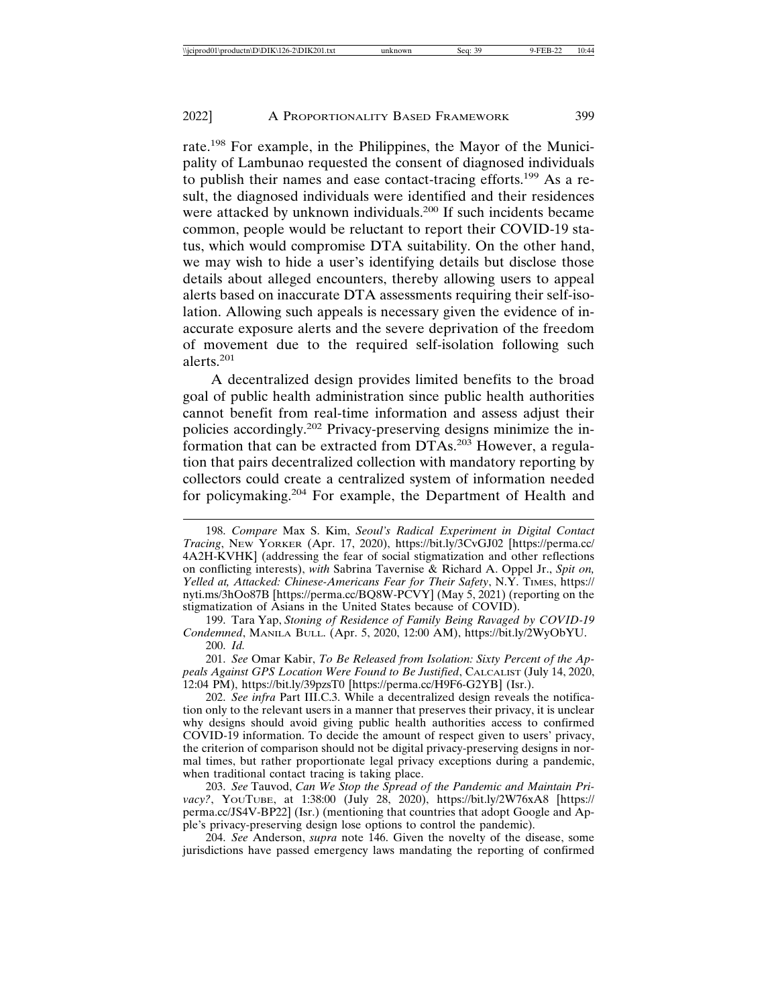rate.198 For example, in the Philippines, the Mayor of the Municipality of Lambunao requested the consent of diagnosed individuals to publish their names and ease contact-tracing efforts.<sup>199</sup> As a result, the diagnosed individuals were identified and their residences were attacked by unknown individuals.<sup>200</sup> If such incidents became common, people would be reluctant to report their COVID-19 status, which would compromise DTA suitability. On the other hand, we may wish to hide a user's identifying details but disclose those details about alleged encounters, thereby allowing users to appeal alerts based on inaccurate DTA assessments requiring their self-isolation. Allowing such appeals is necessary given the evidence of inaccurate exposure alerts and the severe deprivation of the freedom of movement due to the required self-isolation following such alerts.201

A decentralized design provides limited benefits to the broad goal of public health administration since public health authorities cannot benefit from real-time information and assess adjust their policies accordingly.202 Privacy-preserving designs minimize the information that can be extracted from DTAs.203 However, a regulation that pairs decentralized collection with mandatory reporting by collectors could create a centralized system of information needed for policymaking.204 For example, the Department of Health and

199. Tara Yap, *Stoning of Residence of Family Being Ravaged by COVID-19 Condemned*, MANILA BULL. (Apr. 5, 2020, 12:00 AM), https://bit.ly/2WyObYU. 200. *Id.*

201. *See* Omar Kabir, *To Be Released from Isolation: Sixty Percent of the Appeals Against GPS Location Were Found to Be Justified*, CALCALIST (July 14, 2020, 12:04 PM), https://bit.ly/39pzsT0 [https://perma.cc/H9F6-G2YB] (Isr.).

202. *See infra* Part III.C.3. While a decentralized design reveals the notification only to the relevant users in a manner that preserves their privacy, it is unclear why designs should avoid giving public health authorities access to confirmed COVID-19 information. To decide the amount of respect given to users' privacy, the criterion of comparison should not be digital privacy-preserving designs in normal times, but rather proportionate legal privacy exceptions during a pandemic, when traditional contact tracing is taking place.

203. *See* Tauvod, *Can We Stop the Spread of the Pandemic and Maintain Privacy?*, YOUTUBE, at 1:38:00 (July 28, 2020), https://bit.ly/2W76xA8 [https:// perma.cc/JS4V-BP22] (Isr.) (mentioning that countries that adopt Google and Apple's privacy-preserving design lose options to control the pandemic).

204. *See* Anderson, *supra* note 146. Given the novelty of the disease, some jurisdictions have passed emergency laws mandating the reporting of confirmed

<sup>198.</sup> *Compare* Max S. Kim, *Seoul's Radical Experiment in Digital Contact Tracing*, NEW YORKER (Apr. 17, 2020), https://bit.ly/3CvGJ02 [https://perma.cc/ 4A2H-KVHK] (addressing the fear of social stigmatization and other reflections on conflicting interests), *with* Sabrina Tavernise & Richard A. Oppel Jr., *Spit on, Yelled at, Attacked: Chinese-Americans Fear for Their Safety*, N.Y. TIMES, https:// nyti.ms/3hOo87B [https://perma.cc/BQ8W-PCVY] (May 5, 2021) (reporting on the stigmatization of Asians in the United States because of COVID).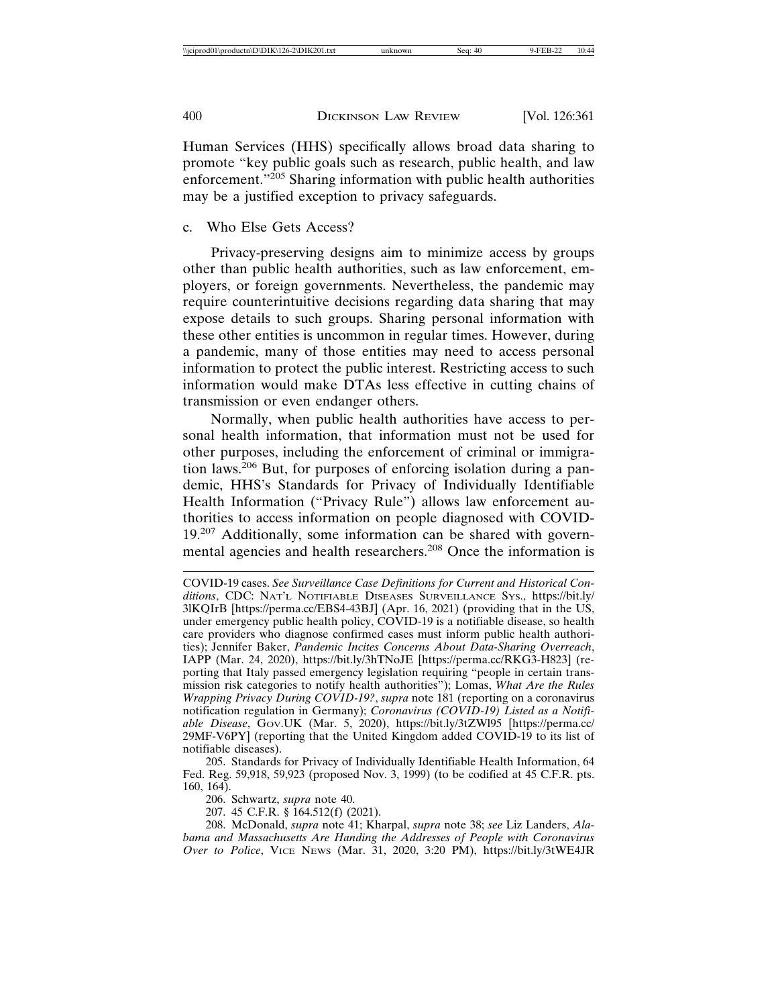Human Services (HHS) specifically allows broad data sharing to promote "key public goals such as research, public health, and law enforcement."<sup>205</sup> Sharing information with public health authorities may be a justified exception to privacy safeguards.

## c. Who Else Gets Access?

Privacy-preserving designs aim to minimize access by groups other than public health authorities, such as law enforcement, employers, or foreign governments. Nevertheless, the pandemic may require counterintuitive decisions regarding data sharing that may expose details to such groups. Sharing personal information with these other entities is uncommon in regular times. However, during a pandemic, many of those entities may need to access personal information to protect the public interest. Restricting access to such information would make DTAs less effective in cutting chains of transmission or even endanger others.

Normally, when public health authorities have access to personal health information, that information must not be used for other purposes, including the enforcement of criminal or immigration laws.206 But, for purposes of enforcing isolation during a pandemic, HHS's Standards for Privacy of Individually Identifiable Health Information ("Privacy Rule") allows law enforcement authorities to access information on people diagnosed with COVID-19.207 Additionally, some information can be shared with governmental agencies and health researchers.<sup>208</sup> Once the information is

205. Standards for Privacy of Individually Identifiable Health Information, 64 Fed. Reg. 59,918, 59,923 (proposed Nov. 3, 1999) (to be codified at 45 C.F.R. pts. 160, 164).

206. Schwartz, *supra* note 40.

207. 45 C.F.R. § 164.512(f) (2021).

208. McDonald, *supra* note 41; Kharpal, *supra* note 38; *see* Liz Landers, *Alabama and Massachusetts Are Handing the Addresses of People with Coronavirus Over to Police*, VICE NEWS (Mar. 31, 2020, 3:20 PM), https://bit.ly/3tWE4JR

COVID-19 cases. *See Surveillance Case Definitions for Current and Historical Conditions*, CDC: NAT'L NOTIFIABLE DISEASES SURVEILLANCE SYS., https://bit.ly/ 3lKQIrB [https://perma.cc/EBS4-43BJ] (Apr. 16, 2021) (providing that in the US, under emergency public health policy, COVID-19 is a notifiable disease, so health care providers who diagnose confirmed cases must inform public health authorities); Jennifer Baker, *Pandemic Incites Concerns About Data-Sharing Overreach*, IAPP (Mar. 24, 2020), https://bit.ly/3hTNoJE [https://perma.cc/RKG3-H823] (reporting that Italy passed emergency legislation requiring "people in certain transmission risk categories to notify health authorities"); Lomas, *What Are the Rules Wrapping Privacy During COVID-19?*, *supra* note 181 (reporting on a coronavirus notification regulation in Germany); *Coronavirus (COVID-19) Listed as a Notifiable Disease*, GOV.UK (Mar. 5, 2020), https://bit.ly/3tZWl95 [https://perma.cc/ 29MF-V6PY] (reporting that the United Kingdom added COVID-19 to its list of notifiable diseases).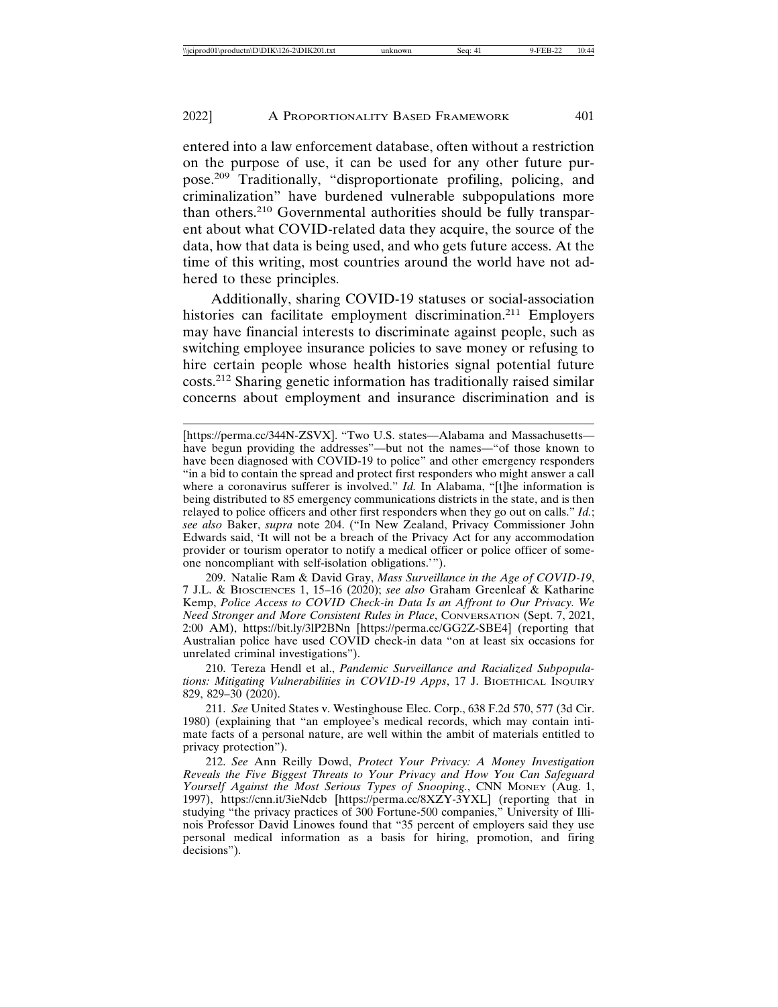entered into a law enforcement database, often without a restriction on the purpose of use, it can be used for any other future purpose.209 Traditionally, "disproportionate profiling, policing, and criminalization" have burdened vulnerable subpopulations more than others.210 Governmental authorities should be fully transparent about what COVID-related data they acquire, the source of the data, how that data is being used, and who gets future access. At the time of this writing, most countries around the world have not adhered to these principles.

Additionally, sharing COVID-19 statuses or social-association histories can facilitate employment discrimination.<sup>211</sup> Employers may have financial interests to discriminate against people, such as switching employee insurance policies to save money or refusing to hire certain people whose health histories signal potential future costs.212 Sharing genetic information has traditionally raised similar concerns about employment and insurance discrimination and is

209. Natalie Ram & David Gray, *Mass Surveillance in the Age of COVID-19*, 7 J.L. & BIOSCIENCES 1, 15–16 (2020); *see also* Graham Greenleaf & Katharine Kemp, *Police Access to COVID Check-in Data Is an Affront to Our Privacy. We Need Stronger and More Consistent Rules in Place*, CONVERSATION (Sept. 7, 2021, 2:00 AM), https://bit.ly/3lP2BNn [https://perma.cc/GG2Z-SBE4] (reporting that Australian police have used COVID check-in data "on at least six occasions for unrelated criminal investigations").

210. Tereza Hendl et al., *Pandemic Surveillance and Racialized Subpopulations: Mitigating Vulnerabilities in COVID-19 Apps*, 17 J. BIOETHICAL INQUIRY 829, 829–30 (2020).

211. *See* United States v. Westinghouse Elec. Corp., 638 F.2d 570, 577 (3d Cir. 1980) (explaining that "an employee's medical records, which may contain intimate facts of a personal nature, are well within the ambit of materials entitled to privacy protection").

212. *See* Ann Reilly Dowd, *Protect Your Privacy: A Money Investigation Reveals the Five Biggest Threats to Your Privacy and How You Can Safeguard Yourself Against the Most Serious Types of Snooping.*, CNN MONEY (Aug. 1, 1997), https://cnn.it/3ieNdcb [https://perma.cc/8XZY-3YXL] (reporting that in studying "the privacy practices of 300 Fortune-500 companies," University of Illinois Professor David Linowes found that "35 percent of employers said they use personal medical information as a basis for hiring, promotion, and firing decisions").

<sup>[</sup>https://perma.cc/344N-ZSVX]. "Two U.S. states—Alabama and Massachusetts have begun providing the addresses"—but not the names—"of those known to have been diagnosed with COVID-19 to police" and other emergency responders "in a bid to contain the spread and protect first responders who might answer a call where a coronavirus sufferer is involved." *Id.* In Alabama, "[t]he information is being distributed to 85 emergency communications districts in the state, and is then relayed to police officers and other first responders when they go out on calls." *Id.*; *see also* Baker, *supra* note 204. ("In New Zealand, Privacy Commissioner John Edwards said, 'It will not be a breach of the Privacy Act for any accommodation provider or tourism operator to notify a medical officer or police officer of someone noncompliant with self-isolation obligations.'").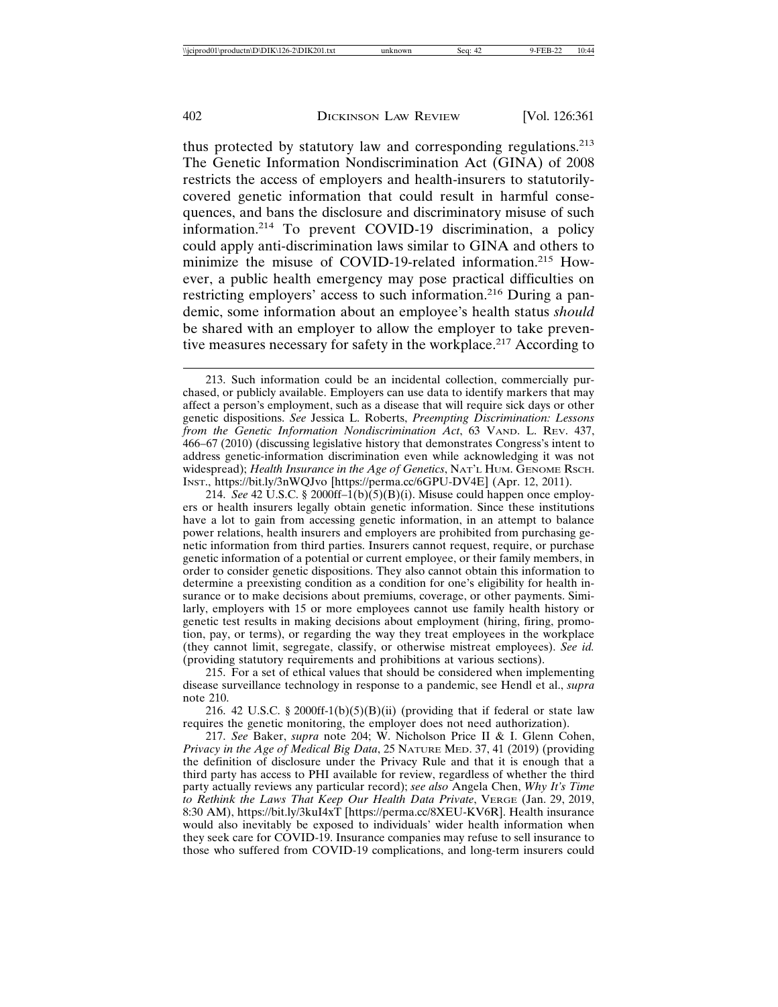thus protected by statutory law and corresponding regulations.<sup>213</sup> The Genetic Information Nondiscrimination Act (GINA) of 2008 restricts the access of employers and health-insurers to statutorilycovered genetic information that could result in harmful consequences, and bans the disclosure and discriminatory misuse of such information.214 To prevent COVID-19 discrimination, a policy could apply anti-discrimination laws similar to GINA and others to minimize the misuse of COVID-19-related information.<sup>215</sup> However, a public health emergency may pose practical difficulties on restricting employers' access to such information.216 During a pandemic, some information about an employee's health status *should* be shared with an employer to allow the employer to take preventive measures necessary for safety in the workplace.<sup>217</sup> According to

214. *See* 42 U.S.C. § 2000ff–1(b)(5)(B)(i). Misuse could happen once employers or health insurers legally obtain genetic information. Since these institutions have a lot to gain from accessing genetic information, in an attempt to balance power relations, health insurers and employers are prohibited from purchasing genetic information from third parties. Insurers cannot request, require, or purchase genetic information of a potential or current employee, or their family members, in order to consider genetic dispositions. They also cannot obtain this information to determine a preexisting condition as a condition for one's eligibility for health insurance or to make decisions about premiums, coverage, or other payments. Similarly, employers with 15 or more employees cannot use family health history or genetic test results in making decisions about employment (hiring, firing, promotion, pay, or terms), or regarding the way they treat employees in the workplace (they cannot limit, segregate, classify, or otherwise mistreat employees). *See id.* (providing statutory requirements and prohibitions at various sections).

215. For a set of ethical values that should be considered when implementing disease surveillance technology in response to a pandemic, see Hendl et al., *supra* note 210.

216. 42 U.S.C. § 2000ff-1(b)(5)(B)(ii) (providing that if federal or state law requires the genetic monitoring, the employer does not need authorization).

217. *See* Baker, *supra* note 204; W. Nicholson Price II & I. Glenn Cohen, *Privacy in the Age of Medical Big Data*, 25 NATURE MED. 37, 41 (2019) (providing the definition of disclosure under the Privacy Rule and that it is enough that a third party has access to PHI available for review, regardless of whether the third party actually reviews any particular record); *see also* Angela Chen, *Why It's Time to Rethink the Laws That Keep Our Health Data Private*, VERGE (Jan. 29, 2019, 8:30 AM), https://bit.ly/3kuI4xT [https://perma.cc/8XEU-KV6R]. Health insurance would also inevitably be exposed to individuals' wider health information when they seek care for COVID-19. Insurance companies may refuse to sell insurance to those who suffered from COVID-19 complications, and long-term insurers could

<sup>213.</sup> Such information could be an incidental collection, commercially purchased, or publicly available. Employers can use data to identify markers that may affect a person's employment, such as a disease that will require sick days or other genetic dispositions. *See* Jessica L. Roberts, *Preempting Discrimination: Lessons from the Genetic Information Nondiscrimination Act*, 63 VAND. L. REV. 437, 466–67 (2010) (discussing legislative history that demonstrates Congress's intent to address genetic-information discrimination even while acknowledging it was not widespread); *Health Insurance in the Age of Genetics*, NAT'L HUM. GENOME RSCH. INST., https://bit.ly/3nWQJvo [https://perma.cc/6GPU-DV4E] (Apr. 12, 2011).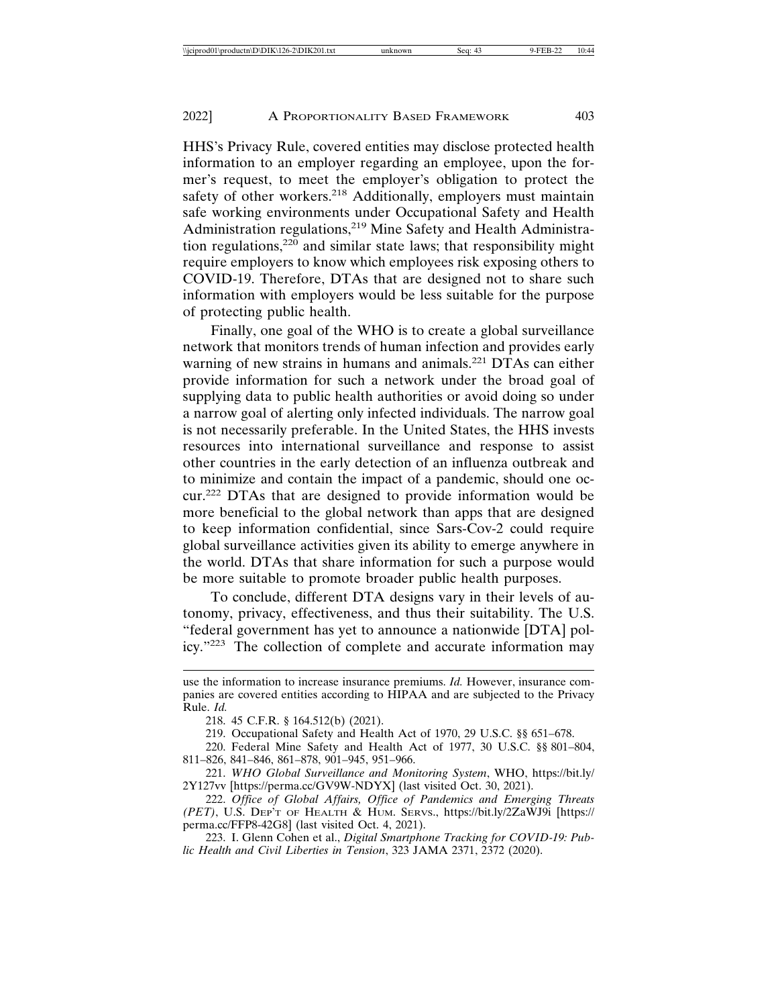HHS's Privacy Rule, covered entities may disclose protected health information to an employer regarding an employee, upon the former's request, to meet the employer's obligation to protect the safety of other workers.<sup>218</sup> Additionally, employers must maintain safe working environments under Occupational Safety and Health Administration regulations,<sup>219</sup> Mine Safety and Health Administration regulations,<sup>220</sup> and similar state laws; that responsibility might require employers to know which employees risk exposing others to COVID-19. Therefore, DTAs that are designed not to share such information with employers would be less suitable for the purpose of protecting public health.

Finally, one goal of the WHO is to create a global surveillance network that monitors trends of human infection and provides early warning of new strains in humans and animals.<sup>221</sup> DTAs can either provide information for such a network under the broad goal of supplying data to public health authorities or avoid doing so under a narrow goal of alerting only infected individuals. The narrow goal is not necessarily preferable. In the United States, the HHS invests resources into international surveillance and response to assist other countries in the early detection of an influenza outbreak and to minimize and contain the impact of a pandemic, should one occur.222 DTAs that are designed to provide information would be more beneficial to the global network than apps that are designed to keep information confidential, since Sars-Cov-2 could require global surveillance activities given its ability to emerge anywhere in the world. DTAs that share information for such a purpose would be more suitable to promote broader public health purposes.

To conclude, different DTA designs vary in their levels of autonomy, privacy, effectiveness, and thus their suitability. The U.S. "federal government has yet to announce a nationwide [DTA] policy."223 The collection of complete and accurate information may

use the information to increase insurance premiums. *Id.* However, insurance companies are covered entities according to HIPAA and are subjected to the Privacy Rule. *Id.*

<sup>218. 45</sup> C.F.R. § 164.512(b) (2021).

<sup>219.</sup> Occupational Safety and Health Act of 1970, 29 U.S.C. §§ 651–678.

<sup>220.</sup> Federal Mine Safety and Health Act of 1977, 30 U.S.C. §§ 801–804, 811–826, 841–846, 861–878, 901–945, 951–966.

<sup>221.</sup> *WHO Global Surveillance and Monitoring System*, WHO, https://bit.ly/ 2Y127vv [https://perma.cc/GV9W-NDYX] (last visited Oct. 30, 2021).

<sup>222.</sup> *Office of Global Affairs, Office of Pandemics and Emerging Threats (PET)*, U.S. DEP'T OF HEALTH & HUM. SERVS., https://bit.ly/2ZaWJ9i [https:// perma.cc/FFP8-42G8] (last visited Oct. 4, 2021).

<sup>223.</sup> I. Glenn Cohen et al., *Digital Smartphone Tracking for COVID-19: Public Health and Civil Liberties in Tension*, 323 JAMA 2371, 2372 (2020).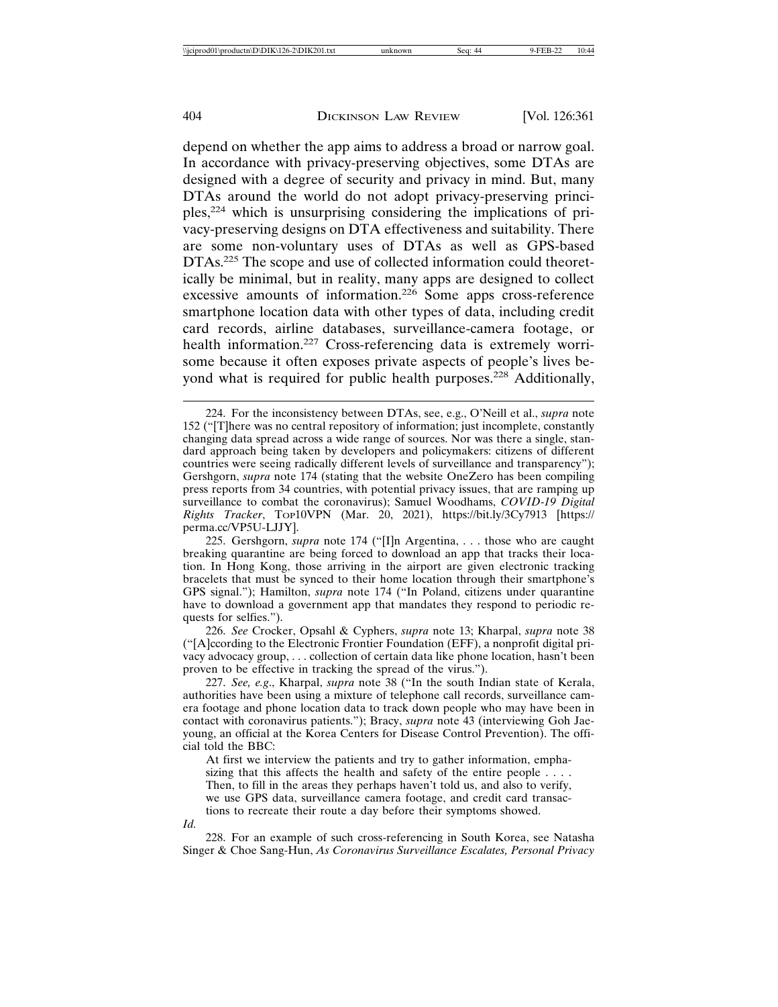depend on whether the app aims to address a broad or narrow goal. In accordance with privacy-preserving objectives, some DTAs are designed with a degree of security and privacy in mind. But, many DTAs around the world do not adopt privacy-preserving principles,224 which is unsurprising considering the implications of privacy-preserving designs on DTA effectiveness and suitability. There are some non-voluntary uses of DTAs as well as GPS-based DTAs.<sup>225</sup> The scope and use of collected information could theoretically be minimal, but in reality, many apps are designed to collect excessive amounts of information.<sup>226</sup> Some apps cross-reference smartphone location data with other types of data, including credit card records, airline databases, surveillance-camera footage, or health information.<sup>227</sup> Cross-referencing data is extremely worrisome because it often exposes private aspects of people's lives beyond what is required for public health purposes.<sup>228</sup> Additionally,

226. *See* Crocker, Opsahl & Cyphers, *supra* note 13; Kharpal, *supra* note 38 ("[A]ccording to the Electronic Frontier Foundation (EFF), a nonprofit digital privacy advocacy group, . . . collection of certain data like phone location, hasn't been proven to be effective in tracking the spread of the virus.").

227. *See, e.g*., Kharpal, *supra* note 38 ("In the south Indian state of Kerala, authorities have been using a mixture of telephone call records, surveillance camera footage and phone location data to track down people who may have been in contact with coronavirus patients."); Bracy, *supra* note 43 (interviewing Goh Jaeyoung, an official at the Korea Centers for Disease Control Prevention). The official told the BBC:

At first we interview the patients and try to gather information, emphasizing that this affects the health and safety of the entire people  $\ldots$ .

Then, to fill in the areas they perhaps haven't told us, and also to verify,

we use GPS data, surveillance camera footage, and credit card transactions to recreate their route a day before their symptoms showed.

*Id.*

228. For an example of such cross-referencing in South Korea, see Natasha Singer & Choe Sang-Hun, *As Coronavirus Surveillance Escalates, Personal Privacy*

<sup>224.</sup> For the inconsistency between DTAs, see, e.g., O'Neill et al., *supra* note 152 ("[T]here was no central repository of information; just incomplete, constantly changing data spread across a wide range of sources. Nor was there a single, standard approach being taken by developers and policymakers: citizens of different countries were seeing radically different levels of surveillance and transparency"); Gershgorn, *supra* note 174 (stating that the website OneZero has been compiling press reports from 34 countries, with potential privacy issues, that are ramping up surveillance to combat the coronavirus); Samuel Woodhams, *COVID-19 Digital Rights Tracker*, TOP10VPN (Mar. 20, 2021), https://bit.ly/3Cy7913 [https:// perma.cc/VP5U-LJJY].

<sup>225.</sup> Gershgorn, *supra* note 174 ("[I]n Argentina, . . . those who are caught breaking quarantine are being forced to download an app that tracks their location. In Hong Kong, those arriving in the airport are given electronic tracking bracelets that must be synced to their home location through their smartphone's GPS signal."); Hamilton, *supra* note 174 ("In Poland, citizens under quarantine have to download a government app that mandates they respond to periodic requests for selfies.").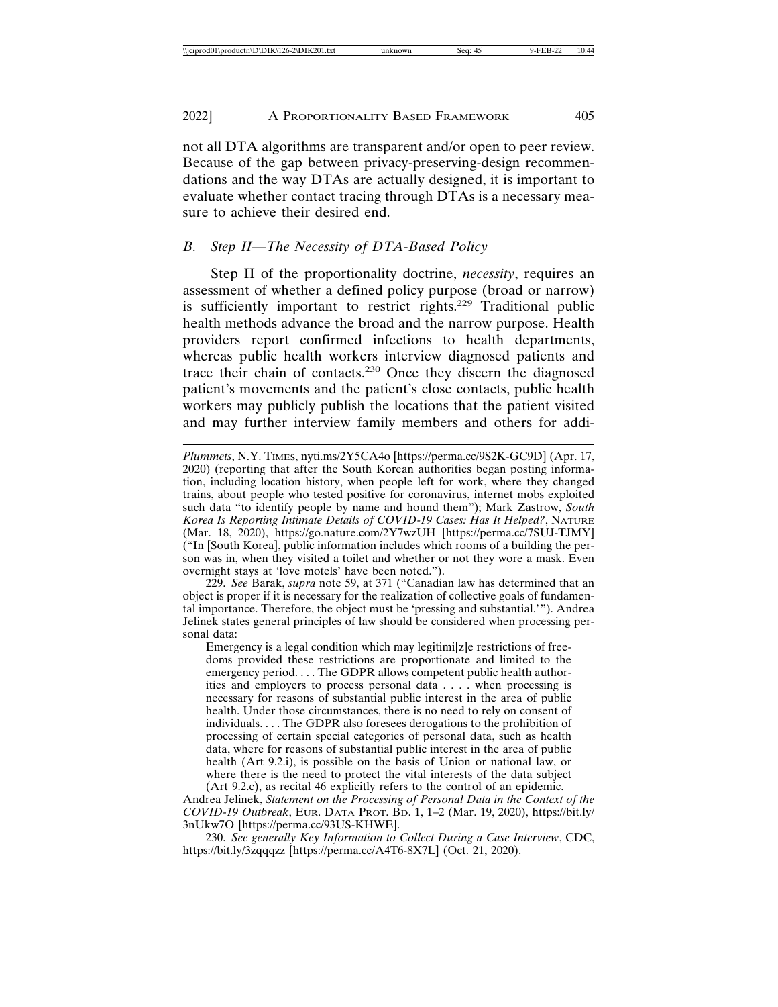not all DTA algorithms are transparent and/or open to peer review. Because of the gap between privacy-preserving-design recommendations and the way DTAs are actually designed, it is important to evaluate whether contact tracing through DTAs is a necessary measure to achieve their desired end.

## *B. Step II—The Necessity of DTA-Based Policy*

Step II of the proportionality doctrine, *necessity*, requires an assessment of whether a defined policy purpose (broad or narrow) is sufficiently important to restrict rights.<sup>229</sup> Traditional public health methods advance the broad and the narrow purpose. Health providers report confirmed infections to health departments, whereas public health workers interview diagnosed patients and trace their chain of contacts.230 Once they discern the diagnosed patient's movements and the patient's close contacts, public health workers may publicly publish the locations that the patient visited and may further interview family members and others for addi-

229. *See* Barak, *supra* note 59, at 371 ("Canadian law has determined that an object is proper if it is necessary for the realization of collective goals of fundamental importance. Therefore, the object must be 'pressing and substantial.'"). Andrea Jelinek states general principles of law should be considered when processing personal data:

Emergency is a legal condition which may legitimi[z]e restrictions of freedoms provided these restrictions are proportionate and limited to the emergency period. . . . The GDPR allows competent public health authorities and employers to process personal data . . . . when processing is necessary for reasons of substantial public interest in the area of public health. Under those circumstances, there is no need to rely on consent of individuals. . . . The GDPR also foresees derogations to the prohibition of processing of certain special categories of personal data, such as health data, where for reasons of substantial public interest in the area of public health (Art 9.2.i), is possible on the basis of Union or national law, or where there is the need to protect the vital interests of the data subject (Art 9.2.c), as recital 46 explicitly refers to the control of an epidemic.

Andrea Jelinek, *Statement on the Processing of Personal Data in the Context of the COVID-19 Outbreak*, EUR. DATA PROT. BD. 1, 1–2 (Mar. 19, 2020), https://bit.ly/ 3nUkw7O [https://perma.cc/93US-KHWE].

230. *See generally Key Information to Collect During a Case Interview*, CDC, https://bit.ly/3zqqqzz [https://perma.cc/A4T6-8X7L] (Oct. 21, 2020).

*Plummets*, N.Y. TIMES, nyti.ms/2Y5CA4o [https://perma.cc/9S2K-GC9D] (Apr. 17, 2020) (reporting that after the South Korean authorities began posting information, including location history, when people left for work, where they changed trains, about people who tested positive for coronavirus, internet mobs exploited such data "to identify people by name and hound them"); Mark Zastrow, *South Korea Is Reporting Intimate Details of COVID-19 Cases: Has It Helped?*, NATURE (Mar. 18, 2020), https://go.nature.com/2Y7wzUH [https://perma.cc/7SUJ-TJMY] ("In [South Korea], public information includes which rooms of a building the person was in, when they visited a toilet and whether or not they wore a mask. Even overnight stays at 'love motels' have been noted.").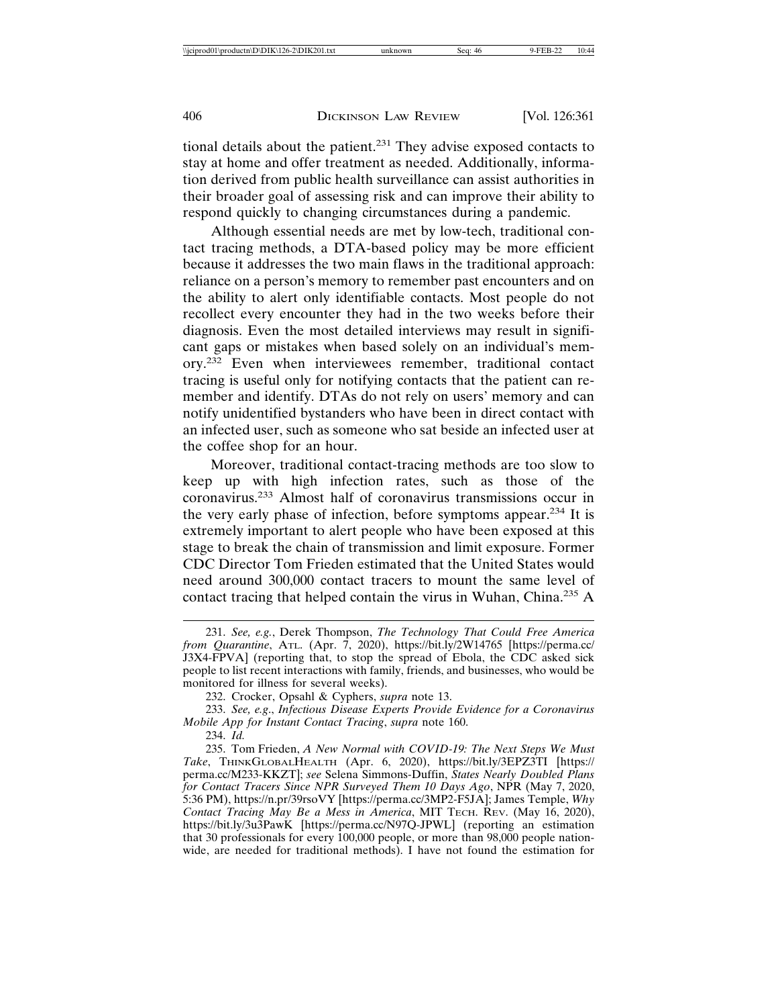tional details about the patient.231 They advise exposed contacts to stay at home and offer treatment as needed. Additionally, information derived from public health surveillance can assist authorities in their broader goal of assessing risk and can improve their ability to respond quickly to changing circumstances during a pandemic.

Although essential needs are met by low-tech, traditional contact tracing methods, a DTA-based policy may be more efficient because it addresses the two main flaws in the traditional approach: reliance on a person's memory to remember past encounters and on the ability to alert only identifiable contacts. Most people do not recollect every encounter they had in the two weeks before their diagnosis. Even the most detailed interviews may result in significant gaps or mistakes when based solely on an individual's memory.232 Even when interviewees remember, traditional contact tracing is useful only for notifying contacts that the patient can remember and identify. DTAs do not rely on users' memory and can notify unidentified bystanders who have been in direct contact with an infected user, such as someone who sat beside an infected user at the coffee shop for an hour.

Moreover, traditional contact-tracing methods are too slow to keep up with high infection rates, such as those of the coronavirus.233 Almost half of coronavirus transmissions occur in the very early phase of infection, before symptoms appear.234 It is extremely important to alert people who have been exposed at this stage to break the chain of transmission and limit exposure. Former CDC Director Tom Frieden estimated that the United States would need around 300,000 contact tracers to mount the same level of contact tracing that helped contain the virus in Wuhan, China.235 A

234. *Id.*

<sup>231.</sup> *See, e.g.*, Derek Thompson, *The Technology That Could Free America from Quarantine*, ATL. (Apr. 7, 2020), https://bit.ly/2W14765 [https://perma.cc/ J3X4-FPVA] (reporting that, to stop the spread of Ebola, the CDC asked sick people to list recent interactions with family, friends, and businesses, who would be monitored for illness for several weeks).

<sup>232.</sup> Crocker, Opsahl & Cyphers, *supra* note 13.

<sup>233.</sup> *See, e.g*., *Infectious Disease Experts Provide Evidence for a Coronavirus Mobile App for Instant Contact Tracing*, *supra* note 160.

<sup>235.</sup> Tom Frieden, *A New Normal with COVID-19: The Next Steps We Must Take*, THINKGLOBALHEALTH (Apr. 6, 2020), https://bit.ly/3EPZ3TI [https:// perma.cc/M233-KKZT]; *see* Selena Simmons-Duffin, *States Nearly Doubled Plans for Contact Tracers Since NPR Surveyed Them 10 Days Ago*, NPR (May 7, 2020, 5:36 PM), https://n.pr/39rsoVY [https://perma.cc/3MP2-F5JA]; James Temple, *Why Contact Tracing May Be a Mess in America*, MIT TECH. REV. (May 16, 2020), https://bit.ly/3u3PawK [https://perma.cc/N97Q-JPWL] (reporting an estimation that 30 professionals for every 100,000 people, or more than 98,000 people nationwide, are needed for traditional methods). I have not found the estimation for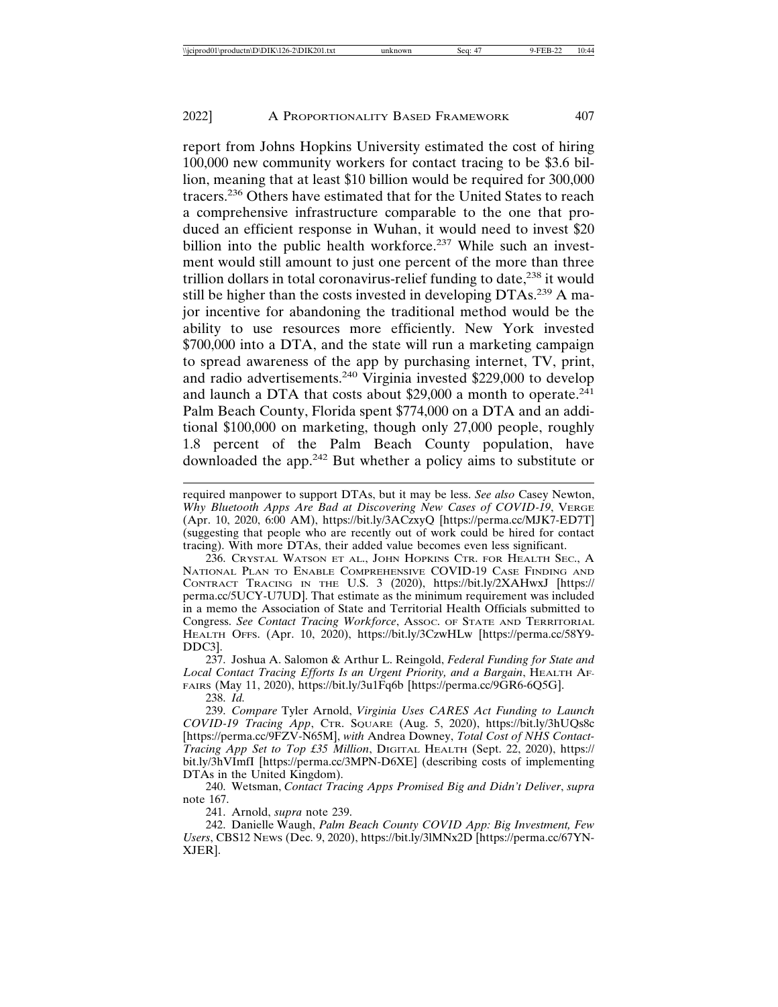report from Johns Hopkins University estimated the cost of hiring 100,000 new community workers for contact tracing to be \$3.6 billion, meaning that at least \$10 billion would be required for 300,000 tracers.236 Others have estimated that for the United States to reach a comprehensive infrastructure comparable to the one that produced an efficient response in Wuhan, it would need to invest \$20 billion into the public health workforce.<sup>237</sup> While such an investment would still amount to just one percent of the more than three trillion dollars in total coronavirus-relief funding to date,<sup>238</sup> it would still be higher than the costs invested in developing DTAs.<sup>239</sup> A major incentive for abandoning the traditional method would be the ability to use resources more efficiently. New York invested \$700,000 into a DTA, and the state will run a marketing campaign to spread awareness of the app by purchasing internet, TV, print, and radio advertisements.240 Virginia invested \$229,000 to develop and launch a DTA that costs about  $$29,000$  a month to operate.<sup>241</sup> Palm Beach County, Florida spent \$774,000 on a DTA and an additional \$100,000 on marketing, though only 27,000 people, roughly 1.8 percent of the Palm Beach County population, have downloaded the app.242 But whether a policy aims to substitute or

required manpower to support DTAs, but it may be less. *See also* Casey Newton, *Why Bluetooth Apps Are Bad at Discovering New Cases of COVID-19*, VERGE (Apr. 10, 2020, 6:00 AM), https://bit.ly/3ACzxyQ [https://perma.cc/MJK7-ED7T] (suggesting that people who are recently out of work could be hired for contact tracing). With more DTAs, their added value becomes even less significant.

236. CRYSTAL WATSON ET AL., JOHN HOPKINS CTR. FOR HEALTH SEC., A NATIONAL PLAN TO ENABLE COMPREHENSIVE COVID-19 CASE FINDING AND CONTRACT TRACING IN THE U.S. 3 (2020), https://bit.ly/2XAHwxJ [https:// perma.cc/5UCY-U7UD]. That estimate as the minimum requirement was included in a memo the Association of State and Territorial Health Officials submitted to Congress. *See Contact Tracing Workforce*, ASSOC. OF STATE AND TERRITORIAL HEALTH OFFS. (Apr. 10, 2020), https://bit.ly/3CzwHLw [https://perma.cc/58Y9- DDC3].

237. Joshua A. Salomon & Arthur L. Reingold, *Federal Funding for State and Local Contact Tracing Efforts Is an Urgent Priority, and a Bargain*, HEALTH AF-FAIRS (May 11, 2020), https://bit.ly/3u1Fq6b [https://perma.cc/9GR6-6Q5G].

238. *Id.*

239. *Compare* Tyler Arnold, *Virginia Uses CARES Act Funding to Launch COVID-19 Tracing App*, CTR. SQUARE (Aug. 5, 2020), https://bit.ly/3hUQs8c [https://perma.cc/9FZV-N65M], *with* Andrea Downey, *Total Cost of NHS Contact-Tracing App Set to Top £35 Million*, DIGITAL HEALTH (Sept. 22, 2020), https:// bit.ly/3hVImfI [https://perma.cc/3MPN-D6XE] (describing costs of implementing DTAs in the United Kingdom).

240. Wetsman, *Contact Tracing Apps Promised Big and Didn't Deliver*, *supra* note 167.

241. Arnold, *supra* note 239.

242. Danielle Waugh, *Palm Beach County COVID App: Big Investment, Few Users*, CBS12 NEWS (Dec. 9, 2020), https://bit.ly/3lMNx2D [https://perma.cc/67YN-XJER].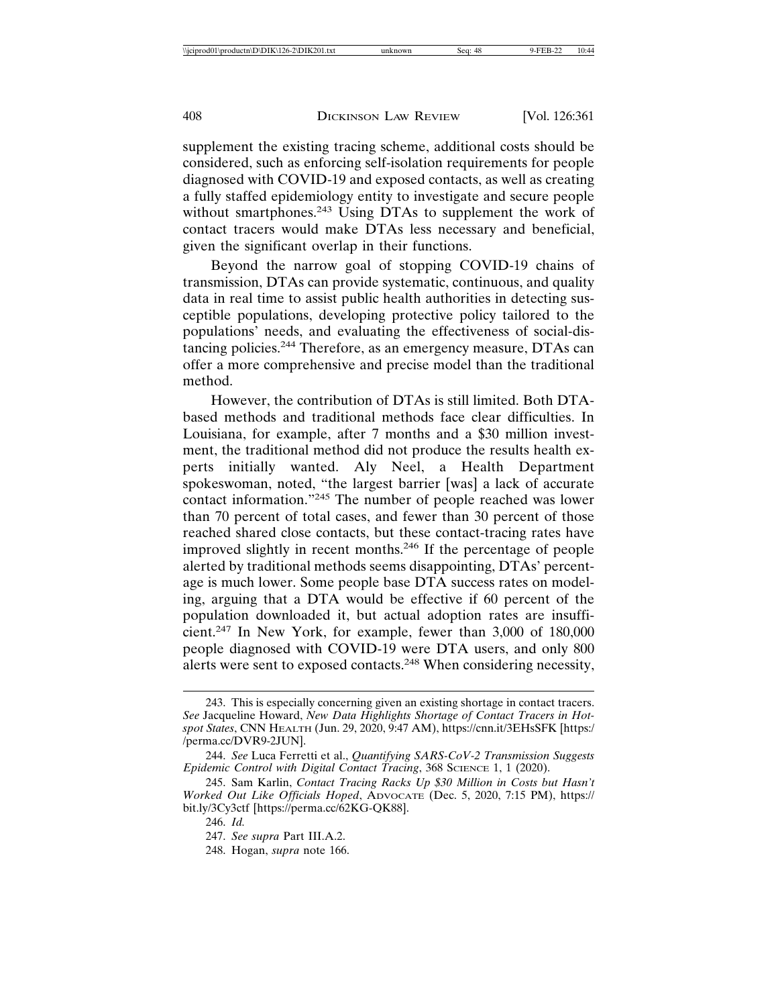supplement the existing tracing scheme, additional costs should be considered, such as enforcing self-isolation requirements for people diagnosed with COVID-19 and exposed contacts, as well as creating a fully staffed epidemiology entity to investigate and secure people without smartphones.<sup>243</sup> Using DTAs to supplement the work of contact tracers would make DTAs less necessary and beneficial, given the significant overlap in their functions.

Beyond the narrow goal of stopping COVID-19 chains of transmission, DTAs can provide systematic, continuous, and quality data in real time to assist public health authorities in detecting susceptible populations, developing protective policy tailored to the populations' needs, and evaluating the effectiveness of social-distancing policies.244 Therefore, as an emergency measure, DTAs can offer a more comprehensive and precise model than the traditional method.

However, the contribution of DTAs is still limited. Both DTAbased methods and traditional methods face clear difficulties. In Louisiana, for example, after 7 months and a \$30 million investment, the traditional method did not produce the results health experts initially wanted. Aly Neel, a Health Department spokeswoman, noted, "the largest barrier [was] a lack of accurate contact information."245 The number of people reached was lower than 70 percent of total cases, and fewer than 30 percent of those reached shared close contacts, but these contact-tracing rates have improved slightly in recent months.246 If the percentage of people alerted by traditional methods seems disappointing, DTAs' percentage is much lower. Some people base DTA success rates on modeling, arguing that a DTA would be effective if 60 percent of the population downloaded it, but actual adoption rates are insufficient.247 In New York, for example, fewer than 3,000 of 180,000 people diagnosed with COVID-19 were DTA users, and only 800 alerts were sent to exposed contacts.248 When considering necessity,

<sup>243.</sup> This is especially concerning given an existing shortage in contact tracers. *See* Jacqueline Howard, *New Data Highlights Shortage of Contact Tracers in Hotspot States*, CNN HEALTH (Jun. 29, 2020, 9:47 AM), https://cnn.it/3EHsSFK [https:/ /perma.cc/DVR9-2JUN].

<sup>244.</sup> *See* Luca Ferretti et al., *Quantifying SARS-CoV-2 Transmission Suggests Epidemic Control with Digital Contact Tracing*, 368 SCIENCE 1, 1 (2020).

<sup>245.</sup> Sam Karlin, *Contact Tracing Racks Up \$30 Million in Costs but Hasn't Worked Out Like Officials Hoped*, ADVOCATE (Dec. 5, 2020, 7:15 PM), https:// bit.ly/3Cy3ctf [https://perma.cc/62KG-QK88].

<sup>246.</sup> *Id.*

<sup>247.</sup> *See supra* Part III.A.2.

<sup>248.</sup> Hogan, *supra* note 166.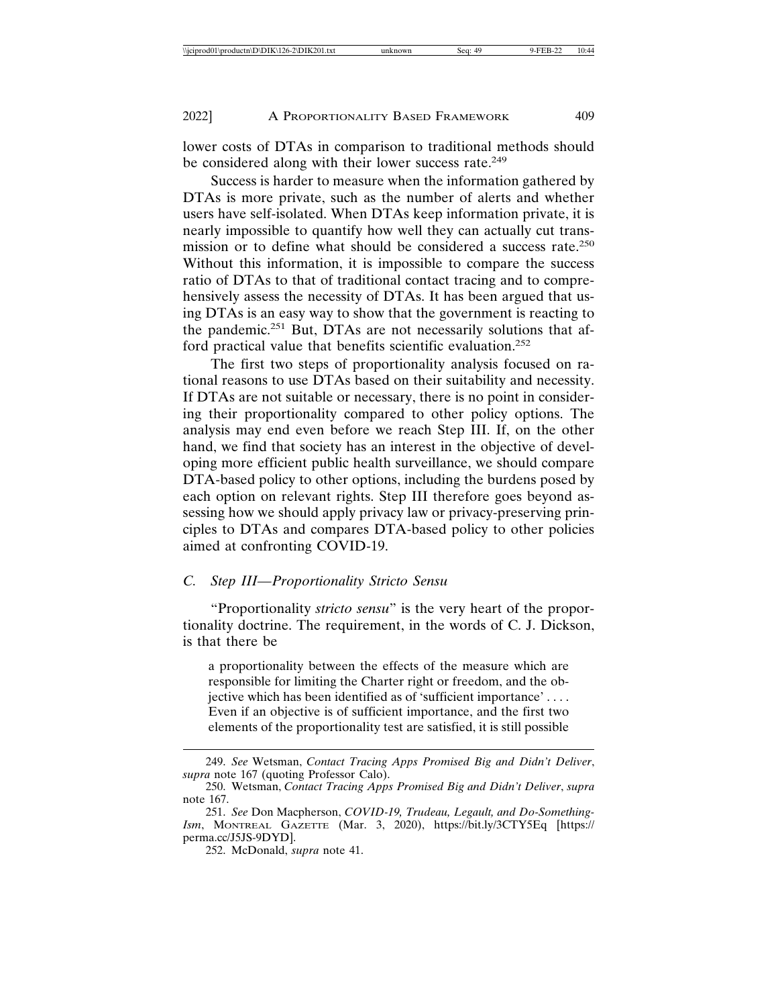lower costs of DTAs in comparison to traditional methods should be considered along with their lower success rate.<sup>249</sup>

Success is harder to measure when the information gathered by DTAs is more private, such as the number of alerts and whether users have self-isolated. When DTAs keep information private, it is nearly impossible to quantify how well they can actually cut transmission or to define what should be considered a success rate.<sup>250</sup> Without this information, it is impossible to compare the success ratio of DTAs to that of traditional contact tracing and to comprehensively assess the necessity of DTAs. It has been argued that using DTAs is an easy way to show that the government is reacting to the pandemic.251 But, DTAs are not necessarily solutions that afford practical value that benefits scientific evaluation.<sup>252</sup>

The first two steps of proportionality analysis focused on rational reasons to use DTAs based on their suitability and necessity. If DTAs are not suitable or necessary, there is no point in considering their proportionality compared to other policy options. The analysis may end even before we reach Step III. If, on the other hand, we find that society has an interest in the objective of developing more efficient public health surveillance, we should compare DTA-based policy to other options, including the burdens posed by each option on relevant rights. Step III therefore goes beyond assessing how we should apply privacy law or privacy-preserving principles to DTAs and compares DTA-based policy to other policies aimed at confronting COVID-19.

## *C. Step III—Proportionality Stricto Sensu*

"Proportionality *stricto sensu*" is the very heart of the proportionality doctrine. The requirement, in the words of C. J. Dickson, is that there be

a proportionality between the effects of the measure which are responsible for limiting the Charter right or freedom, and the objective which has been identified as of 'sufficient importance' . . . . Even if an objective is of sufficient importance, and the first two elements of the proportionality test are satisfied, it is still possible

<sup>249.</sup> *See* Wetsman, *Contact Tracing Apps Promised Big and Didn't Deliver*, *supra* note 167 (quoting Professor Calo).

<sup>250.</sup> Wetsman, *Contact Tracing Apps Promised Big and Didn't Deliver*, *supra* note 167.

<sup>251.</sup> *See* Don Macpherson, *COVID-19, Trudeau, Legault, and Do-Something-Ism*, MONTREAL GAZETTE (Mar. 3, 2020), https://bit.ly/3CTY5Eq [https:// perma.cc/J5JS-9DYD].

<sup>252.</sup> McDonald, *supra* note 41.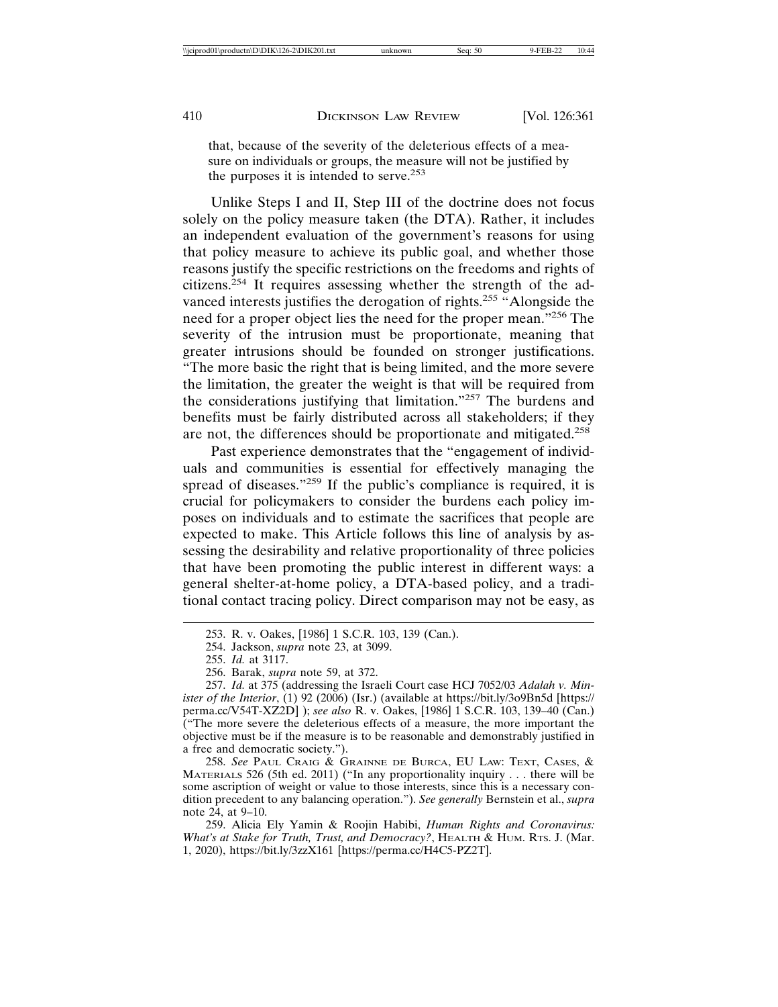that, because of the severity of the deleterious effects of a measure on individuals or groups, the measure will not be justified by the purposes it is intended to serve.<sup>253</sup>

Unlike Steps I and II, Step III of the doctrine does not focus solely on the policy measure taken (the DTA). Rather, it includes an independent evaluation of the government's reasons for using that policy measure to achieve its public goal, and whether those reasons justify the specific restrictions on the freedoms and rights of citizens.254 It requires assessing whether the strength of the advanced interests justifies the derogation of rights.<sup>255</sup> "Alongside the need for a proper object lies the need for the proper mean."256 The severity of the intrusion must be proportionate, meaning that greater intrusions should be founded on stronger justifications. "The more basic the right that is being limited, and the more severe the limitation, the greater the weight is that will be required from the considerations justifying that limitation."257 The burdens and benefits must be fairly distributed across all stakeholders; if they are not, the differences should be proportionate and mitigated.<sup>258</sup>

Past experience demonstrates that the "engagement of individuals and communities is essential for effectively managing the spread of diseases."<sup>259</sup> If the public's compliance is required, it is crucial for policymakers to consider the burdens each policy imposes on individuals and to estimate the sacrifices that people are expected to make. This Article follows this line of analysis by assessing the desirability and relative proportionality of three policies that have been promoting the public interest in different ways: a general shelter-at-home policy, a DTA-based policy, and a traditional contact tracing policy. Direct comparison may not be easy, as

258. *See* PAUL CRAIG & GRAINNE DE BURCA, EU LAW: TEXT, CASES, & MATERIALS 526 (5th ed. 2011) ("In any proportionality inquiry . . . there will be some ascription of weight or value to those interests, since this is a necessary condition precedent to any balancing operation."). *See generally* Bernstein et al., *supra* note 24, at 9–10.

259. Alicia Ely Yamin & Roojin Habibi, *Human Rights and Coronavirus: What's at Stake for Truth, Trust, and Democracy?*, HEALTH & HUM. RTS. J. (Mar. 1, 2020), https://bit.ly/3zzX161 [https://perma.cc/H4C5-PZ2T].

<sup>253.</sup> R. v. Oakes, [1986] 1 S.C.R. 103, 139 (Can.).

<sup>254.</sup> Jackson, *supra* note 23, at 3099.

<sup>255.</sup> *Id.* at 3117.

<sup>256.</sup> Barak, *supra* note 59, at 372.

<sup>257.</sup> *Id.* at 375 (addressing the Israeli Court case HCJ 7052/03 *Adalah v. Minister of the Interior*, (1) 92 (2006) (Isr.) (available at https://bit.ly/3o9Bn5d [https:// perma.cc/V54T-XZ2D] ); *see also* R. v. Oakes, [1986] 1 S.C.R. 103, 139–40 (Can.) ("The more severe the deleterious effects of a measure, the more important the objective must be if the measure is to be reasonable and demonstrably justified in a free and democratic society.").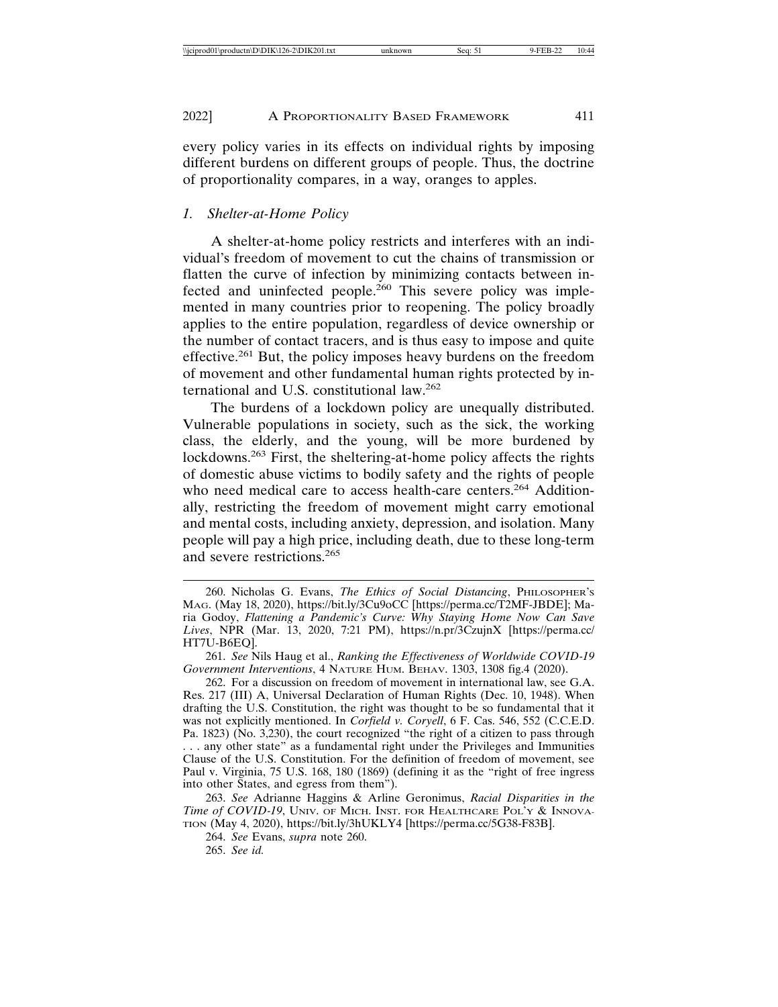every policy varies in its effects on individual rights by imposing different burdens on different groups of people. Thus, the doctrine of proportionality compares, in a way, oranges to apples.

#### *1. Shelter-at-Home Policy*

A shelter-at-home policy restricts and interferes with an individual's freedom of movement to cut the chains of transmission or flatten the curve of infection by minimizing contacts between infected and uninfected people.<sup>260</sup> This severe policy was implemented in many countries prior to reopening. The policy broadly applies to the entire population, regardless of device ownership or the number of contact tracers, and is thus easy to impose and quite effective.261 But, the policy imposes heavy burdens on the freedom of movement and other fundamental human rights protected by international and U.S. constitutional law.<sup>262</sup>

The burdens of a lockdown policy are unequally distributed. Vulnerable populations in society, such as the sick, the working class, the elderly, and the young, will be more burdened by lockdowns.263 First, the sheltering-at-home policy affects the rights of domestic abuse victims to bodily safety and the rights of people who need medical care to access health-care centers.<sup>264</sup> Additionally, restricting the freedom of movement might carry emotional and mental costs, including anxiety, depression, and isolation. Many people will pay a high price, including death, due to these long-term and severe restrictions.<sup>265</sup>

264. *See* Evans, *supra* note 260.

265. *See id.*

<sup>260.</sup> Nicholas G. Evans, *The Ethics of Social Distancing*, PHILOSOPHER'S MAG. (May 18, 2020), https://bit.ly/3Cu9oCC [https://perma.cc/T2MF-JBDE]; Maria Godoy, *Flattening a Pandemic's Curve: Why Staying Home Now Can Save Lives*, NPR (Mar. 13, 2020, 7:21 PM), https://n.pr/3CzujnX [https://perma.cc/ HT7U-B6EQ].

<sup>261.</sup> *See* Nils Haug et al., *Ranking the Effectiveness of Worldwide COVID-19 Government Interventions*, 4 NATURE HUM. BEHAV. 1303, 1308 fig.4 (2020).

<sup>262.</sup> For a discussion on freedom of movement in international law, see G.A. Res. 217 (III) A, Universal Declaration of Human Rights (Dec. 10, 1948). When drafting the U.S. Constitution, the right was thought to be so fundamental that it was not explicitly mentioned. In *Corfield v. Coryell*, 6 F. Cas. 546, 552 (C.C.E.D. Pa. 1823) (No. 3,230), the court recognized "the right of a citizen to pass through . . . any other state" as a fundamental right under the Privileges and Immunities Clause of the U.S. Constitution. For the definition of freedom of movement, see Paul v. Virginia, 75 U.S. 168, 180 (1869) (defining it as the "right of free ingress into other States, and egress from them").

<sup>263.</sup> *See* Adrianne Haggins & Arline Geronimus, *Racial Disparities in the Time of COVID-19*, UNIV. OF MICH. INST. FOR HEALTHCARE POL'Y & INNOVA-TION (May 4, 2020), https://bit.ly/3hUKLY4 [https://perma.cc/5G38-F83B].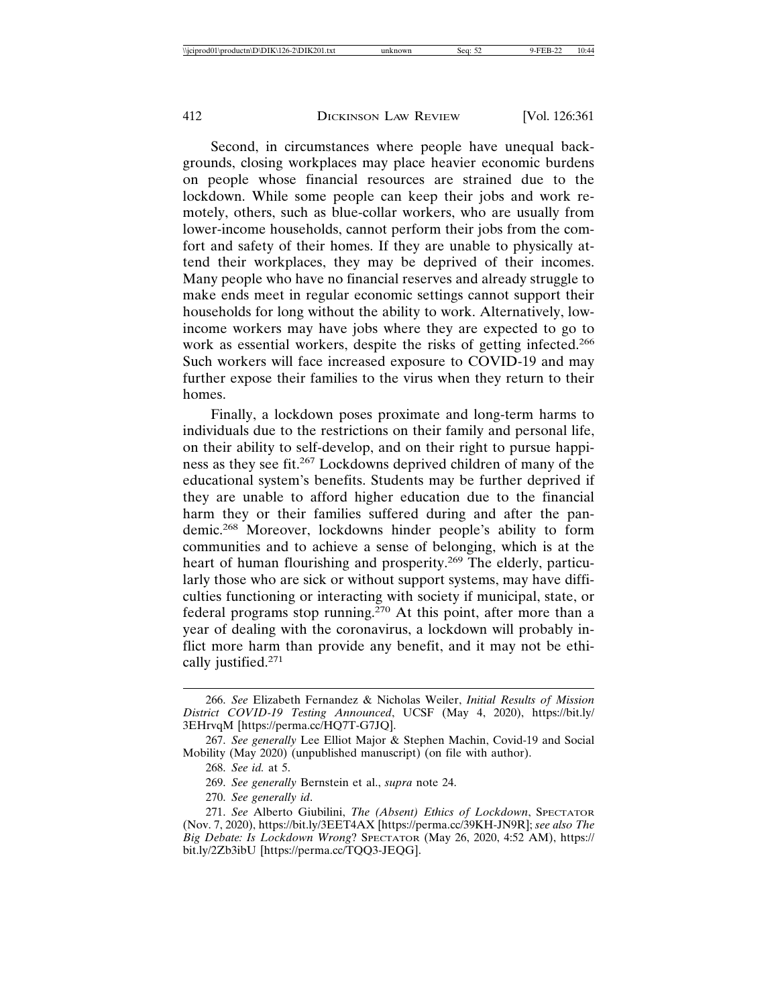Second, in circumstances where people have unequal backgrounds, closing workplaces may place heavier economic burdens on people whose financial resources are strained due to the lockdown. While some people can keep their jobs and work remotely, others, such as blue-collar workers, who are usually from lower-income households, cannot perform their jobs from the comfort and safety of their homes. If they are unable to physically attend their workplaces, they may be deprived of their incomes. Many people who have no financial reserves and already struggle to make ends meet in regular economic settings cannot support their households for long without the ability to work. Alternatively, lowincome workers may have jobs where they are expected to go to work as essential workers, despite the risks of getting infected.<sup>266</sup> Such workers will face increased exposure to COVID-19 and may further expose their families to the virus when they return to their homes.

Finally, a lockdown poses proximate and long-term harms to individuals due to the restrictions on their family and personal life, on their ability to self-develop, and on their right to pursue happiness as they see fit.267 Lockdowns deprived children of many of the educational system's benefits. Students may be further deprived if they are unable to afford higher education due to the financial harm they or their families suffered during and after the pandemic.268 Moreover, lockdowns hinder people's ability to form communities and to achieve a sense of belonging, which is at the heart of human flourishing and prosperity.<sup>269</sup> The elderly, particularly those who are sick or without support systems, may have difficulties functioning or interacting with society if municipal, state, or federal programs stop running.<sup>270</sup> At this point, after more than a year of dealing with the coronavirus, a lockdown will probably inflict more harm than provide any benefit, and it may not be ethically justified.271

<sup>266.</sup> *See* Elizabeth Fernandez & Nicholas Weiler, *Initial Results of Mission District COVID-19 Testing Announced*, UCSF (May 4, 2020), https://bit.ly/ 3EHrvqM [https://perma.cc/HQ7T-G7JQ].

<sup>267.</sup> *See generally* Lee Elliot Major & Stephen Machin, Covid-19 and Social Mobility (May 2020) (unpublished manuscript) (on file with author).

<sup>268.</sup> *See id.* at 5.

<sup>269.</sup> *See generally* Bernstein et al., *supra* note 24.

<sup>270.</sup> *See generally id*.

<sup>271.</sup> *See* Alberto Giubilini, *The (Absent) Ethics of Lockdown*, SPECTATOR (Nov. 7, 2020), https://bit.ly/3EET4AX [https://perma.cc/39KH-JN9R]; *see also The Big Debate: Is Lockdown Wrong*? SPECTATOR (May 26, 2020, 4:52 AM), https:// bit.ly/2Zb3ibU [https://perma.cc/TQQ3-JEQG].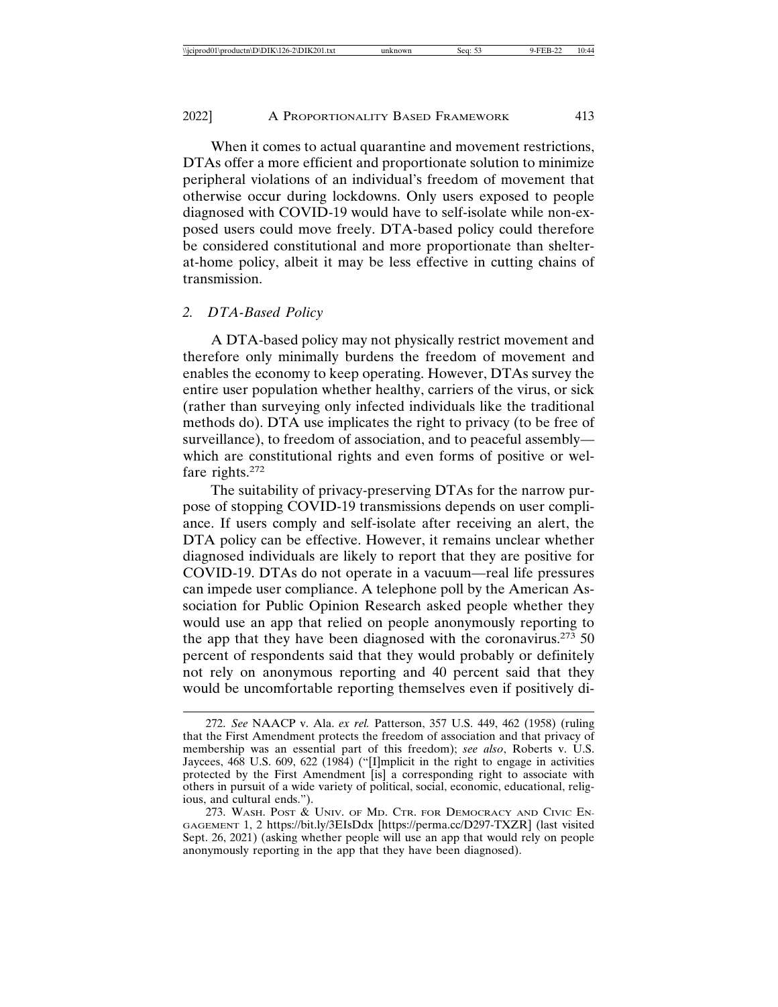When it comes to actual quarantine and movement restrictions, DTAs offer a more efficient and proportionate solution to minimize peripheral violations of an individual's freedom of movement that otherwise occur during lockdowns. Only users exposed to people diagnosed with COVID-19 would have to self-isolate while non-exposed users could move freely. DTA-based policy could therefore be considered constitutional and more proportionate than shelterat-home policy, albeit it may be less effective in cutting chains of transmission.

#### *2. DTA-Based Policy*

A DTA-based policy may not physically restrict movement and therefore only minimally burdens the freedom of movement and enables the economy to keep operating. However, DTAs survey the entire user population whether healthy, carriers of the virus, or sick (rather than surveying only infected individuals like the traditional methods do). DTA use implicates the right to privacy (to be free of surveillance), to freedom of association, and to peaceful assembly which are constitutional rights and even forms of positive or welfare rights.<sup>272</sup>

The suitability of privacy-preserving DTAs for the narrow purpose of stopping COVID-19 transmissions depends on user compliance. If users comply and self-isolate after receiving an alert, the DTA policy can be effective. However, it remains unclear whether diagnosed individuals are likely to report that they are positive for COVID-19. DTAs do not operate in a vacuum—real life pressures can impede user compliance. A telephone poll by the American Association for Public Opinion Research asked people whether they would use an app that relied on people anonymously reporting to the app that they have been diagnosed with the coronavirus.<sup>273</sup> 50 percent of respondents said that they would probably or definitely not rely on anonymous reporting and 40 percent said that they would be uncomfortable reporting themselves even if positively di-

<sup>272.</sup> *See* NAACP v. Ala. *ex rel.* Patterson, 357 U.S. 449, 462 (1958) (ruling that the First Amendment protects the freedom of association and that privacy of membership was an essential part of this freedom); *see also*, Roberts v. U.S. Jaycees, 468 U.S. 609, 622 (1984) ("[I]mplicit in the right to engage in activities protected by the First Amendment [is] a corresponding right to associate with others in pursuit of a wide variety of political, social, economic, educational, religious, and cultural ends.").

<sup>273.</sup> WASH. POST & UNIV. OF MD. CTR. FOR DEMOCRACY AND CIVIC EN-GAGEMENT 1, 2 https://bit.ly/3EIsDdx [https://perma.cc/D297-TXZR] (last visited Sept. 26, 2021) (asking whether people will use an app that would rely on people anonymously reporting in the app that they have been diagnosed).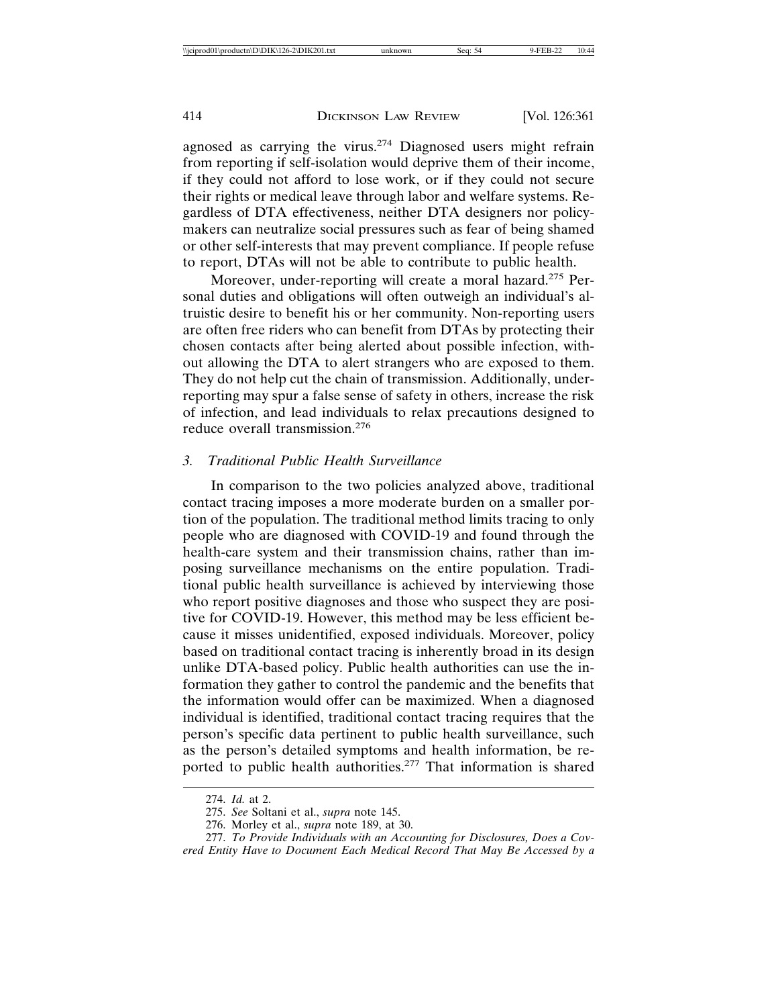agnosed as carrying the virus.274 Diagnosed users might refrain from reporting if self-isolation would deprive them of their income, if they could not afford to lose work, or if they could not secure their rights or medical leave through labor and welfare systems. Regardless of DTA effectiveness, neither DTA designers nor policymakers can neutralize social pressures such as fear of being shamed or other self-interests that may prevent compliance. If people refuse to report, DTAs will not be able to contribute to public health.

Moreover, under-reporting will create a moral hazard.<sup>275</sup> Personal duties and obligations will often outweigh an individual's altruistic desire to benefit his or her community. Non-reporting users are often free riders who can benefit from DTAs by protecting their chosen contacts after being alerted about possible infection, without allowing the DTA to alert strangers who are exposed to them. They do not help cut the chain of transmission. Additionally, underreporting may spur a false sense of safety in others, increase the risk of infection, and lead individuals to relax precautions designed to reduce overall transmission.<sup>276</sup>

## *3. Traditional Public Health Surveillance*

In comparison to the two policies analyzed above, traditional contact tracing imposes a more moderate burden on a smaller portion of the population. The traditional method limits tracing to only people who are diagnosed with COVID-19 and found through the health-care system and their transmission chains, rather than imposing surveillance mechanisms on the entire population. Traditional public health surveillance is achieved by interviewing those who report positive diagnoses and those who suspect they are positive for COVID-19. However, this method may be less efficient because it misses unidentified, exposed individuals. Moreover, policy based on traditional contact tracing is inherently broad in its design unlike DTA-based policy. Public health authorities can use the information they gather to control the pandemic and the benefits that the information would offer can be maximized. When a diagnosed individual is identified, traditional contact tracing requires that the person's specific data pertinent to public health surveillance, such as the person's detailed symptoms and health information, be reported to public health authorities.<sup>277</sup> That information is shared

<sup>274.</sup> *Id.* at 2.

<sup>275.</sup> *See* Soltani et al., *supra* note 145.

<sup>276.</sup> Morley et al., *supra* note 189, at 30.

<sup>277.</sup> *To Provide Individuals with an Accounting for Disclosures, Does a Covered Entity Have to Document Each Medical Record That May Be Accessed by a*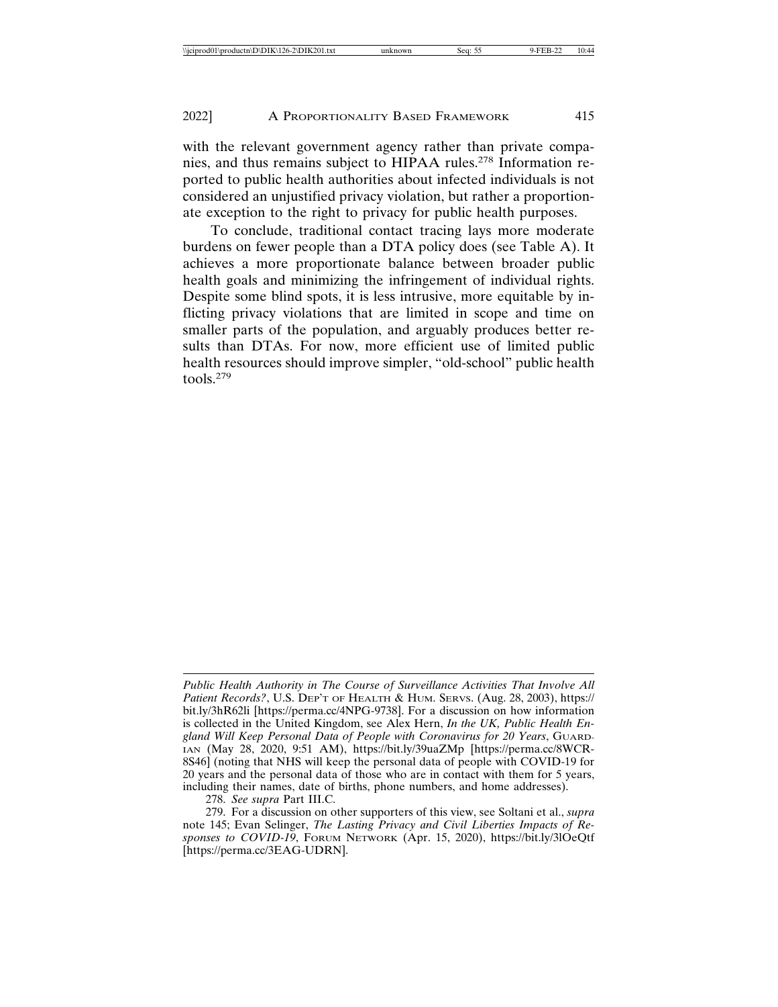with the relevant government agency rather than private companies, and thus remains subject to HIPAA rules.278 Information reported to public health authorities about infected individuals is not considered an unjustified privacy violation, but rather a proportionate exception to the right to privacy for public health purposes.

To conclude, traditional contact tracing lays more moderate burdens on fewer people than a DTA policy does (see Table A). It achieves a more proportionate balance between broader public health goals and minimizing the infringement of individual rights. Despite some blind spots, it is less intrusive, more equitable by inflicting privacy violations that are limited in scope and time on smaller parts of the population, and arguably produces better results than DTAs. For now, more efficient use of limited public health resources should improve simpler, "old-school" public health tools.279

278. *See supra* Part III.C.

*Public Health Authority in The Course of Surveillance Activities That Involve All Patient Records?*, U.S. DEP'T OF HEALTH & HUM. SERVS. (Aug. 28, 2003), https:// bit.ly/3hR62li [https://perma.cc/4NPG-9738]. For a discussion on how information is collected in the United Kingdom, see Alex Hern, *In the UK, Public Health England Will Keep Personal Data of People with Coronavirus for 20 Years*, GUARD-IAN (May 28, 2020, 9:51 AM), https://bit.ly/39uaZMp [https://perma.cc/8WCR-8S46] (noting that NHS will keep the personal data of people with COVID-19 for 20 years and the personal data of those who are in contact with them for 5 years, including their names, date of births, phone numbers, and home addresses).

<sup>279.</sup> For a discussion on other supporters of this view, see Soltani et al., *supra* note 145; Evan Selinger, *The Lasting Privacy and Civil Liberties Impacts of Responses to COVID-19*, FORUM NETWORK (Apr. 15, 2020), https://bit.ly/3lOeQtf [https://perma.cc/3EAG-UDRN].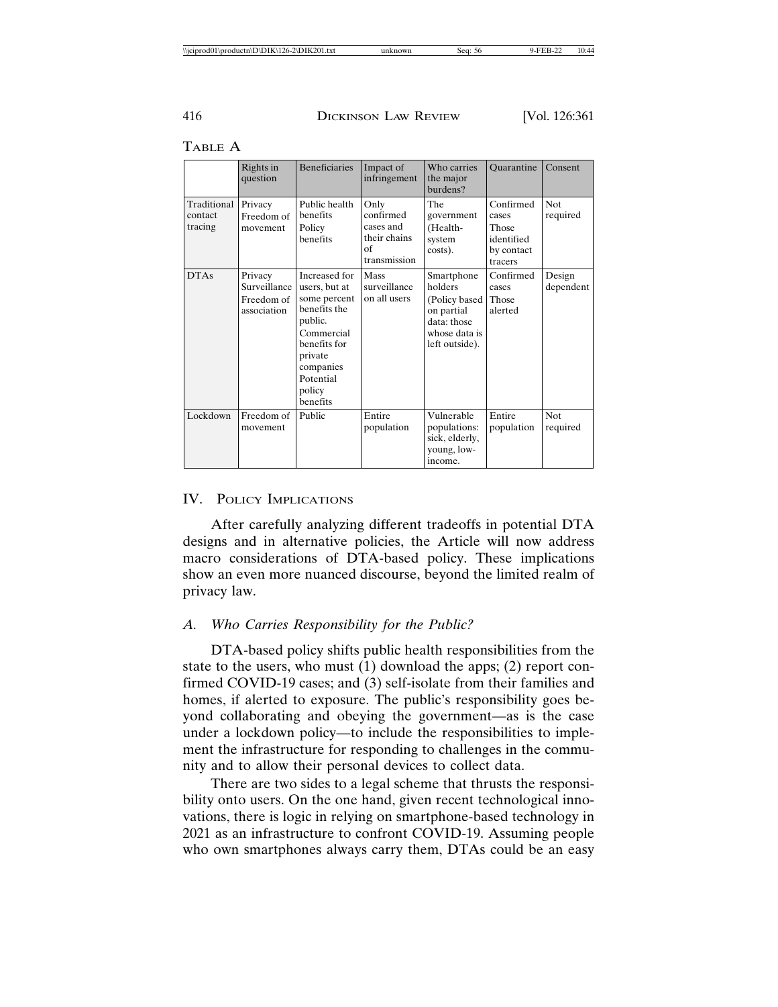|                                   | Rights in<br>question                                | <b>Beneficiaries</b>                                                                                                                                               | Impact of<br>infringement                                            | Who carries<br>the major<br>burdens?                                                                   | <b>Ouarantine</b>                                                  | Consent                |
|-----------------------------------|------------------------------------------------------|--------------------------------------------------------------------------------------------------------------------------------------------------------------------|----------------------------------------------------------------------|--------------------------------------------------------------------------------------------------------|--------------------------------------------------------------------|------------------------|
| Traditional<br>contact<br>tracing | Privacy<br>Freedom of<br>movement                    | Public health<br>benefits<br>Policy<br>benefits                                                                                                                    | Only<br>confirmed<br>cases and<br>their chains<br>οf<br>transmission | The<br>government<br>(Health-<br>system<br>costs).                                                     | Confirmed<br>cases<br>Those<br>identified<br>by contact<br>tracers | <b>Not</b><br>required |
| <b>DTAs</b>                       | Privacy<br>Surveillance<br>Freedom of<br>association | Increased for<br>users, but at<br>some percent<br>benefits the<br>public.<br>Commercial<br>benefits for<br>private<br>companies<br>Potential<br>policy<br>benefits | Mass<br>surveillance<br>on all users                                 | Smartphone<br>holders<br>(Policy based<br>on partial<br>data: those<br>whose data is<br>left outside). | Confirmed<br>cases<br>Those<br>alerted                             | Design<br>dependent    |
| Lockdown                          | Freedom of<br>movement                               | Public                                                                                                                                                             | Entire<br>population                                                 | Vulnerable<br>populations:<br>sick, elderly,<br>young, low-<br>income.                                 | Entire<br>population                                               | <b>Not</b><br>required |

TABLE A

## IV. POLICY IMPLICATIONS

After carefully analyzing different tradeoffs in potential DTA designs and in alternative policies, the Article will now address macro considerations of DTA-based policy. These implications show an even more nuanced discourse, beyond the limited realm of privacy law.

## *A. Who Carries Responsibility for the Public?*

DTA-based policy shifts public health responsibilities from the state to the users, who must (1) download the apps; (2) report confirmed COVID-19 cases; and (3) self-isolate from their families and homes, if alerted to exposure. The public's responsibility goes beyond collaborating and obeying the government—as is the case under a lockdown policy—to include the responsibilities to implement the infrastructure for responding to challenges in the community and to allow their personal devices to collect data.

There are two sides to a legal scheme that thrusts the responsibility onto users. On the one hand, given recent technological innovations, there is logic in relying on smartphone-based technology in 2021 as an infrastructure to confront COVID-19. Assuming people who own smartphones always carry them, DTAs could be an easy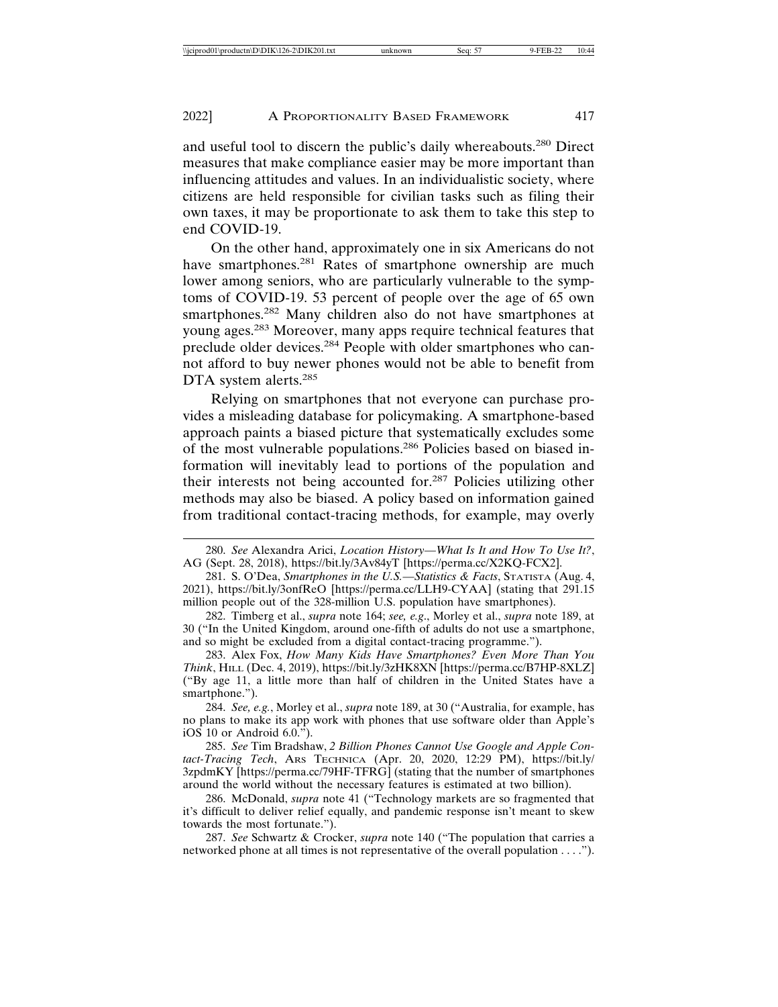and useful tool to discern the public's daily whereabouts.280 Direct measures that make compliance easier may be more important than influencing attitudes and values. In an individualistic society, where citizens are held responsible for civilian tasks such as filing their own taxes, it may be proportionate to ask them to take this step to end COVID-19.

On the other hand, approximately one in six Americans do not have smartphones.<sup>281</sup> Rates of smartphone ownership are much lower among seniors, who are particularly vulnerable to the symptoms of COVID-19. 53 percent of people over the age of 65 own smartphones.<sup>282</sup> Many children also do not have smartphones at young ages.283 Moreover, many apps require technical features that preclude older devices.<sup>284</sup> People with older smartphones who cannot afford to buy newer phones would not be able to benefit from DTA system alerts.<sup>285</sup>

Relying on smartphones that not everyone can purchase provides a misleading database for policymaking. A smartphone-based approach paints a biased picture that systematically excludes some of the most vulnerable populations.286 Policies based on biased information will inevitably lead to portions of the population and their interests not being accounted for.287 Policies utilizing other methods may also be biased. A policy based on information gained from traditional contact-tracing methods, for example, may overly

284. *See, e.g.*, Morley et al., *supra* note 189, at 30 ("Australia, for example, has no plans to make its app work with phones that use software older than Apple's iOS 10 or Android 6.0.").

285. *See* Tim Bradshaw, *2 Billion Phones Cannot Use Google and Apple Contact-Tracing Tech*, ARS TECHNICA (Apr. 20, 2020, 12:29 PM), https://bit.ly/ 3zpdmKY [https://perma.cc/79HF-TFRG] (stating that the number of smartphones around the world without the necessary features is estimated at two billion).

286. McDonald, *supra* note 41 ("Technology markets are so fragmented that it's difficult to deliver relief equally, and pandemic response isn't meant to skew towards the most fortunate.").

287. *See* Schwartz & Crocker, *supra* note 140 ("The population that carries a networked phone at all times is not representative of the overall population . . . .").

<sup>280.</sup> *See* Alexandra Arici, *Location History—What Is It and How To Use It?*, AG (Sept. 28, 2018), https://bit.ly/3Av84yT [https://perma.cc/X2KQ-FCX2].

<sup>281.</sup> S. O'Dea, *Smartphones in the U.S.—Statistics & Facts*, STATISTA (Aug. 4, 2021), https://bit.ly/3onfReO [https://perma.cc/LLH9-CYAA] (stating that 291.15 million people out of the 328-million U.S. population have smartphones).

<sup>282.</sup> Timberg et al., *supra* note 164; *see, e.g*., Morley et al., *supra* note 189, at 30 ("In the United Kingdom, around one-fifth of adults do not use a smartphone, and so might be excluded from a digital contact-tracing programme.").

<sup>283.</sup> Alex Fox, *How Many Kids Have Smartphones? Even More Than You Think*, HILL (Dec. 4, 2019), https://bit.ly/3zHK8XN [https://perma.cc/B7HP-8XLZ] ("By age 11, a little more than half of children in the United States have a smartphone.").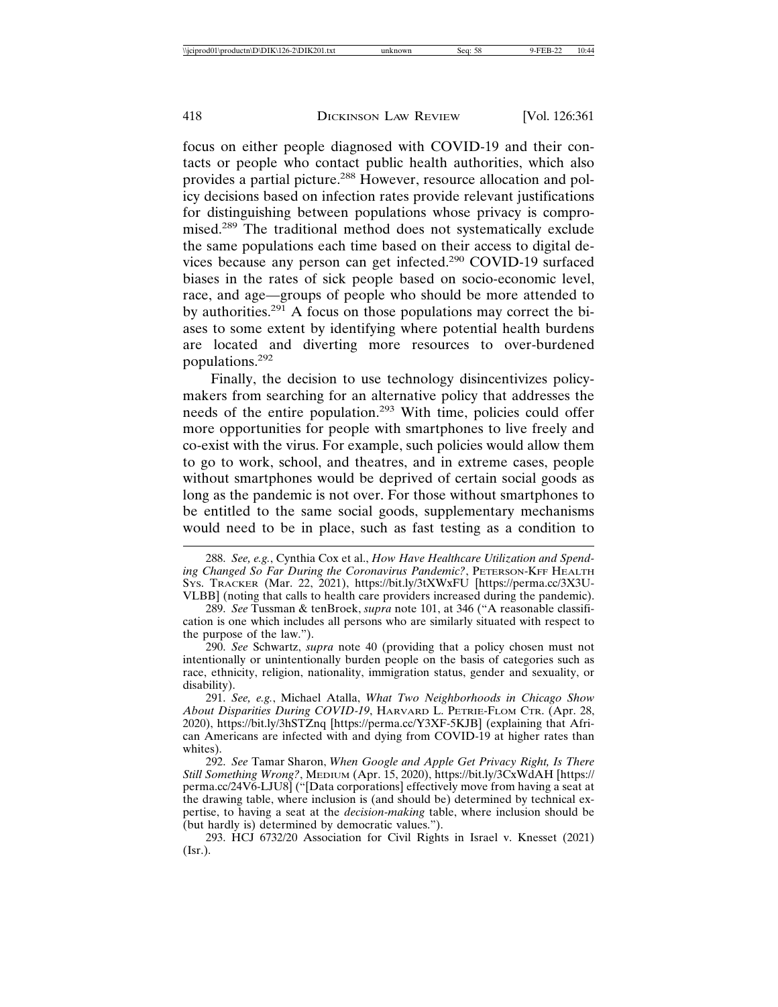focus on either people diagnosed with COVID-19 and their contacts or people who contact public health authorities, which also provides a partial picture.<sup>288</sup> However, resource allocation and policy decisions based on infection rates provide relevant justifications for distinguishing between populations whose privacy is compromised.289 The traditional method does not systematically exclude the same populations each time based on their access to digital devices because any person can get infected.290 COVID-19 surfaced biases in the rates of sick people based on socio-economic level, race, and age—groups of people who should be more attended to by authorities.291 A focus on those populations may correct the biases to some extent by identifying where potential health burdens are located and diverting more resources to over-burdened populations.<sup>292</sup>

Finally, the decision to use technology disincentivizes policymakers from searching for an alternative policy that addresses the needs of the entire population.293 With time, policies could offer more opportunities for people with smartphones to live freely and co-exist with the virus. For example, such policies would allow them to go to work, school, and theatres, and in extreme cases, people without smartphones would be deprived of certain social goods as long as the pandemic is not over. For those without smartphones to be entitled to the same social goods, supplementary mechanisms would need to be in place, such as fast testing as a condition to

293. HCJ 6732/20 Association for Civil Rights in Israel v. Knesset (2021) (Isr.).

<sup>288.</sup> *See, e.g.*, Cynthia Cox et al., *How Have Healthcare Utilization and Spending Changed So Far During the Coronavirus Pandemic?*, PETERSON-KFF HEALTH SYS. TRACKER (Mar. 22, 2021), https://bit.ly/3tXWxFU [https://perma.cc/3X3U-VLBB] (noting that calls to health care providers increased during the pandemic).

<sup>289.</sup> *See* Tussman & tenBroek, *supra* note 101, at 346 ("A reasonable classification is one which includes all persons who are similarly situated with respect to the purpose of the law.").

<sup>290.</sup> *See* Schwartz, *supra* note 40 (providing that a policy chosen must not intentionally or unintentionally burden people on the basis of categories such as race, ethnicity, religion, nationality, immigration status, gender and sexuality, or disability).

<sup>291.</sup> *See, e.g.*, Michael Atalla, *What Two Neighborhoods in Chicago Show About Disparities During COVID-19*, HARVARD L. PETRIE-FLOM CTR. (Apr. 28, 2020), https://bit.ly/3hSTZnq [https://perma.cc/Y3XF-5KJB] (explaining that African Americans are infected with and dying from COVID-19 at higher rates than whites).

<sup>292.</sup> *See* Tamar Sharon, *When Google and Apple Get Privacy Right, Is There Still Something Wrong?*, MEDIUM (Apr. 15, 2020), https://bit.ly/3CxWdAH [https:// perma.cc/24V6-LJU8] ("[Data corporations] effectively move from having a seat at the drawing table, where inclusion is (and should be) determined by technical expertise, to having a seat at the *decision-making* table, where inclusion should be (but hardly is) determined by democratic values.").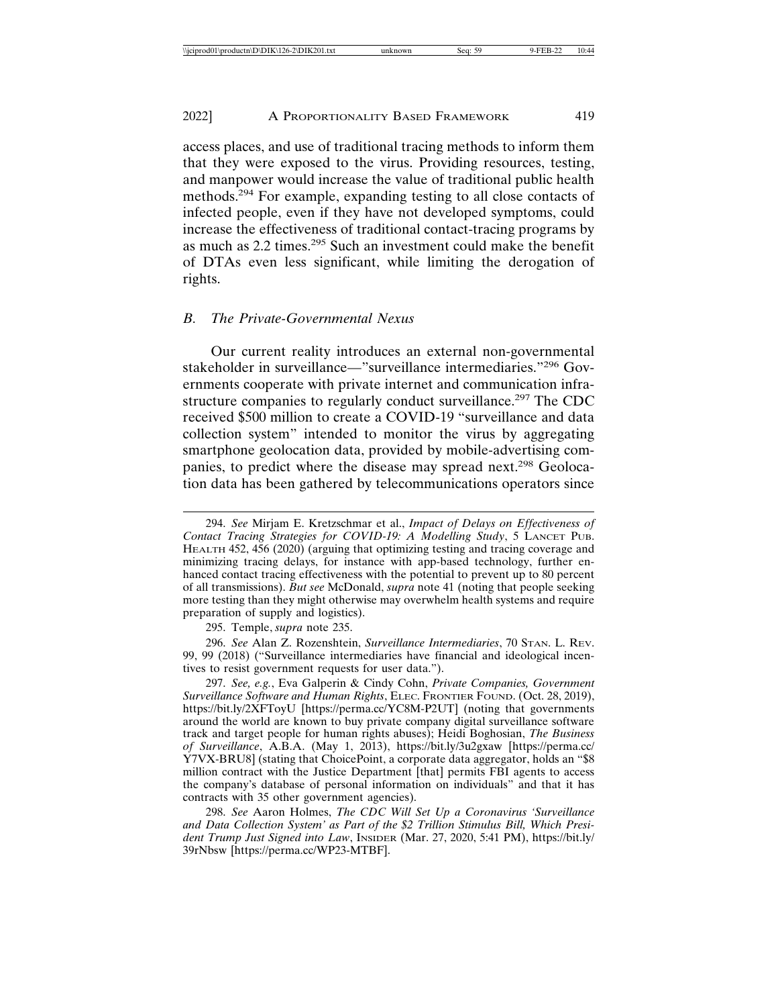access places, and use of traditional tracing methods to inform them that they were exposed to the virus. Providing resources, testing, and manpower would increase the value of traditional public health methods.294 For example, expanding testing to all close contacts of infected people, even if they have not developed symptoms, could increase the effectiveness of traditional contact-tracing programs by as much as 2.2 times.295 Such an investment could make the benefit of DTAs even less significant, while limiting the derogation of rights.

#### *B. The Private-Governmental Nexus*

Our current reality introduces an external non-governmental stakeholder in surveillance—"surveillance intermediaries."296 Governments cooperate with private internet and communication infrastructure companies to regularly conduct surveillance.<sup>297</sup> The CDC received \$500 million to create a COVID-19 "surveillance and data collection system" intended to monitor the virus by aggregating smartphone geolocation data, provided by mobile-advertising companies, to predict where the disease may spread next.298 Geolocation data has been gathered by telecommunications operators since

295. Temple, *supra* note 235.

296. *See* Alan Z. Rozenshtein, *Surveillance Intermediaries*, 70 STAN. L. REV. 99, 99 (2018) ("Surveillance intermediaries have financial and ideological incentives to resist government requests for user data.").

297. *See, e.g.*, Eva Galperin & Cindy Cohn, *Private Companies, Government Surveillance Software and Human Rights*, ELEC. FRONTIER FOUND. (Oct. 28, 2019), https://bit.ly/2XFToyU [https://perma.cc/YC8M-P2UT] (noting that governments around the world are known to buy private company digital surveillance software track and target people for human rights abuses); Heidi Boghosian, *The Business of Surveillance*, A.B.A. (May 1, 2013), https://bit.ly/3u2gxaw [https://perma.cc/ Y7VX-BRU8] (stating that ChoicePoint, a corporate data aggregator, holds an "\$8 million contract with the Justice Department [that] permits FBI agents to access the company's database of personal information on individuals" and that it has contracts with 35 other government agencies).

298. *See* Aaron Holmes, *The CDC Will Set Up a Coronavirus 'Surveillance and Data Collection System' as Part of the \$2 Trillion Stimulus Bill, Which President Trump Just Signed into Law*, INSIDER (Mar. 27, 2020, 5:41 PM), https://bit.ly/ 39rNbsw [https://perma.cc/WP23-MTBF].

<sup>294.</sup> *See* Mirjam E. Kretzschmar et al., *Impact of Delays on Effectiveness of Contact Tracing Strategies for COVID-19: A Modelling Study*, 5 LANCET PUB. HEALTH 452, 456 (2020) (arguing that optimizing testing and tracing coverage and minimizing tracing delays, for instance with app-based technology, further enhanced contact tracing effectiveness with the potential to prevent up to 80 percent of all transmissions). *But see* McDonald, *supra* note 41 (noting that people seeking more testing than they might otherwise may overwhelm health systems and require preparation of supply and logistics).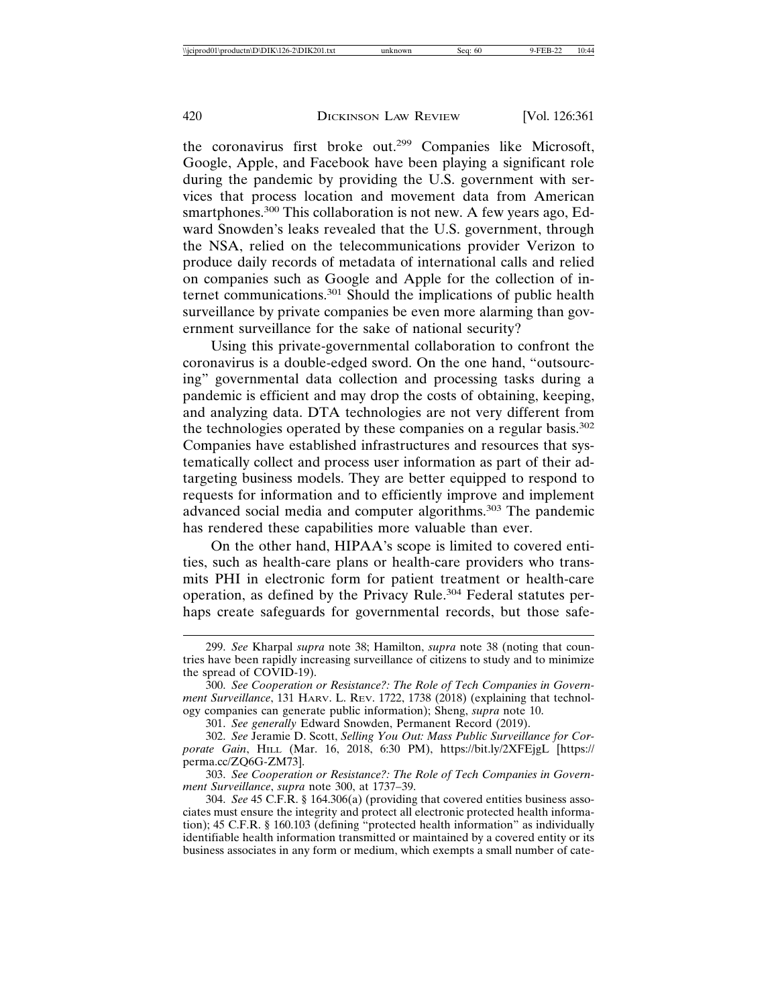the coronavirus first broke out.299 Companies like Microsoft, Google, Apple, and Facebook have been playing a significant role during the pandemic by providing the U.S. government with services that process location and movement data from American smartphones.<sup>300</sup> This collaboration is not new. A few years ago, Edward Snowden's leaks revealed that the U.S. government, through the NSA, relied on the telecommunications provider Verizon to produce daily records of metadata of international calls and relied on companies such as Google and Apple for the collection of internet communications.301 Should the implications of public health surveillance by private companies be even more alarming than government surveillance for the sake of national security?

Using this private-governmental collaboration to confront the coronavirus is a double-edged sword. On the one hand, "outsourcing" governmental data collection and processing tasks during a pandemic is efficient and may drop the costs of obtaining, keeping, and analyzing data. DTA technologies are not very different from the technologies operated by these companies on a regular basis.<sup>302</sup> Companies have established infrastructures and resources that systematically collect and process user information as part of their adtargeting business models. They are better equipped to respond to requests for information and to efficiently improve and implement advanced social media and computer algorithms.303 The pandemic has rendered these capabilities more valuable than ever.

On the other hand, HIPAA's scope is limited to covered entities, such as health-care plans or health-care providers who transmits PHI in electronic form for patient treatment or health-care operation, as defined by the Privacy Rule.<sup>304</sup> Federal statutes perhaps create safeguards for governmental records, but those safe-

303. *See Cooperation or Resistance?: The Role of Tech Companies in Government Surveillance*, *supra* note 300, at 1737–39.

304. *See* 45 C.F.R. § 164.306(a) (providing that covered entities business associates must ensure the integrity and protect all electronic protected health information); 45 C.F.R. § 160.103 (defining "protected health information" as individually identifiable health information transmitted or maintained by a covered entity or its business associates in any form or medium, which exempts a small number of cate-

<sup>299.</sup> *See* Kharpal *supra* note 38; Hamilton, *supra* note 38 (noting that countries have been rapidly increasing surveillance of citizens to study and to minimize the spread of COVID-19).

<sup>300.</sup> *See Cooperation or Resistance?: The Role of Tech Companies in Government Surveillance*, 131 HARV. L. REV. 1722, 1738 (2018) (explaining that technology companies can generate public information); Sheng, *supra* note 10.

<sup>301.</sup> *See generally* Edward Snowden, Permanent Record (2019).

<sup>302.</sup> *See* Jeramie D. Scott, *Selling You Out: Mass Public Surveillance for Corporate Gain*, HILL (Mar. 16, 2018, 6:30 PM), https://bit.ly/2XFEjgL [https:// perma.cc/ZQ6G-ZM73].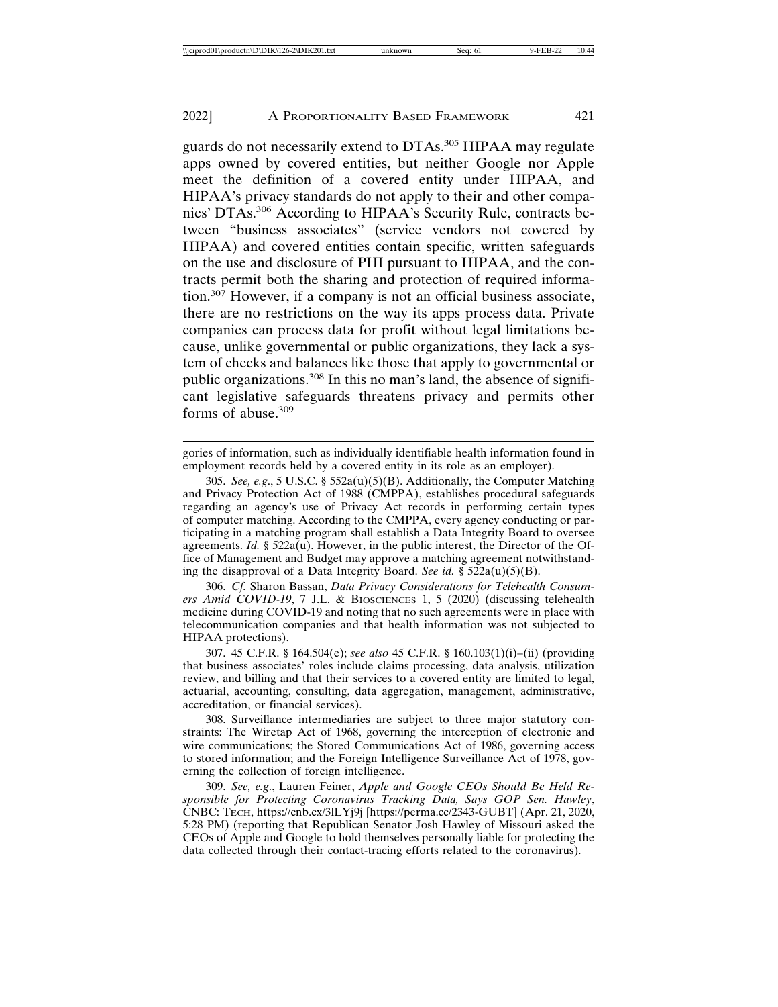guards do not necessarily extend to DTAs.<sup>305</sup> HIPAA may regulate apps owned by covered entities, but neither Google nor Apple meet the definition of a covered entity under HIPAA, and HIPAA's privacy standards do not apply to their and other companies' DTAs.306 According to HIPAA's Security Rule, contracts between "business associates" (service vendors not covered by HIPAA) and covered entities contain specific, written safeguards on the use and disclosure of PHI pursuant to HIPAA, and the contracts permit both the sharing and protection of required information.307 However, if a company is not an official business associate, there are no restrictions on the way its apps process data. Private companies can process data for profit without legal limitations because, unlike governmental or public organizations, they lack a system of checks and balances like those that apply to governmental or public organizations.308 In this no man's land, the absence of significant legislative safeguards threatens privacy and permits other forms of abuse.<sup>309</sup>

gories of information, such as individually identifiable health information found in employment records held by a covered entity in its role as an employer).

305. *See, e.g*., 5 U.S.C. § 552a(u)(5)(B). Additionally, the Computer Matching and Privacy Protection Act of 1988 (CMPPA), establishes procedural safeguards regarding an agency's use of Privacy Act records in performing certain types of computer matching. According to the CMPPA, every agency conducting or participating in a matching program shall establish a Data Integrity Board to oversee agreements. *Id.* § 522a(u). However, in the public interest, the Director of the Office of Management and Budget may approve a matching agreement notwithstanding the disapproval of a Data Integrity Board. *See id.* § 522a(u)(5)(B).

306. *Cf.* Sharon Bassan, *Data Privacy Considerations for Telehealth Consumers Amid COVID-19*, 7 J.L. & BIOSCIENCES 1, 5 (2020) (discussing telehealth medicine during COVID-19 and noting that no such agreements were in place with telecommunication companies and that health information was not subjected to HIPAA protections).

307. 45 C.F.R. § 164.504(e); *see also* 45 C.F.R. § 160.103(1)(i)–(ii) (providing that business associates' roles include claims processing, data analysis, utilization review, and billing and that their services to a covered entity are limited to legal, actuarial, accounting, consulting, data aggregation, management, administrative, accreditation, or financial services).

308. Surveillance intermediaries are subject to three major statutory constraints: The Wiretap Act of 1968, governing the interception of electronic and wire communications; the Stored Communications Act of 1986, governing access to stored information; and the Foreign Intelligence Surveillance Act of 1978, governing the collection of foreign intelligence.

309. *See, e.g*., Lauren Feiner, *Apple and Google CEOs Should Be Held Responsible for Protecting Coronavirus Tracking Data, Says GOP Sen. Hawley*, CNBC: TECH, https://cnb.cx/3lLYj9j [https://perma.cc/2343-GUBT] (Apr. 21, 2020, 5:28 PM) (reporting that Republican Senator Josh Hawley of Missouri asked the CEOs of Apple and Google to hold themselves personally liable for protecting the data collected through their contact-tracing efforts related to the coronavirus).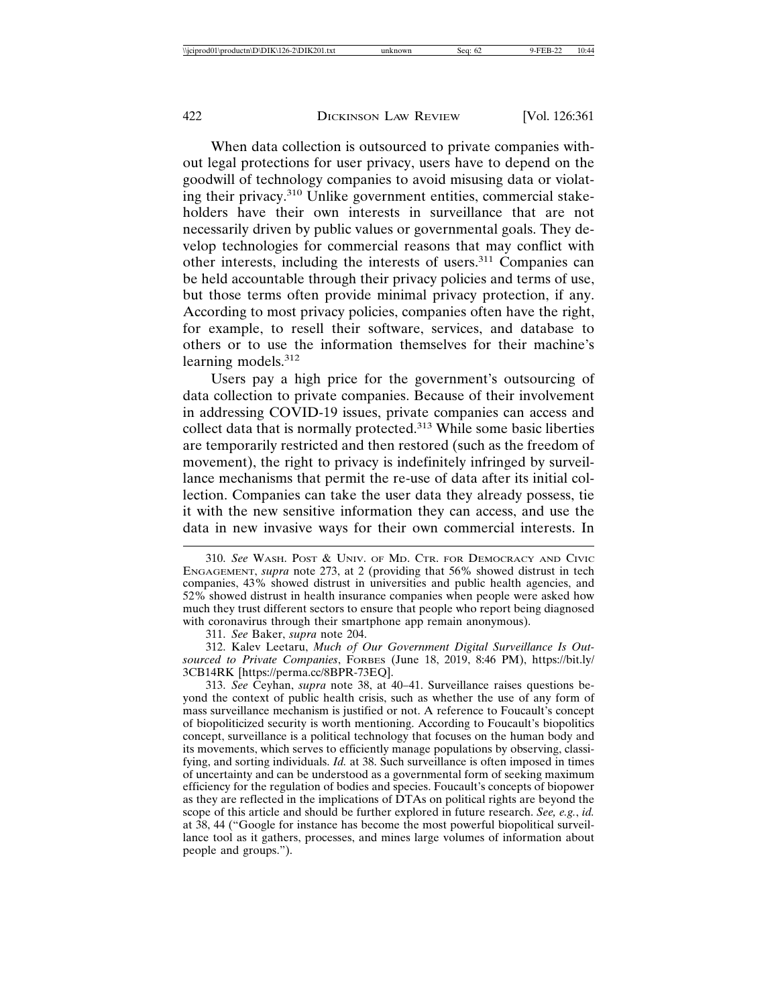When data collection is outsourced to private companies without legal protections for user privacy, users have to depend on the goodwill of technology companies to avoid misusing data or violating their privacy.310 Unlike government entities, commercial stakeholders have their own interests in surveillance that are not necessarily driven by public values or governmental goals. They develop technologies for commercial reasons that may conflict with other interests, including the interests of users.311 Companies can be held accountable through their privacy policies and terms of use, but those terms often provide minimal privacy protection, if any. According to most privacy policies, companies often have the right, for example, to resell their software, services, and database to others or to use the information themselves for their machine's learning models.<sup>312</sup>

Users pay a high price for the government's outsourcing of data collection to private companies. Because of their involvement in addressing COVID-19 issues, private companies can access and collect data that is normally protected.<sup>313</sup> While some basic liberties are temporarily restricted and then restored (such as the freedom of movement), the right to privacy is indefinitely infringed by surveillance mechanisms that permit the re-use of data after its initial collection. Companies can take the user data they already possess, tie it with the new sensitive information they can access, and use the data in new invasive ways for their own commercial interests. In

311. *See* Baker, *supra* note 204.

312. Kalev Leetaru, *Much of Our Government Digital Surveillance Is Outsourced to Private Companies*, FORBES (June 18, 2019, 8:46 PM), https://bit.ly/ 3CB14RK [https://perma.cc/8BPR-73EQ].

313. *See* Ceyhan, *supra* note 38, at 40–41. Surveillance raises questions beyond the context of public health crisis, such as whether the use of any form of mass surveillance mechanism is justified or not. A reference to Foucault's concept of biopoliticized security is worth mentioning. According to Foucault's biopolitics concept, surveillance is a political technology that focuses on the human body and its movements, which serves to efficiently manage populations by observing, classifying, and sorting individuals. *Id.* at 38. Such surveillance is often imposed in times of uncertainty and can be understood as a governmental form of seeking maximum efficiency for the regulation of bodies and species. Foucault's concepts of biopower as they are reflected in the implications of DTAs on political rights are beyond the scope of this article and should be further explored in future research. *See, e.g.*, *id.* at 38, 44 ("Google for instance has become the most powerful biopolitical surveillance tool as it gathers, processes, and mines large volumes of information about people and groups.").

<sup>310.</sup> *See* WASH. POST & UNIV. OF MD. CTR. FOR DEMOCRACY AND CIVIC ENGAGEMENT, *supra* note 273, at 2 (providing that 56% showed distrust in tech companies, 43% showed distrust in universities and public health agencies, and 52% showed distrust in health insurance companies when people were asked how much they trust different sectors to ensure that people who report being diagnosed with coronavirus through their smartphone app remain anonymous).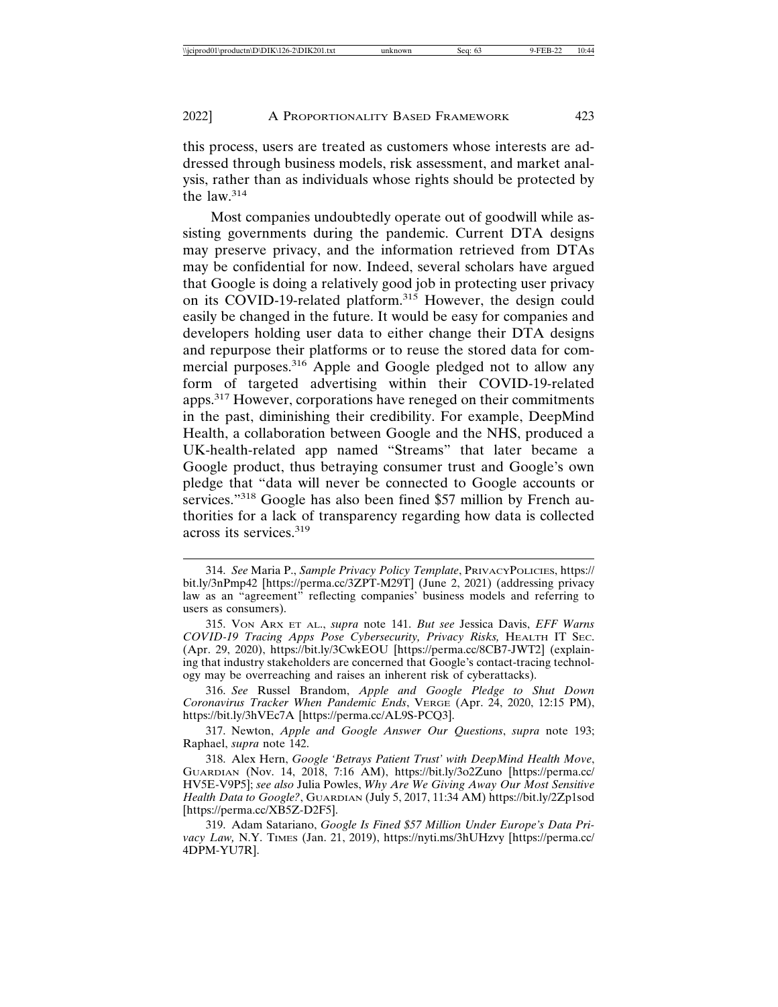this process, users are treated as customers whose interests are addressed through business models, risk assessment, and market analysis, rather than as individuals whose rights should be protected by the law. $314$ 

Most companies undoubtedly operate out of goodwill while assisting governments during the pandemic. Current DTA designs may preserve privacy, and the information retrieved from DTAs may be confidential for now. Indeed, several scholars have argued that Google is doing a relatively good job in protecting user privacy on its COVID-19-related platform.<sup>315</sup> However, the design could easily be changed in the future. It would be easy for companies and developers holding user data to either change their DTA designs and repurpose their platforms or to reuse the stored data for commercial purposes.<sup>316</sup> Apple and Google pledged not to allow any form of targeted advertising within their COVID-19-related apps.317 However, corporations have reneged on their commitments in the past, diminishing their credibility. For example, DeepMind Health, a collaboration between Google and the NHS, produced a UK-health-related app named "Streams" that later became a Google product, thus betraying consumer trust and Google's own pledge that "data will never be connected to Google accounts or services."<sup>318</sup> Google has also been fined \$57 million by French authorities for a lack of transparency regarding how data is collected across its services.<sup>319</sup>

316. *See* Russel Brandom, *Apple and Google Pledge to Shut Down Coronavirus Tracker When Pandemic Ends*, VERGE (Apr. 24, 2020, 12:15 PM), https://bit.ly/3hVEc7A [https://perma.cc/AL9S-PCQ3].

317. Newton, *Apple and Google Answer Our Questions*, *supra* note 193; Raphael, *supra* note 142.

<sup>314.</sup> *See* Maria P., *Sample Privacy Policy Template*, PRIVACYPOLICIES, https:// bit.ly/3nPmp42 [https://perma.cc/3ZPT-M29T] (June 2, 2021) (addressing privacy law as an "agreement" reflecting companies' business models and referring to users as consumers).

<sup>315.</sup> VON ARX ET AL., *supra* note 141. *But see* Jessica Davis, *EFF Warns COVID-19 Tracing Apps Pose Cybersecurity, Privacy Risks,* HEALTH IT SEC. (Apr. 29, 2020), https://bit.ly/3CwkEOU [https://perma.cc/8CB7-JWT2] (explaining that industry stakeholders are concerned that Google's contact-tracing technology may be overreaching and raises an inherent risk of cyberattacks).

<sup>318.</sup> Alex Hern, *Google 'Betrays Patient Trust' with DeepMind Health Move*, GUARDIAN (Nov. 14, 2018, 7:16 AM), https://bit.ly/3o2Zuno [https://perma.cc/ HV5E-V9P5]; *see also* Julia Powles, *Why Are We Giving Away Our Most Sensitive Health Data to Google?*, GUARDIAN (July 5, 2017, 11:34 AM) https://bit.ly/2Zp1sod [https://perma.cc/XB5Z-D2F5].

<sup>319.</sup> Adam Satariano, *Google Is Fined \$57 Million Under Europe's Data Pri*vacy Law, N.Y. TIMES (Jan. 21, 2019), https://nyti.ms/3hUHzvy [https://perma.cc/ 4DPM-YU7R].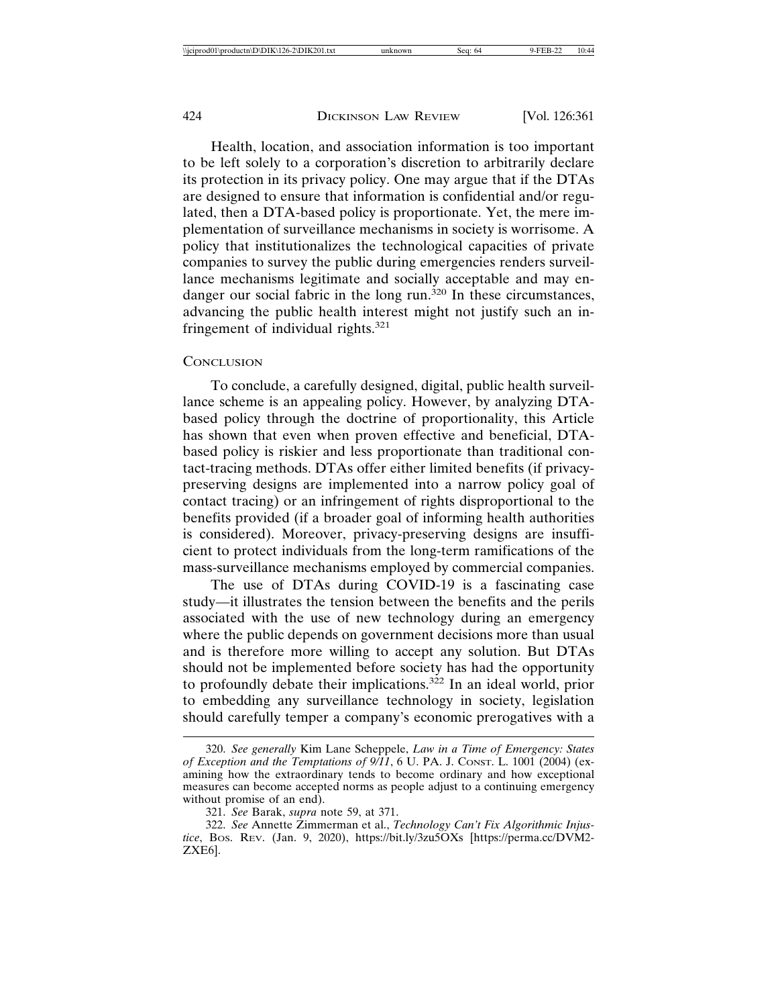Health, location, and association information is too important to be left solely to a corporation's discretion to arbitrarily declare its protection in its privacy policy. One may argue that if the DTAs are designed to ensure that information is confidential and/or regulated, then a DTA-based policy is proportionate. Yet, the mere implementation of surveillance mechanisms in society is worrisome. A policy that institutionalizes the technological capacities of private companies to survey the public during emergencies renders surveillance mechanisms legitimate and socially acceptable and may endanger our social fabric in the long run.<sup>320</sup> In these circumstances, advancing the public health interest might not justify such an infringement of individual rights. $321$ 

#### **CONCLUSION**

To conclude, a carefully designed, digital, public health surveillance scheme is an appealing policy. However, by analyzing DTAbased policy through the doctrine of proportionality, this Article has shown that even when proven effective and beneficial, DTAbased policy is riskier and less proportionate than traditional contact-tracing methods. DTAs offer either limited benefits (if privacypreserving designs are implemented into a narrow policy goal of contact tracing) or an infringement of rights disproportional to the benefits provided (if a broader goal of informing health authorities is considered). Moreover, privacy-preserving designs are insufficient to protect individuals from the long-term ramifications of the mass-surveillance mechanisms employed by commercial companies.

The use of DTAs during COVID-19 is a fascinating case study—it illustrates the tension between the benefits and the perils associated with the use of new technology during an emergency where the public depends on government decisions more than usual and is therefore more willing to accept any solution. But DTAs should not be implemented before society has had the opportunity to profoundly debate their implications.<sup>322</sup> In an ideal world, prior to embedding any surveillance technology in society, legislation should carefully temper a company's economic prerogatives with a

<sup>320.</sup> *See generally* Kim Lane Scheppele, *Law in a Time of Emergency: States of Exception and the Temptations of 9/11*, 6 U. PA. J. CONST. L. 1001 (2004) (examining how the extraordinary tends to become ordinary and how exceptional measures can become accepted norms as people adjust to a continuing emergency without promise of an end).

<sup>321.</sup> *See* Barak, *supra* note 59, at 371.

<sup>322.</sup> *See* Annette Zimmerman et al., *Technology Can't Fix Algorithmic Injustice*, BOS. REV. (Jan. 9, 2020), https://bit.ly/3zu5OXs [https://perma.cc/DVM2- ZXE6].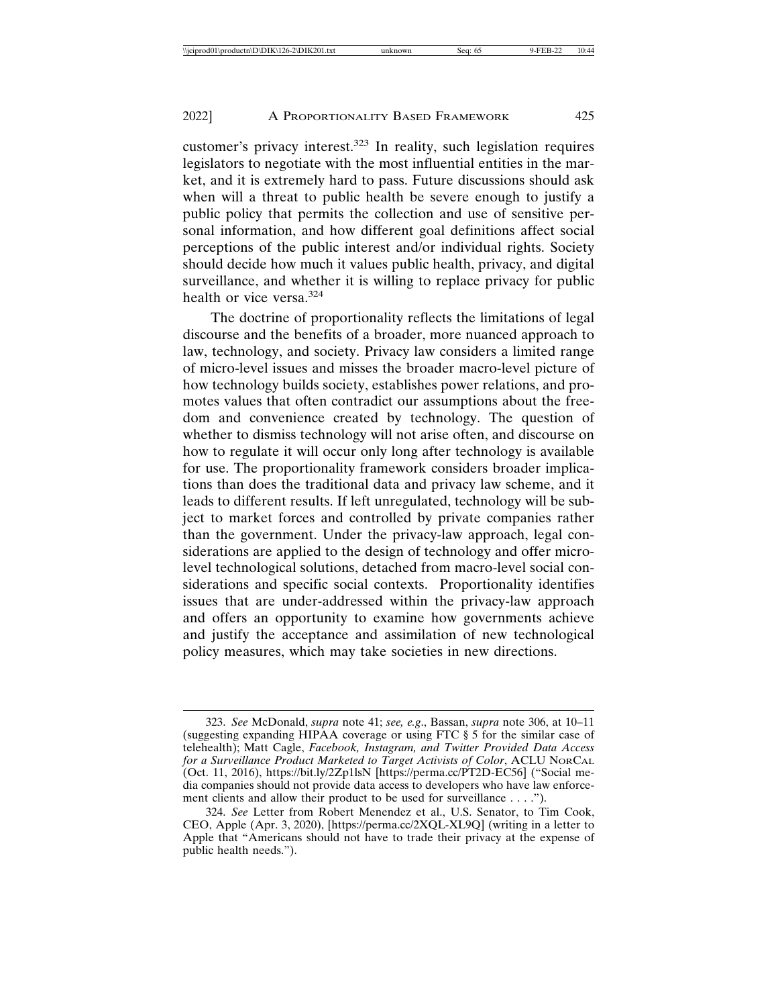customer's privacy interest.323 In reality, such legislation requires legislators to negotiate with the most influential entities in the market, and it is extremely hard to pass. Future discussions should ask when will a threat to public health be severe enough to justify a public policy that permits the collection and use of sensitive personal information, and how different goal definitions affect social perceptions of the public interest and/or individual rights. Society should decide how much it values public health, privacy, and digital surveillance, and whether it is willing to replace privacy for public health or vice versa.<sup>324</sup>

The doctrine of proportionality reflects the limitations of legal discourse and the benefits of a broader, more nuanced approach to law, technology, and society. Privacy law considers a limited range of micro-level issues and misses the broader macro-level picture of how technology builds society, establishes power relations, and promotes values that often contradict our assumptions about the freedom and convenience created by technology. The question of whether to dismiss technology will not arise often, and discourse on how to regulate it will occur only long after technology is available for use. The proportionality framework considers broader implications than does the traditional data and privacy law scheme, and it leads to different results. If left unregulated, technology will be subject to market forces and controlled by private companies rather than the government. Under the privacy-law approach, legal considerations are applied to the design of technology and offer microlevel technological solutions, detached from macro-level social considerations and specific social contexts. Proportionality identifies issues that are under-addressed within the privacy-law approach and offers an opportunity to examine how governments achieve and justify the acceptance and assimilation of new technological policy measures, which may take societies in new directions.

<sup>323.</sup> *See* McDonald, *supra* note 41; *see, e.g*., Bassan, *supra* note 306, at 10–11 (suggesting expanding HIPAA coverage or using FTC § 5 for the similar case of telehealth); Matt Cagle, *Facebook, Instagram, and Twitter Provided Data Access for a Surveillance Product Marketed to Target Activists of Color*, ACLU NORCAL (Oct. 11, 2016), https://bit.ly/2Zp1lsN [https://perma.cc/PT2D-EC56] ("Social media companies should not provide data access to developers who have law enforcement clients and allow their product to be used for surveillance . . . .").

<sup>324.</sup> *See* Letter from Robert Menendez et al., U.S. Senator, to Tim Cook, CEO, Apple (Apr. 3, 2020), [https://perma.cc/2XQL-XL9Q] (writing in a letter to Apple that "Americans should not have to trade their privacy at the expense of public health needs.").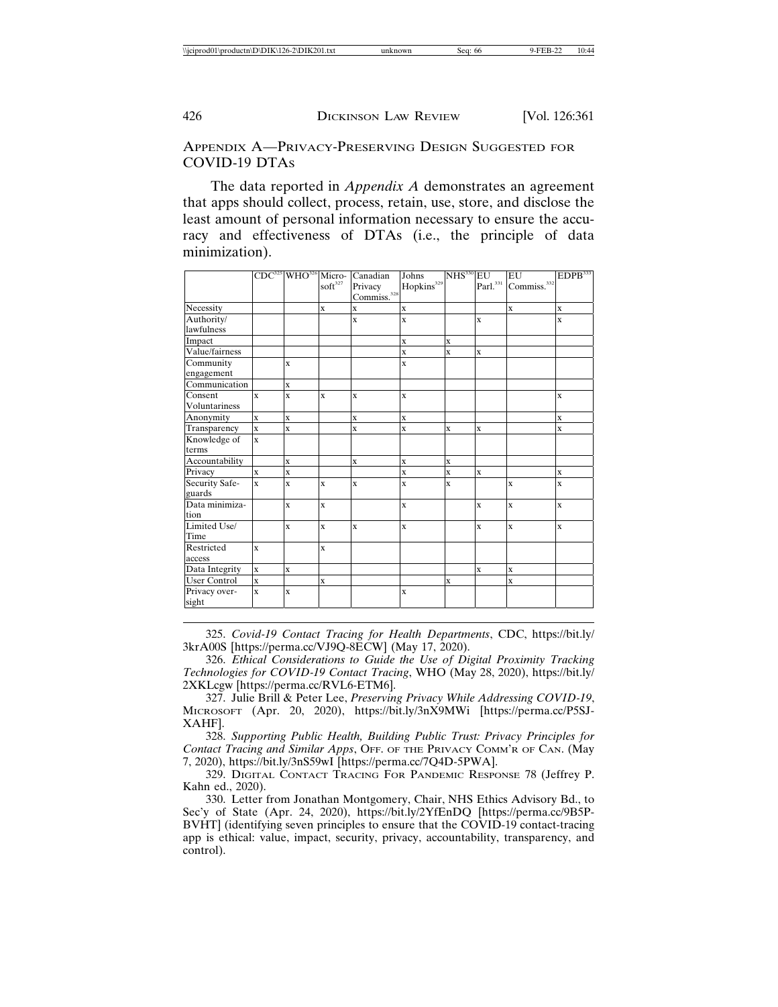APPENDIX A—PRIVACY-PRESERVING DESIGN SUGGESTED FOR COVID-19 DTAS

The data reported in *Appendix A* demonstrates an agreement that apps should collect, process, retain, use, store, and disclose the least amount of personal information necessary to ensure the accuracy and effectiveness of DTAs (i.e., the principle of data minimization).

|                          |              |                         | $\mathrm{soft}^{327}$ | CDC <sup>325</sup> WHO <sup>326</sup> Micro- Canadian<br>Privacy<br>Commiss. <sup>328</sup> | Johns<br>Hopkins <sup>329</sup> | $NHS330$ EU             |              | EU<br>Parl. <sup>331</sup> Commiss. <sup>332</sup> | EDPB <sup>333</sup> |
|--------------------------|--------------|-------------------------|-----------------------|---------------------------------------------------------------------------------------------|---------------------------------|-------------------------|--------------|----------------------------------------------------|---------------------|
| Necessity                |              |                         | $\mathbf{x}$          | $\mathbf x$                                                                                 | $\mathbf X$                     |                         |              | $\mathbf{x}$                                       | $\mathbf{x}$        |
| Authority/<br>lawfulness |              |                         |                       | $\overline{\mathbf{x}}$                                                                     | $\overline{\mathbf{X}}$         |                         | $\mathbf{x}$ |                                                    | $\mathbf x$         |
| Impact                   |              |                         |                       |                                                                                             | $\mathbf x$                     | $\mathbf x$             |              |                                                    |                     |
| Value/fairness           |              |                         |                       |                                                                                             | $\mathbf X$                     | $\overline{\mathbf{X}}$ | $\mathbf{x}$ |                                                    |                     |
| Community<br>engagement  |              | X                       |                       |                                                                                             | $\overline{\mathbf{X}}$         |                         |              |                                                    |                     |
| Communication            |              | $\mathbf{x}$            |                       |                                                                                             |                                 |                         |              |                                                    |                     |
| Consent<br>Voluntariness | $\mathbf{x}$ | X                       | $\mathbf{x}$          | $\mathbf{x}$                                                                                | $\mathbf X$                     |                         |              |                                                    | $\mathbf x$         |
| Anonymity                | $\mathbf{x}$ | $\mathbf{x}$            |                       | $\mathbf{x}$                                                                                | $\overline{\mathbf{X}}$         |                         |              |                                                    | $\mathbf{x}$        |
| Transparency             | $\mathbf{x}$ | $\mathbf x$             |                       | $\overline{\mathbf{x}}$                                                                     | $\overline{\mathbf{X}}$         | $\mathbf x$             | $\mathbf{x}$ |                                                    | $\bf{x}$            |
| Knowledge of<br>terms    | $\mathbf{x}$ |                         |                       |                                                                                             |                                 |                         |              |                                                    |                     |
| Accountability           |              | $\overline{\mathbf{x}}$ |                       | $\mathbf x$                                                                                 | $\mathbf x$                     | $\mathbf X$             |              |                                                    |                     |
| Privacy                  | $\mathbf{x}$ | $\mathbf{x}$            |                       |                                                                                             | $\mathbf X$                     | $\mathbf X$             | $\bf{x}$     |                                                    | $\mathbf x$         |
| Security Safe-<br>guards | $\mathbf{x}$ | X                       | $\mathbf{x}$          | $\mathbf{x}$                                                                                | X                               | $\overline{\mathbf{X}}$ |              | $\mathbf{x}$                                       | $\bf{x}$            |
| Data minimiza-<br>tion   |              | $\bar{\mathbf{x}}$      | $\mathbf{x}$          |                                                                                             | $\mathbf x$                     |                         | $\mathbf{x}$ | $\mathbf{x}$                                       | $\bf{x}$            |
| Limited Use/<br>Time     |              | $\bar{\mathbf{x}}$      | $\mathbf{x}$          | $\overline{\mathbf{x}}$                                                                     | $\overline{\mathbf{X}}$         |                         | $\mathbf{x}$ | $\mathbf{x}$                                       | $\bf{x}$            |
| Restricted<br>access     | $\mathbf{x}$ |                         | $\mathbf{x}$          |                                                                                             |                                 |                         |              |                                                    |                     |
| Data Integrity           | $\mathbf{x}$ | $\mathbf{x}$            |                       |                                                                                             |                                 |                         | $\mathbf{x}$ | $\mathbf{x}$                                       |                     |
| <b>User Control</b>      | $\bar{x}$    |                         | $\mathbf{x}$          |                                                                                             |                                 | $\mathbf X$             |              | $\mathbf{x}$                                       |                     |
| Privacy over-<br>sight   | $\mathbf{x}$ | $\bar{\mathbf{x}}$      |                       |                                                                                             | $\mathbf X$                     |                         |              |                                                    |                     |

325. *Covid-19 Contact Tracing for Health Departments*, CDC, https://bit.ly/ 3krA00S [https://perma.cc/VJ9Q-8ECW] (May 17, 2020).

326. *Ethical Considerations to Guide the Use of Digital Proximity Tracking Technologies for COVID-19 Contact Tracing*, WHO (May 28, 2020), https://bit.ly/ 2XKLcgw [https://perma.cc/RVL6-ETM6].

327. Julie Brill & Peter Lee, *Preserving Privacy While Addressing COVID-19*, MICROSOFT (Apr. 20, 2020), https://bit.ly/3nX9MWi [https://perma.cc/P5SJ-XAHF].

328. *Supporting Public Health, Building Public Trust: Privacy Principles for Contact Tracing and Similar Apps*, OFF. OF THE PRIVACY COMM'R OF CAN. (May 7, 2020), https://bit.ly/3nS59wI [https://perma.cc/7Q4D-5PWA].

329. DIGITAL CONTACT TRACING FOR PANDEMIC RESPONSE 78 (Jeffrey P. Kahn ed., 2020).

330. Letter from Jonathan Montgomery, Chair, NHS Ethics Advisory Bd., to Sec'y of State (Apr. 24, 2020), https://bit.ly/2YfEnDQ [https://perma.cc/9B5P-BVHT] (identifying seven principles to ensure that the COVID-19 contact-tracing app is ethical: value, impact, security, privacy, accountability, transparency, and control).